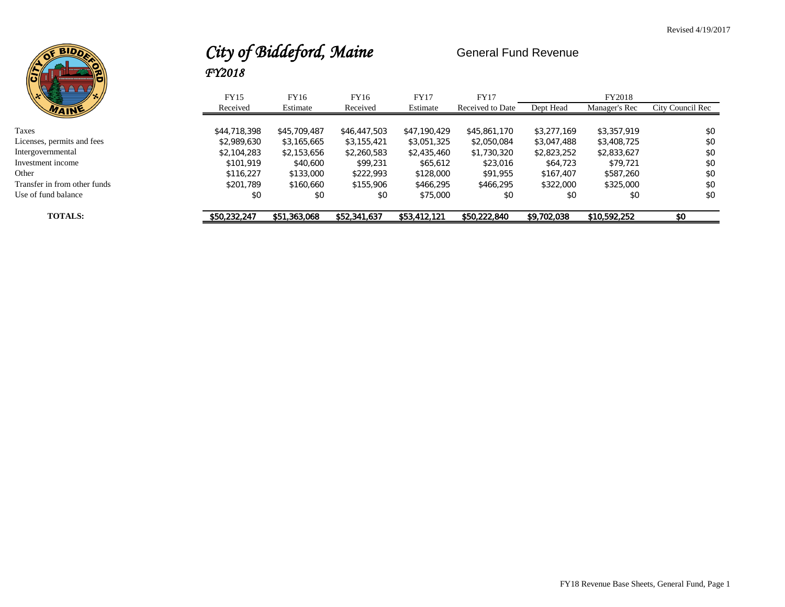

# City of Biddeford, Maine General Fund Revenue *FY2018*

| ∖ ⊟/<br>\\*\€<br>. و .       | FY15         | FY16         | FY16         | <b>FY17</b>  | <b>FY17</b>      |             | FY2018        |                  |
|------------------------------|--------------|--------------|--------------|--------------|------------------|-------------|---------------|------------------|
|                              | Received     | Estimate     | Received     | Estimate     | Received to Date | Dept Head   | Manager's Rec | City Council Rec |
|                              |              |              |              |              |                  |             |               |                  |
| Taxes                        | \$44,718,398 | \$45,709,487 | \$46,447,503 | \$47.190.429 | \$45,861,170     | \$3,277,169 | \$3.357.919   | \$0              |
| Licenses, permits and fees   | \$2.989.630  | \$3,165,665  | \$3,155,421  | \$3,051,325  | \$2,050,084      | \$3,047,488 | \$3,408,725   | \$0              |
| Intergovernmental            | \$2,104,283  | \$2,153,656  | \$2,260,583  | \$2,435,460  | \$1,730,320      | \$2,823,252 | \$2,833,627   | \$0              |
| Investment income            | \$101.919    | \$40,600     | \$99.231     | \$65,612     | \$23,016         | \$64,723    | \$79.721      | \$0              |
| Other                        | \$116.227    | \$133,000    | \$222.993    | \$128,000    | \$91.955         | \$167,407   | \$587.260     | \$0              |
| Transfer in from other funds | \$201.789    | \$160.660    | \$155,906    | \$466.295    | \$466.295        | \$322,000   | \$325,000     | \$0              |
| Use of fund balance          | \$0          | \$0          | \$0          | \$75,000     | \$0              | \$0         | \$0           | \$0              |
| <b>TOTALS:</b>               | \$50,232,247 | \$51,363,068 | \$52,341,637 | \$53,412,121 | \$50,222,840     | \$9,702,038 | \$10,592,252  | \$0              |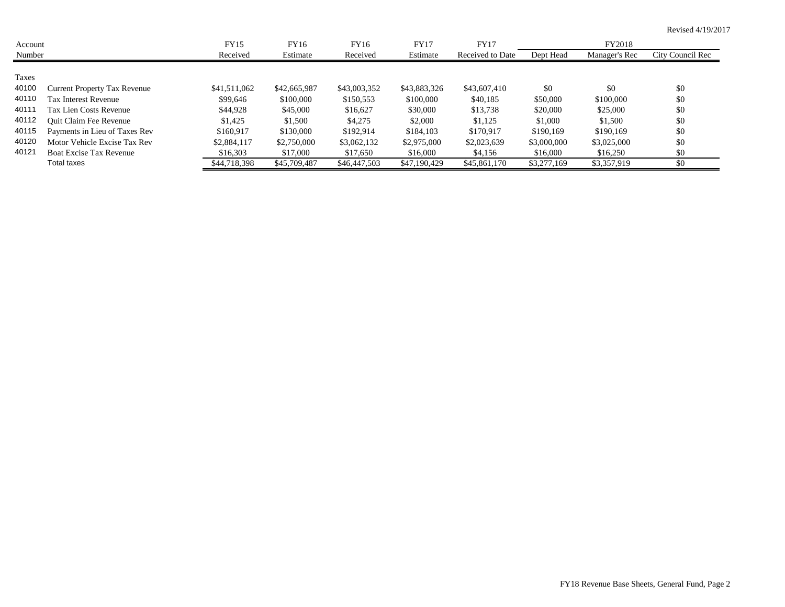| Account |                                     | FY15         | FY16         | FY16         | <b>FY17</b>  | <b>FY17</b>      |             | FY2018        |                  |
|---------|-------------------------------------|--------------|--------------|--------------|--------------|------------------|-------------|---------------|------------------|
| Number  |                                     | Received     | Estimate     | Received     | Estimate     | Received to Date | Dept Head   | Manager's Rec | City Council Rec |
|         |                                     |              |              |              |              |                  |             |               |                  |
| Taxes   |                                     |              |              |              |              |                  |             |               |                  |
| 40100   | <b>Current Property Tax Revenue</b> | \$41,511,062 | \$42,665,987 | \$43,003,352 | \$43,883,326 | \$43,607,410     | \$0         | \$0           | \$0              |
| 40110   | <b>Tax Interest Revenue</b>         | \$99,646     | \$100,000    | \$150,553    | \$100,000    | \$40,185         | \$50,000    | \$100,000     | \$0              |
| 40111   | Tax Lien Costs Revenue              | \$44,928     | \$45,000     | \$16,627     | \$30,000     | \$13,738         | \$20,000    | \$25,000      | \$0              |
| 40112   | <b>Ouit Claim Fee Revenue</b>       | \$1,425      | \$1,500      | \$4,275      | \$2,000      | \$1,125          | \$1,000     | \$1,500       | \$0              |
| 40115   | Payments in Lieu of Taxes Rev       | \$160,917    | \$130,000    | \$192,914    | \$184,103    | \$170.917        | \$190,169   | \$190.169     | \$0              |
| 40120   | Motor Vehicle Excise Tax Rev        | \$2,884,117  | \$2,750,000  | \$3,062,132  | \$2,975,000  | \$2,023,639      | \$3,000,000 | \$3,025,000   | \$0              |
| 40121   | Boat Excise Tax Revenue             | \$16,303     | \$17,000     | \$17,650     | \$16,000     | \$4,156          | \$16,000    | \$16,250      | \$0              |
|         | Total taxes                         | \$44,718,398 | \$45,709,487 | \$46,447,503 | \$47,190,429 | \$45,861,170     | \$3,277,169 | \$3,357,919   | \$0              |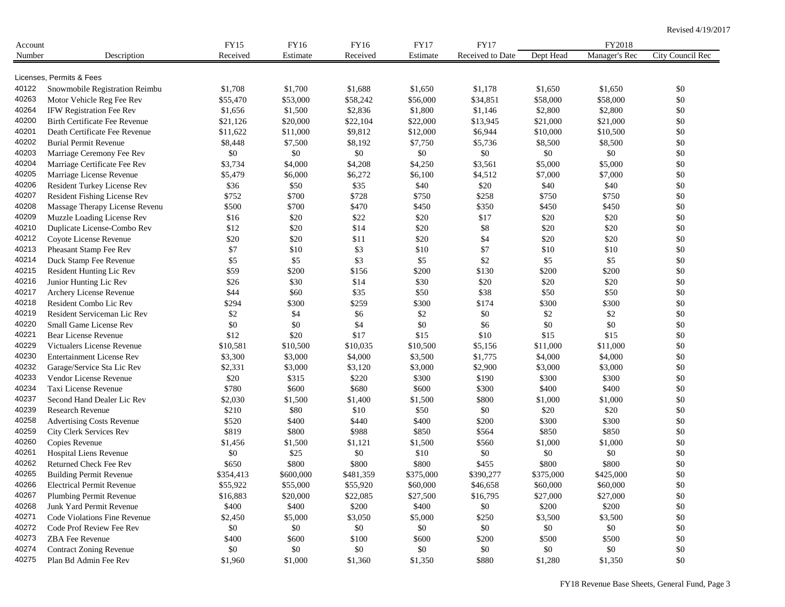| Account |                                                                    | <b>FY15</b> | FY16      | FY16      | <b>FY17</b> | FY17             |           | FY2018        |                  |
|---------|--------------------------------------------------------------------|-------------|-----------|-----------|-------------|------------------|-----------|---------------|------------------|
| Number  | Description                                                        | Received    | Estimate  | Received  | Estimate    | Received to Date | Dept Head | Manager's Rec | City Council Rec |
|         |                                                                    |             |           |           |             |                  |           |               |                  |
|         | Licenses, Permits & Fees                                           |             |           |           |             |                  |           |               |                  |
| 40122   | Snowmobile Registration Reimbu                                     | \$1,708     | \$1,700   | \$1,688   | \$1,650     | \$1,178          | \$1,650   | \$1,650       | \$0              |
| 40263   | Motor Vehicle Reg Fee Rev                                          | \$55,470    | \$53,000  | \$58,242  | \$56,000    | \$34,851         | \$58,000  | \$58,000      | \$0              |
| 40264   | IFW Registration Fee Rev                                           | \$1,656     | \$1,500   | \$2,836   | \$1,800     | \$1,146          | \$2,800   | \$2,800       | \$0              |
| 40200   | <b>Birth Certificate Fee Revenue</b>                               | \$21,126    | \$20,000  | \$22,104  | \$22,000    | \$13,945         | \$21,000  | \$21,000      | \$0              |
| 40201   | Death Certificate Fee Revenue                                      | \$11,622    | \$11,000  | \$9,812   | \$12,000    | \$6,944          | \$10,000  | \$10,500      | \$0              |
| 40202   | <b>Burial Permit Revenue</b>                                       | \$8,448     | \$7,500   | \$8,192   | \$7,750     | \$5,736          | \$8,500   | \$8,500       | \$0              |
| 40203   | Marriage Ceremony Fee Rev                                          | $\$0$       | \$0       | \$0       | $\$0$       | $\$0$            | \$0       | \$0           | \$0              |
| 40204   | Marriage Certificate Fee Rev                                       | \$3,734     | \$4,000   | \$4,208   | \$4,250     | \$3,561          | \$5,000   | \$5,000       | $\$0$            |
| 40205   | Marriage License Revenue                                           | \$5,479     | \$6,000   | \$6,272   | \$6,100     | \$4,512          | \$7,000   | \$7,000       | \$0              |
| 40206   | Resident Turkey License Rev                                        | \$36        | \$50      | \$35      | \$40        | \$20             | \$40      | \$40          | $\$0$            |
| 40207   | Resident Fishing License Rev                                       | \$752       | \$700     | \$728     | \$750       | \$258            | \$750     | \$750         | \$0              |
| 40208   | Massage Therapy License Revenu                                     | \$500       | \$700     | \$470     | \$450       | \$350            | \$450     | \$450         | \$0              |
| 40209   | Muzzle Loading License Rev                                         | \$16        | \$20      | \$22      | \$20        | \$17             | \$20      | \$20          | \$0              |
| 40210   | Duplicate License-Combo Rev                                        | \$12        | \$20      | \$14      | \$20        | \$8              | \$20      | \$20          | \$0              |
| 40212   | Coyote License Revenue                                             | \$20        | \$20      | \$11      | \$20        | \$4              | \$20      | \$20          | \$0              |
| 40213   | Pheasant Stamp Fee Rev                                             | \$7         | \$10      | \$3       | \$10        | \$7              | \$10      | \$10          | \$0              |
| 40214   | Duck Stamp Fee Revenue                                             | \$5         | \$5       | \$3       | \$5         | \$2              | \$5       | \$5           | \$0              |
| 40215   | Resident Hunting Lic Rev                                           | \$59        | \$200     | \$156     | \$200       | \$130            | \$200     | \$200         | $\$0$            |
| 40216   | Junior Hunting Lic Rev                                             | \$26        | \$30      | \$14      | \$30        | \$20             | \$20      | \$20          | \$0              |
| 40217   | Archery License Revenue                                            | \$44        | \$60      | \$35      | \$50        | \$38             | \$50      | \$50          | $\$0$            |
| 40218   | Resident Combo Lic Rev                                             | \$294       | \$300     | \$259     | \$300       | \$174            | \$300     | \$300         | \$0              |
| 40219   | Resident Serviceman Lic Rev                                        | \$2         | \$4       | \$6       | \$2         | \$0              | $\$2$     | \$2           | \$0              |
| 40220   | Small Game License Rev                                             | \$0         | \$0       | \$4       | \$0         | \$6              | $\$0$     | \$0           | \$0              |
| 40221   | Bear License Revenue                                               | \$12        | \$20      | \$17      | \$15        | \$10             | \$15      | \$15          | \$0              |
| 40229   | Victualers License Revenue                                         | \$10,581    | \$10,500  | \$10,035  | \$10,500    | \$5,156          | \$11,000  | \$11,000      | \$0              |
| 40230   | <b>Entertainment License Rev</b>                                   | \$3,300     | \$3,000   | \$4,000   | \$3,500     | \$1,775          | \$4,000   | \$4,000       | \$0              |
| 40232   | Garage/Service Sta Lic Rev                                         | \$2,331     | \$3,000   | \$3,120   | \$3,000     | \$2,900          | \$3,000   | \$3,000       | \$0              |
| 40233   | Vendor License Revenue                                             | \$20        | \$315     | \$220     | \$300       | \$190            | \$300     | \$300         | \$0              |
| 40234   | Taxi License Revenue                                               | \$780       | \$600     | \$680     | \$600       | \$300            | \$400     | \$400         | \$0              |
| 40237   | Second Hand Dealer Lic Rev                                         | \$2,030     | \$1,500   | \$1,400   | \$1,500     | \$800            | \$1,000   | \$1,000       | \$0              |
| 40239   | <b>Research Revenue</b>                                            | \$210       | \$80      | \$10      | \$50        | \$0              | \$20      | \$20          | \$0              |
| 40258   | <b>Advertising Costs Revenue</b>                                   | \$520       | \$400     | \$440     | \$400       | \$200            | \$300     | \$300         | \$0              |
| 40259   | City Clerk Services Rev                                            | \$819       | \$800     | \$988     | \$850       | \$564            | \$850     | \$850         | \$0              |
| 40260   | Copies Revenue                                                     | \$1,456     | \$1,500   | \$1,121   | \$1,500     | \$560            | \$1,000   | \$1,000       | \$0              |
| 40261   | Hospital Liens Revenue                                             | \$0         | \$25      | \$0       | \$10        | \$0              | \$0       | \$0           | \$0              |
| 40262   | Returned Check Fee Rev                                             | \$650       | \$800     | \$800     | \$800       | \$455            | \$800     | \$800         | \$0              |
| 40265   |                                                                    |             |           |           |             |                  |           |               |                  |
| 40266   | <b>Building Permit Revenue</b><br><b>Electrical Permit Revenue</b> | \$354,413   | \$600,000 | \$481,359 | \$375,000   | \$390,277        | \$375,000 | \$425,000     | \$0              |
| 40267   |                                                                    | \$55,922    | \$55,000  | \$55,920  | \$60,000    | \$46,658         | \$60,000  | \$60,000      | $\$0$            |
|         | Plumbing Permit Revenue                                            | \$16,883    | \$20,000  | \$22,085  | \$27,500    | \$16,795         | \$27,000  | \$27,000      | $\$0$            |
| 40268   | Junk Yard Permit Revenue                                           | \$400       | \$400     | \$200     | \$400       | \$0              | \$200     | \$200         | $\$0$            |
| 40271   | Code Violations Fine Revenue                                       | \$2,450     | \$5,000   | \$3,050   | \$5,000     | \$250            | \$3,500   | \$3,500       | $\$0$            |
| 40272   | Code Prof Review Fee Rev                                           | \$0         | \$0       | \$0       | \$0         | \$0              | \$0       | \$0           | \$0              |
| 40273   | ZBA Fee Revenue                                                    | \$400       | \$600     | \$100     | \$600       | \$200            | \$500     | \$500         | $\$0$            |
| 40274   | <b>Contract Zoning Revenue</b>                                     | \$0         | \$0       | \$0       | \$0         | \$0              | \$0       | \$0           | $\$0$            |
| 40275   | Plan Bd Admin Fee Rev                                              | \$1,960     | \$1,000   | \$1,360   | \$1,350     | \$880            | \$1,280   | \$1,350       | $\$0$            |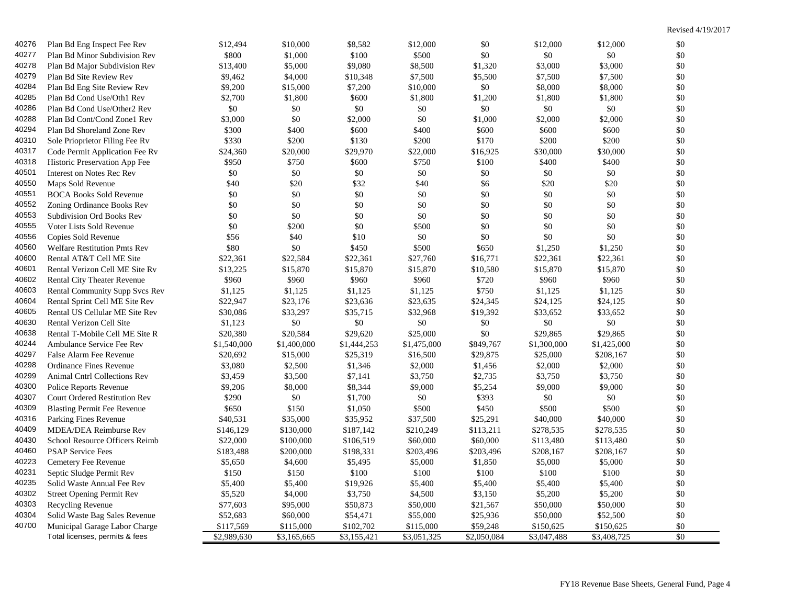| 40276 | Plan Bd Eng Inspect Fee Rev          | \$12,494    | \$10,000    | \$8,582     | \$12,000    | \$0         | \$12,000    | \$12,000    | \$0   |
|-------|--------------------------------------|-------------|-------------|-------------|-------------|-------------|-------------|-------------|-------|
| 40277 | Plan Bd Minor Subdivision Rev        | \$800       | \$1,000     | \$100       | \$500       | \$0         | \$0         | \$0         | \$0   |
| 40278 | Plan Bd Major Subdivision Rev        | \$13,400    | \$5,000     | \$9,080     | \$8,500     | \$1,320     | \$3,000     | \$3,000     | \$0   |
| 40279 | Plan Bd Site Review Rev              | \$9,462     | \$4,000     | \$10,348    | \$7,500     | \$5,500     | \$7,500     | \$7,500     | \$0   |
| 40284 | Plan Bd Eng Site Review Rev          | \$9,200     | \$15,000    | \$7,200     | \$10,000    | \$0         | \$8,000     | \$8,000     | \$0   |
| 40285 | Plan Bd Cond Use/Oth1 Rev            | \$2,700     | \$1,800     | \$600       | \$1,800     | \$1,200     | \$1,800     | \$1,800     | \$0   |
| 40286 | Plan Bd Cond Use/Other2 Rev          | $\$0$       | \$0         | \$0         | \$0         | \$0         | \$0         | $\$0$       | \$0   |
| 40288 | Plan Bd Cont/Cond Zone1 Rev          | \$3,000     | \$0         | \$2,000     | \$0         | \$1,000     | \$2,000     | \$2,000     | \$0   |
| 40294 | Plan Bd Shoreland Zone Rev           | \$300       | \$400       | \$600       | \$400       | \$600       | \$600       | \$600       | \$0   |
| 40310 | Sole Prioprietor Filing Fee Rv       | \$330       | \$200       | \$130       | \$200       | \$170       | \$200       | \$200       | \$0   |
| 40317 | Code Permit Application Fee Rv       | \$24,360    | \$20,000    | \$29,970    | \$22,000    | \$16,925    | \$30,000    | \$30,000    | $\$0$ |
| 40318 | Historic Preservation App Fee        | \$950       | \$750       | \$600       | \$750       | \$100       | \$400       | \$400       | \$0   |
| 40501 | Interest on Notes Rec Rev            | \$0         | \$0         | \$0         | \$0         | \$0         | \$0         | \$0         | \$0   |
| 40550 | Maps Sold Revenue                    | \$40        | \$20        | \$32        | \$40        | \$6         | \$20        | \$20        | \$0   |
| 40551 | <b>BOCA Books Sold Revenue</b>       | \$0         | \$0         | \$0         | \$0         | \$0         | \$0         | \$0         | \$0   |
| 40552 | Zoning Ordinance Books Rev           | \$0         | \$0         | \$0         | \$0         | $\$0$       | \$0         | \$0         | \$0   |
| 40553 | <b>Subdivision Ord Books Rev</b>     | \$0         | \$0         | \$0         | \$0         | \$0         | \$0         | \$0         | \$0   |
| 40555 | Voter Lists Sold Revenue             | \$0         | \$200       | \$0         | \$500       | \$0         | \$0         | \$0         | \$0   |
| 40556 | Copies Sold Revenue                  | \$56        | \$40        | \$10        | \$0         | \$0         | \$0         | \$0         | \$0   |
| 40560 | <b>Welfare Restitution Pmts Rev</b>  | \$80        | \$0         | \$450       | \$500       | \$650       | \$1,250     | \$1,250     | \$0   |
| 40600 | Rental AT&T Cell ME Site             | \$22,361    | \$22,584    | \$22,361    | \$27,760    | \$16,771    | \$22,361    | \$22,361    | \$0   |
| 40601 | Rental Verizon Cell ME Site Rv       | \$13,225    | \$15,870    | \$15,870    | \$15,870    | \$10,580    | \$15,870    | \$15,870    | \$0   |
| 40602 | Rental City Theater Revenue          | \$960       | \$960       | \$960       | \$960       | \$720       | \$960       | \$960       | \$0   |
| 40603 | Rental Community Supp Svcs Rev       | \$1,125     | \$1,125     | \$1,125     | \$1,125     | \$750       | \$1,125     | \$1,125     | \$0   |
| 40604 | Rental Sprint Cell ME Site Rev       | \$22,947    | \$23,176    | \$23,636    | \$23,635    | \$24,345    | \$24,125    | \$24,125    | \$0   |
| 40605 | Rental US Cellular ME Site Rev       | \$30,086    | \$33,297    | \$35,715    | \$32,968    | \$19,392    | \$33,652    | \$33,652    | \$0   |
| 40630 | Rental Verizon Cell Site             | \$1,123     | \$0         | \$0         | \$0         | \$0         | \$0         | \$0         | \$0   |
| 40638 | Rental T-Mobile Cell ME Site R       | \$20,380    | \$20,584    | \$29,620    | \$25,000    | \$0         | \$29,865    | \$29,865    | \$0   |
| 40244 | Ambulance Service Fee Rev            | \$1,540,000 | \$1,400,000 | \$1,444,253 | \$1,475,000 | \$849,767   | \$1,300,000 | \$1,425,000 | \$0   |
| 40297 | False Alarm Fee Revenue              | \$20,692    | \$15,000    | \$25,319    | \$16,500    | \$29,875    | \$25,000    | \$208,167   | \$0   |
| 40298 | Ordinance Fines Revenue              | \$3,080     | \$2,500     | \$1,346     | \$2,000     | \$1,456     | \$2,000     | \$2,000     | \$0   |
| 40299 | Animal Cntrl Collections Rev         | \$3,459     | \$3,500     | \$7,141     | \$3,750     | \$2,735     | \$3,750     | \$3,750     | \$0   |
| 40300 | Police Reports Revenue               | \$9,206     | \$8,000     | \$8,344     | \$9,000     | \$5,254     | \$9,000     | \$9,000     | \$0   |
| 40307 | <b>Court Ordered Restitution Rev</b> | \$290       | \$0         | \$1,700     | $\$0$       | \$393       | \$0         | \$0         | \$0   |
| 40309 | <b>Blasting Permit Fee Revenue</b>   | \$650       | \$150       | \$1,050     | \$500       | \$450       | \$500       | \$500       | \$0   |
| 40316 | Parking Fines Revenue                | \$40,531    | \$35,000    | \$35,952    | \$37,500    | \$25,291    | \$40,000    | \$40,000    | \$0   |
| 40409 | MDEA/DEA Reimburse Rev               | \$146,129   | \$130,000   | \$187,142   | \$210,249   | \$113,211   | \$278,535   | \$278,535   | \$0   |
| 40430 | School Resource Officers Reimb       | \$22,000    | \$100,000   | \$106,519   | \$60,000    | \$60,000    | \$113,480   | \$113,480   | \$0   |
| 40460 | <b>PSAP Service Fees</b>             | \$183,488   | \$200,000   | \$198,331   | \$203,496   | \$203,496   | \$208,167   | \$208,167   | \$0   |
| 40223 | Cemetery Fee Revenue                 | \$5,650     | \$4,600     | \$5,495     | \$5,000     | \$1,850     | \$5,000     | \$5,000     | \$0   |
| 40231 | Septic Sludge Permit Rev             | \$150       | \$150       | \$100       | \$100       | \$100       | \$100       | \$100       | \$0   |
| 40235 | Solid Waste Annual Fee Rev           | \$5,400     | \$5,400     | \$19,926    | \$5,400     | \$5,400     | \$5,400     | \$5,400     | \$0   |
| 40302 | <b>Street Opening Permit Rev</b>     | \$5,520     | \$4,000     | \$3,750     | \$4,500     | \$3,150     | \$5,200     | \$5,200     | \$0   |
| 40303 | Recycling Revenue                    | \$77,603    | \$95,000    | \$50,873    | \$50,000    | \$21,567    | \$50,000    | \$50,000    | \$0   |
| 40304 | Solid Waste Bag Sales Revenue        | \$52,683    | \$60,000    | \$54,471    | \$55,000    | \$25,936    | \$50,000    | \$52,500    | \$0   |
| 40700 | Municipal Garage Labor Charge        | \$117,569   | \$115,000   | \$102,702   | \$115,000   | \$59,248    | \$150,625   | \$150,625   | \$0   |
|       | Total licenses, permits & fees       | \$2,989,630 | \$3,165,665 | \$3,155,421 | \$3,051,325 | \$2,050,084 | \$3,047,488 | \$3,408,725 | \$0   |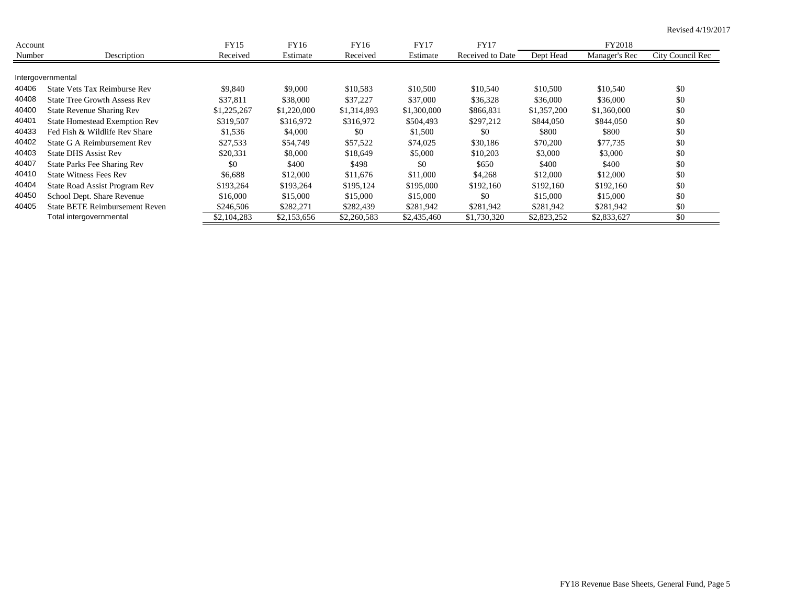| Account |                                      | <b>FY15</b> | FY16        | FY16        | <b>FY17</b> | <b>FY17</b>      |             | FY2018        |                  |
|---------|--------------------------------------|-------------|-------------|-------------|-------------|------------------|-------------|---------------|------------------|
| Number  | Description                          | Received    | Estimate    | Received    | Estimate    | Received to Date | Dept Head   | Manager's Rec | City Council Rec |
|         |                                      |             |             |             |             |                  |             |               |                  |
|         | Intergovernmental                    |             |             |             |             |                  |             |               |                  |
| 40406   | State Vets Tax Reimburse Rev         | \$9,840     | \$9,000     | \$10,583    | \$10,500    | \$10,540         | \$10,500    | \$10,540      | \$0              |
| 40408   | <b>State Tree Growth Assess Rev</b>  | \$37,811    | \$38,000    | \$37,227    | \$37,000    | \$36,328         | \$36,000    | \$36,000      | \$0              |
| 40400   | State Revenue Sharing Rev            | \$1,225,267 | \$1,220,000 | \$1,314,893 | \$1,300,000 | \$866,831        | \$1,357,200 | \$1,360,000   | \$0              |
| 40401   | <b>State Homestead Exemption Rev</b> | \$319,507   | \$316,972   | \$316.972   | \$504,493   | \$297,212        | \$844,050   | \$844,050     | \$0              |
| 40433   | Fed Fish & Wildlife Rev Share        | \$1,536     | \$4,000     | \$0         | \$1,500     | \$0              | \$800       | \$800         | \$0              |
| 40402   | State G A Reimbursement Rev          | \$27,533    | \$54,749    | \$57,522    | \$74,025    | \$30,186         | \$70,200    | \$77,735      | \$0              |
| 40403   | <b>State DHS Assist Rev</b>          | \$20,331    | \$8,000     | \$18,649    | \$5,000     | \$10,203         | \$3,000     | \$3,000       | \$0              |
| 40407   | State Parks Fee Sharing Rev          | \$0         | \$400       | \$498       | \$0         | \$650            | \$400       | \$400         | \$0              |
| 40410   | <b>State Witness Fees Rev</b>        | \$6,688     | \$12,000    | \$11,676    | \$11,000    | \$4,268          | \$12,000    | \$12,000      | \$0              |
| 40404   | State Road Assist Program Rev        | \$193,264   | \$193,264   | \$195,124   | \$195,000   | \$192,160        | \$192,160   | \$192,160     | \$0              |
| 40450   | School Dept. Share Revenue           | \$16,000    | \$15,000    | \$15,000    | \$15,000    | \$0              | \$15,000    | \$15,000      | \$0              |
| 40405   | State BETE Reimbursement Reven       | \$246,506   | \$282,271   | \$282,439   | \$281,942   | \$281,942        | \$281.942   | \$281,942     | \$0              |
|         | Total intergovernmental              | \$2,104,283 | \$2,153,656 | \$2,260,583 | \$2,435,460 | \$1,730,320      | \$2,823,252 | \$2,833,627   | \$0              |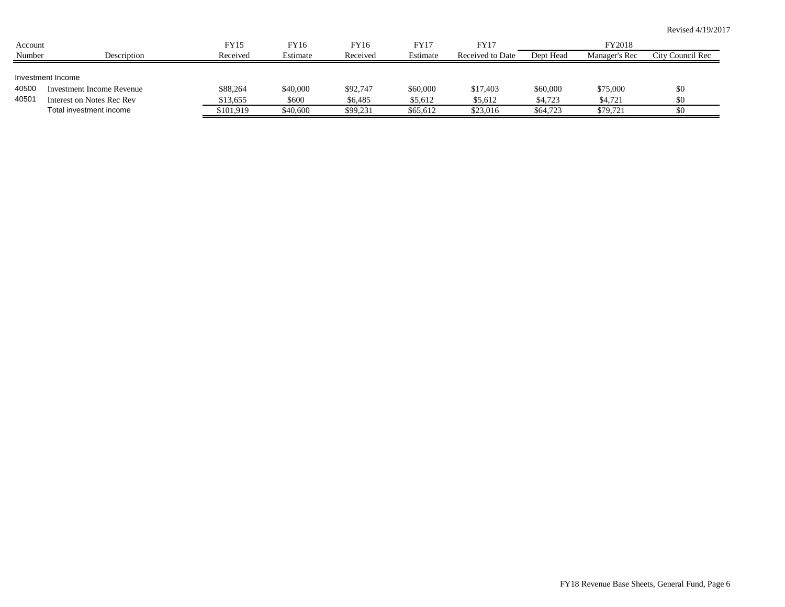| Account        |                                                                                                               | FY15                              | FY16                          | FY16                            | FY17                            | FY17                            |                                 | FY2018                          |                  |
|----------------|---------------------------------------------------------------------------------------------------------------|-----------------------------------|-------------------------------|---------------------------------|---------------------------------|---------------------------------|---------------------------------|---------------------------------|------------------|
| Number         | Description                                                                                                   | Received                          | Estimate                      | Received                        | Estimate                        | Received to Date                | Dept Head                       | Manager's Rec                   | City Council Rec |
| 40500<br>40501 | Investment Income<br><b>Investment Income Revenue</b><br>Interest on Notes Rec Rev<br>Total investment income | \$88,264<br>\$13,655<br>\$101,919 | \$40,000<br>\$600<br>\$40,600 | \$92,747<br>\$6,485<br>\$99,231 | \$60,000<br>\$5,612<br>\$65,612 | \$17,403<br>\$5,612<br>\$23,016 | \$60,000<br>\$4,723<br>\$64,723 | \$75,000<br>\$4,721<br>\$79,721 | \$0<br>\$0<br>80 |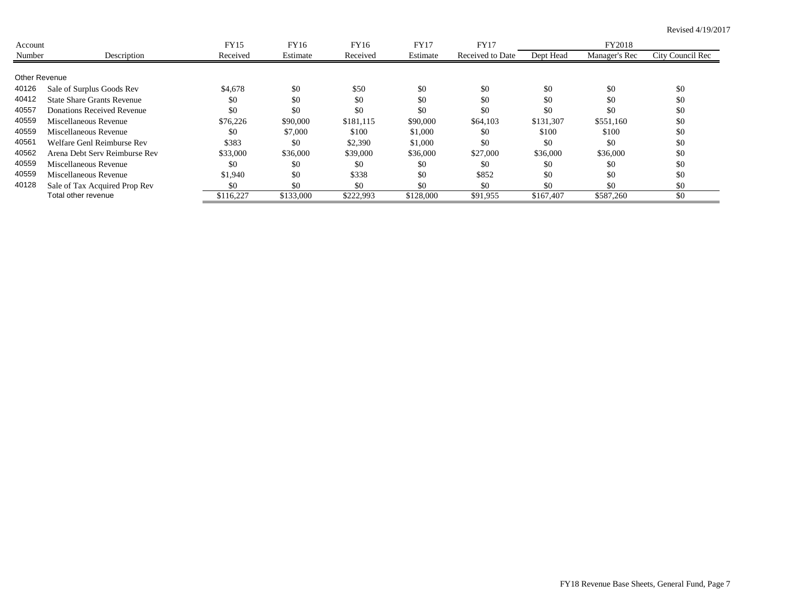| Account       |                                   | FY15      | FY16      | FY16      | <b>FY17</b> | <b>FY17</b>      |           | FY2018        |                  |
|---------------|-----------------------------------|-----------|-----------|-----------|-------------|------------------|-----------|---------------|------------------|
| Number        | Description                       | Received  | Estimate  | Received  | Estimate    | Received to Date | Dept Head | Manager's Rec | City Council Rec |
|               |                                   |           |           |           |             |                  |           |               |                  |
| Other Revenue |                                   |           |           |           |             |                  |           |               |                  |
| 40126         | Sale of Surplus Goods Rev         | \$4,678   | \$0       | \$50      | \$0         | \$0              | \$0       | \$0           | \$0              |
| 40412         | <b>State Share Grants Revenue</b> | \$0       | \$0       | \$0       | \$0         | \$0              | \$0       | \$0           | \$0              |
| 40557         | Donations Received Revenue        | \$0       | \$0       | \$0       | \$0         | \$0              | \$0       | \$0           | \$0              |
| 40559         | Miscellaneous Revenue             | \$76,226  | \$90,000  | \$181.115 | \$90,000    | \$64,103         | \$131,307 | \$551,160     | \$0              |
| 40559         | Miscellaneous Revenue             | \$0       | \$7,000   | \$100     | \$1,000     | \$0              | \$100     | \$100         | \$0              |
| 40561         | Welfare Genl Reimburse Rev        | \$383     | \$0       | \$2,390   | \$1,000     | \$0              | \$0       | \$0           | \$0              |
| 40562         | Arena Debt Serv Reimburse Rev     | \$33,000  | \$36,000  | \$39,000  | \$36,000    | \$27,000         | \$36,000  | \$36,000      | \$0              |
| 40559         | Miscellaneous Revenue             | \$0       | \$0       | \$0       | \$0         | \$0              | \$0       | \$0           | \$0              |
| 40559         | Miscellaneous Revenue             | \$1,940   | \$0       | \$338     | \$0         | \$852            | \$0       | \$0           | \$0              |
| 40128         | Sale of Tax Acquired Prop Rev     | \$0       | \$0       | \$0       | \$0         | \$0              | \$0       | \$0           | \$0              |
|               | Total other revenue               | \$116,227 | \$133,000 | \$222,993 | \$128,000   | \$91,955         | \$167,407 | \$587,260     | \$0              |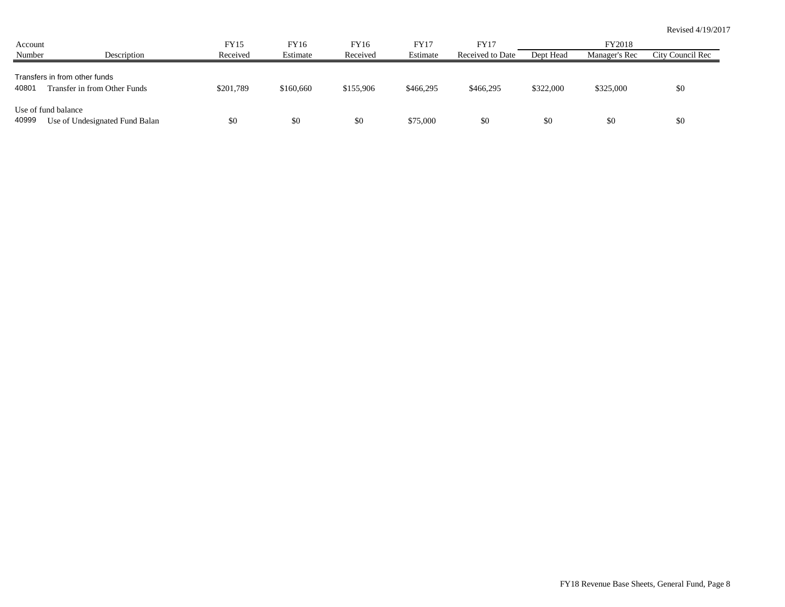| Account |                                                               | FY15      | FY16      | FY16      | <b>FY17</b> | FY17             |           | FY2018        |                  |
|---------|---------------------------------------------------------------|-----------|-----------|-----------|-------------|------------------|-----------|---------------|------------------|
| Number  | Description                                                   | Received  | Estimate  | Received  | Estimate    | Received to Date | Dept Head | Manager's Rec | City Council Rec |
| 40801   | Transfers in from other funds<br>Transfer in from Other Funds | \$201,789 | \$160,660 | \$155,906 | \$466,295   | \$466,295        | \$322,000 | \$325,000     | \$0              |
| 40999   | Use of fund balance<br>Use of Undesignated Fund Balan         | \$0       | \$0       | \$0       | \$75,000    | \$0              | \$0       | \$0           | \$0              |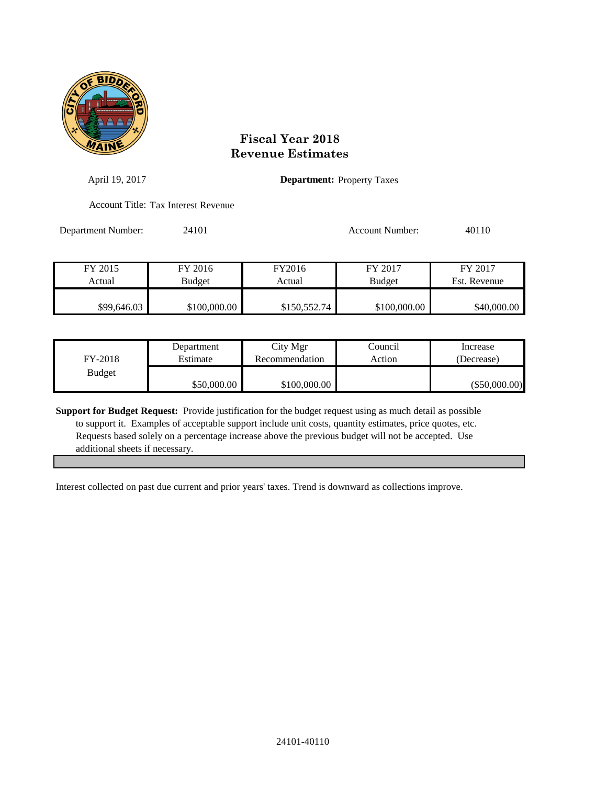

| April 19, 2017     |                                     |              | <b>Department:</b> Property Taxes |              |
|--------------------|-------------------------------------|--------------|-----------------------------------|--------------|
|                    | Account Title: Tax Interest Revenue |              |                                   |              |
| Department Number: | 24101                               |              | Account Number:                   | 40110        |
| FY 2015            | FY 2016                             | FY2016       | FY 2017                           | FY 2017      |
| Actual             | <b>Budget</b>                       | Actual       | <b>Budget</b>                     | Est. Revenue |
| \$99,646.03        | \$100,000.00                        | \$150,552.74 | \$100,000.00                      | \$40,000.00  |

| FY-2018       | Department  | City Mgr       | Council | Increase        |
|---------------|-------------|----------------|---------|-----------------|
|               | Estimate    | Recommendation | Action  | (Decrease)      |
| <b>Budget</b> | \$50,000.00 | \$100,000.00   |         | $(\$50,000.00)$ |

**Support for Budget Request:** Provide justification for the budget request using as much detail as possible to support it. Examples of acceptable support include unit costs, quantity estimates, price quotes, etc. Requests based solely on a percentage increase above the previous budget will not be accepted. Use additional sheets if necessary.

Interest collected on past due current and prior years' taxes. Trend is downward as collections improve.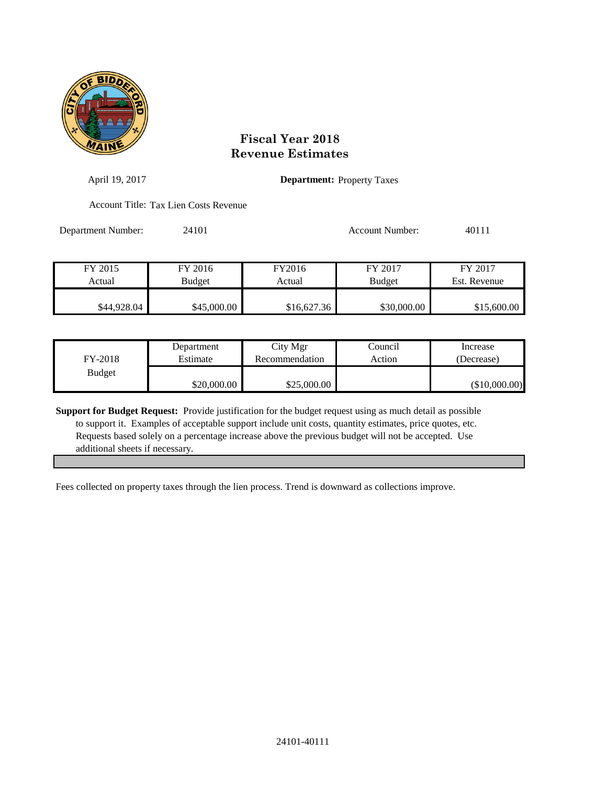

| April 19, 2017     |                                       |             | <b>Department:</b> Property Taxes |              |
|--------------------|---------------------------------------|-------------|-----------------------------------|--------------|
|                    | Account Title: Tax Lien Costs Revenue |             |                                   |              |
| Department Number: | 24101                                 |             | Account Number:                   | 40111        |
| FY 2015            | FY 2016                               | FY2016      | FY 2017                           | FY 2017      |
| Actual             | <b>Budget</b>                         | Actual      | <b>Budget</b>                     | Est. Revenue |
| \$44,928.04        | \$45,000.00                           | \$16,627.36 | \$30,000.00                       | \$15,600.00  |

| FY-2018       | Department  | City Mgr       | Council | Increase        |
|---------------|-------------|----------------|---------|-----------------|
|               | Estimate    | Recommendation | Action  | (Decrease)      |
| <b>Budget</b> | \$20,000.00 | \$25,000.00    |         | $(\$10,000.00)$ |

**Support for Budget Request:** Provide justification for the budget request using as much detail as possible to support it. Examples of acceptable support include unit costs, quantity estimates, price quotes, etc. Requests based solely on a percentage increase above the previous budget will not be accepted. Use additional sheets if necessary.

Fees collected on property taxes through the lien process. Trend is downward as collections improve.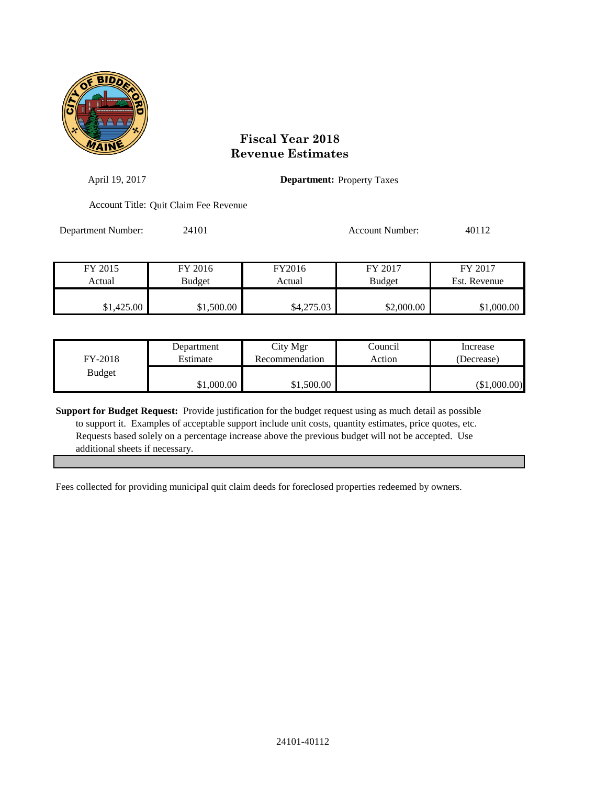

| April 19, 2017     |                                       |            | <b>Department:</b> Property Taxes |              |
|--------------------|---------------------------------------|------------|-----------------------------------|--------------|
|                    | Account Title: Quit Claim Fee Revenue |            |                                   |              |
| Department Number: | 24101                                 |            | <b>Account Number:</b>            | 40112        |
| FY 2015            | FY 2016                               | FY2016     | FY 2017                           | FY 2017      |
| Actual             | <b>Budget</b>                         | Actual     | <b>Budget</b>                     | Est. Revenue |
| \$1,425.00         | \$1,500.00                            | \$4,275.03 | \$2,000.00                        | \$1,000.00   |

| FY-2018       | Department | City Mgr       | Council | Increase     |
|---------------|------------|----------------|---------|--------------|
|               | Estimate   | Recommendation | Action  | (Decrease)   |
| <b>Budget</b> | \$1,000.00 | \$1,500.00     |         | (\$1,000.00) |

**Support for Budget Request:** Provide justification for the budget request using as much detail as possible to support it. Examples of acceptable support include unit costs, quantity estimates, price quotes, etc. Requests based solely on a percentage increase above the previous budget will not be accepted. Use additional sheets if necessary.

Fees collected for providing municipal quit claim deeds for foreclosed properties redeemed by owners.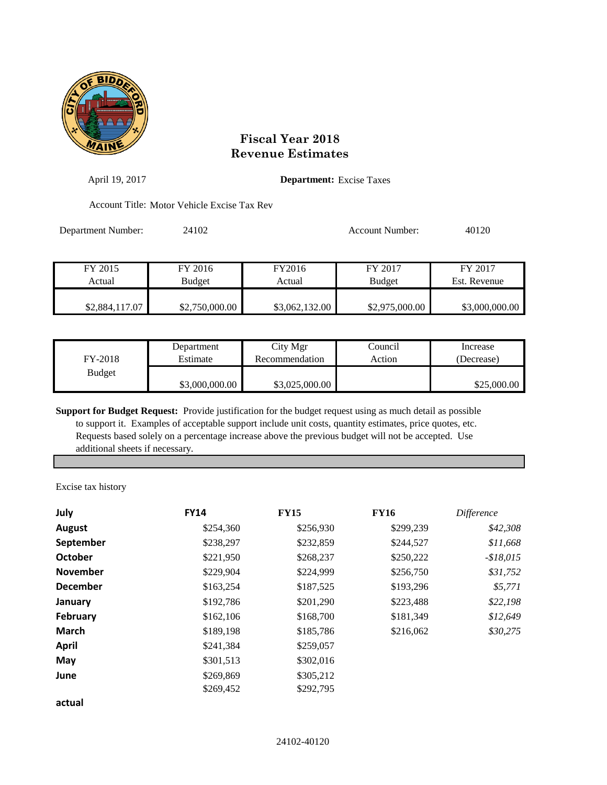

| April 19, 2017     | <b>Department:</b> Excise Taxes             |                  |                          |                         |
|--------------------|---------------------------------------------|------------------|--------------------------|-------------------------|
|                    | Account Title: Motor Vehicle Excise Tax Rev |                  |                          |                         |
| Department Number: | 24102                                       |                  | Account Number:          | 40120                   |
| FY 2015<br>Actual  | FY 2016<br><b>Budget</b>                    | FY2016<br>Actual | FY 2017<br><b>Budget</b> | FY 2017<br>Est. Revenue |
| \$2,884,117.07     | \$2,750,000.00                              | \$3,062,132.00   | \$2,975,000.00           | \$3,000,000.00          |

| FY-2018       | Department     | City Mgr       | Council | Increase    |
|---------------|----------------|----------------|---------|-------------|
|               | Estimate       | Recommendation | Action  | (Decrease)  |
| <b>Budget</b> | \$3,000,000.00 | \$3,025,000.00 |         | \$25,000.00 |

**Support for Budget Request:** Provide justification for the budget request using as much detail as possible to support it. Examples of acceptable support include unit costs, quantity estimates, price quotes, etc. Requests based solely on a percentage increase above the previous budget will not be accepted. Use additional sheets if necessary.

Excise tax history

| July            | <b>FY14</b> | <b>FY15</b> | <b>FY16</b> | <i>Difference</i> |
|-----------------|-------------|-------------|-------------|-------------------|
| August          | \$254,360   | \$256,930   | \$299,239   | \$42,308          |
| September       | \$238,297   | \$232,859   | \$244,527   | \$11,668          |
| <b>October</b>  | \$221,950   | \$268,237   | \$250,222   | $-$18,015$        |
| <b>November</b> | \$229,904   | \$224,999   | \$256,750   | \$31,752          |
| <b>December</b> | \$163,254   | \$187,525   | \$193,296   | \$5,771           |
| January         | \$192,786   | \$201,290   | \$223,488   | \$22,198          |
| February        | \$162,106   | \$168,700   | \$181,349   | \$12,649          |
| <b>March</b>    | \$189,198   | \$185,786   | \$216,062   | \$30,275          |
| <b>April</b>    | \$241,384   | \$259,057   |             |                   |
| May             | \$301,513   | \$302,016   |             |                   |
| June            | \$269,869   | \$305,212   |             |                   |
|                 | \$269,452   | \$292,795   |             |                   |
| actual          |             |             |             |                   |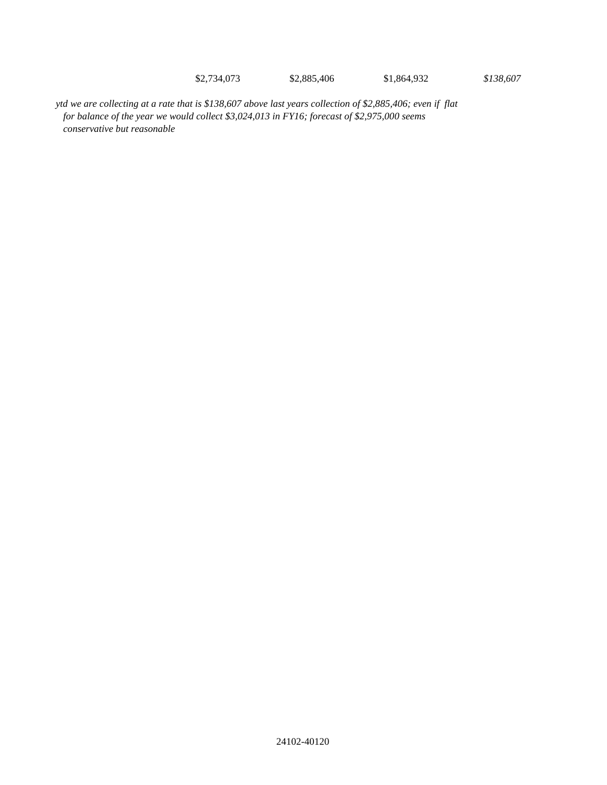\$2,734,073 \$2,885,406 \$1,864,932 *\$138,607*

*ytd we are collecting at a rate that is \$138,607 above last years collection of \$2,885,406; even if flat for balance of the year we would collect \$3,024,013 in FY16; forecast of \$2,975,000 seems conservative but reasonable*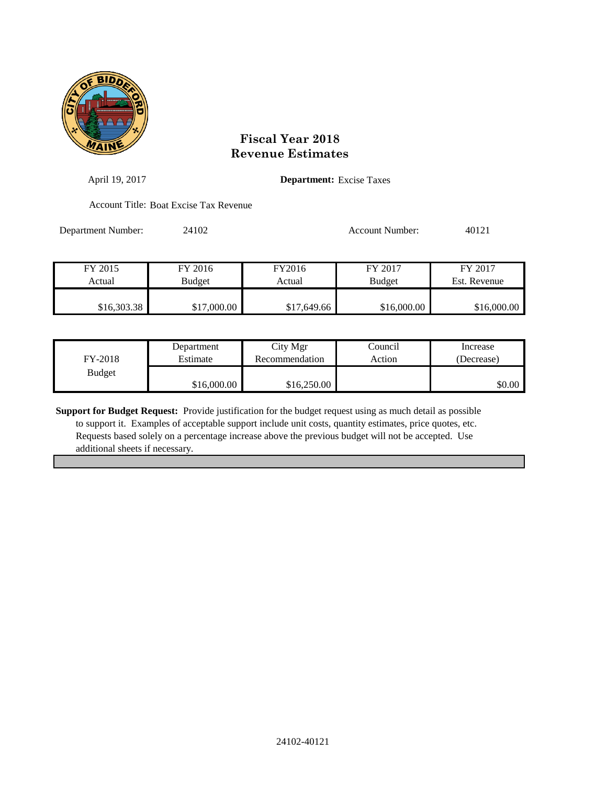

| April 19, 2017     |                                        | <b>Department:</b> Excise Taxes |                          |                         |
|--------------------|----------------------------------------|---------------------------------|--------------------------|-------------------------|
|                    | Account Title: Boat Excise Tax Revenue |                                 |                          |                         |
| Department Number: | 24102                                  |                                 | Account Number:          | 40121                   |
| FY 2015<br>Actual  | FY 2016<br>Budget                      | FY2016<br>Actual                | FY 2017<br><b>Budget</b> | FY 2017<br>Est. Revenue |
| \$16,303.38        | \$17,000.00                            | \$17,649.66                     | \$16,000.00              | \$16,000.00             |

| FY-2018       | Department  | City Mgr       | Council | Increase   |
|---------------|-------------|----------------|---------|------------|
|               | Estimate    | Recommendation | Action  | (Decrease) |
| <b>Budget</b> | \$16,000.00 | \$16,250.00    |         | \$0.00     |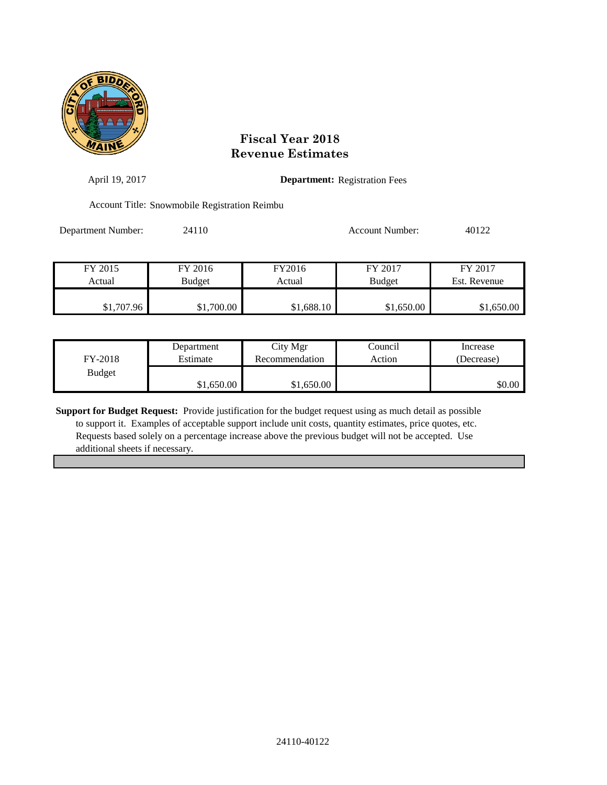

| April 19, 2017     |                                               | <b>Department:</b> Registration Fees |                 |              |  |  |
|--------------------|-----------------------------------------------|--------------------------------------|-----------------|--------------|--|--|
|                    | Account Title: Snowmobile Registration Reimbu |                                      |                 |              |  |  |
| Department Number: | 24110                                         |                                      | Account Number: | 40122        |  |  |
| FY 2015            | FY 2016                                       | FY2016                               | FY 2017         | FY 2017      |  |  |
| Actual             | <b>Budget</b>                                 | Actual                               | <b>Budget</b>   | Est. Revenue |  |  |
|                    |                                               |                                      |                 |              |  |  |
| \$1,707.96         | \$1,700.00                                    | \$1,688.10                           | \$1,650.00      | \$1,650.00   |  |  |

| FY-2018       | Department | City Mgr       | Council | Increase   |
|---------------|------------|----------------|---------|------------|
|               | Estimate   | Recommendation | Action  | (Decrease) |
| <b>Budget</b> | \$1.650.00 | \$1,650.00     |         | \$0.00     |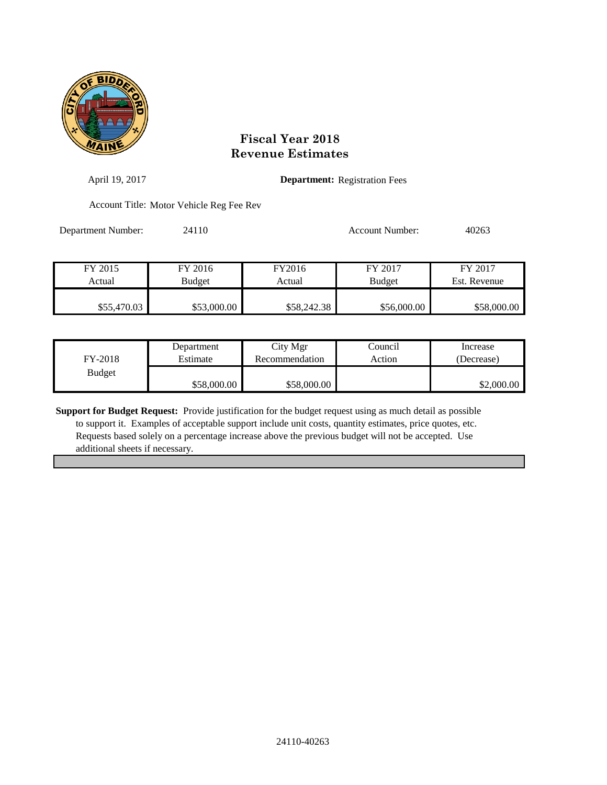

| April 19, 2017     |                                          |             | <b>Department:</b> Registration Fees |              |  |
|--------------------|------------------------------------------|-------------|--------------------------------------|--------------|--|
|                    | Account Title: Motor Vehicle Reg Fee Rev |             |                                      |              |  |
| Department Number: | 24110                                    |             | <b>Account Number:</b>               | 40263        |  |
| FY 2015            | FY 2016                                  | FY2016      | FY 2017                              | FY 2017      |  |
| Actual             | <b>Budget</b>                            | Actual      | <b>Budget</b>                        | Est. Revenue |  |
| \$55,470.03        | \$53,000.00                              | \$58,242.38 | \$56,000.00                          | \$58,000.00  |  |

| FY-2018       | Department  | City Mgr       | Council | Increase   |
|---------------|-------------|----------------|---------|------------|
|               | Estimate    | Recommendation | Action  | (Decrease) |
| <b>Budget</b> | \$58,000.00 | \$58,000.00    |         | \$2,000.00 |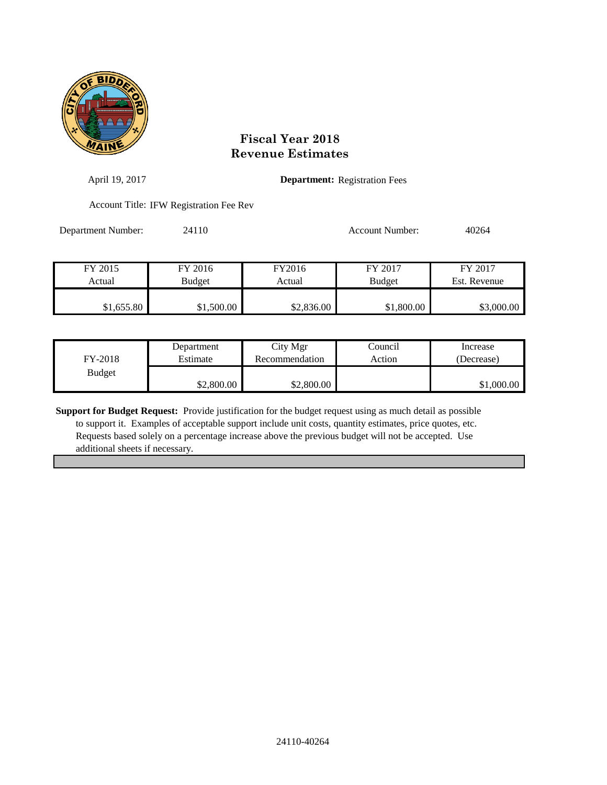

| April 19, 2017     |                                         |            | <b>Department:</b> Registration Fees |              |  |
|--------------------|-----------------------------------------|------------|--------------------------------------|--------------|--|
|                    | Account Title: IFW Registration Fee Rev |            |                                      |              |  |
| Department Number: | 24110                                   |            | <b>Account Number:</b>               | 40264        |  |
| FY 2015            | FY 2016                                 | FY2016     | FY 2017                              | FY 2017      |  |
| Actual             | Budget                                  | Actual     | <b>Budget</b>                        | Est. Revenue |  |
| \$1,655.80         | \$1,500.00                              | \$2,836.00 | \$1,800.00                           | \$3,000.00   |  |

| FY-2018       | Department | City Mgr       | Council | Increase   |
|---------------|------------|----------------|---------|------------|
|               | Estimate   | Recommendation | Action  | (Decrease) |
| <b>Budget</b> | \$2,800.00 | \$2,800.00     |         | \$1,000.00 |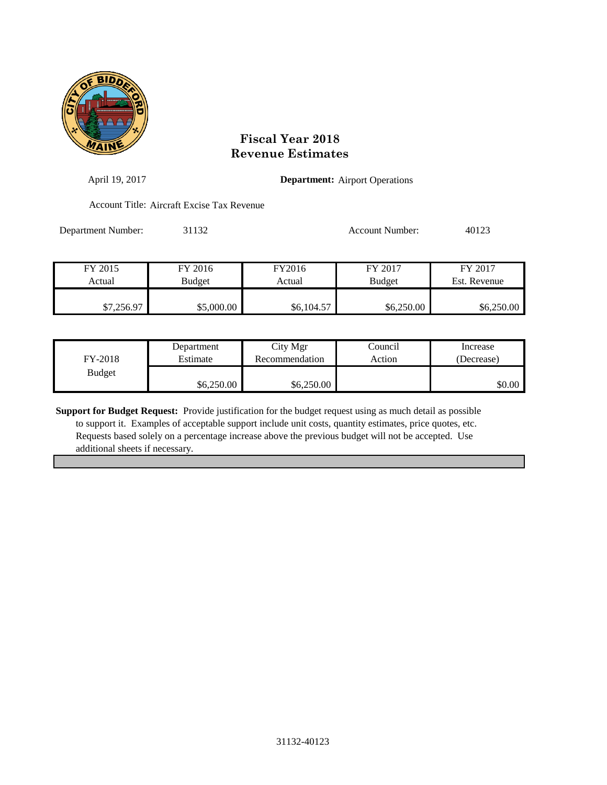

| April 19, 2017     | <b>Department:</b> Airport Operations      |                  |                          |                         |  |
|--------------------|--------------------------------------------|------------------|--------------------------|-------------------------|--|
|                    | Account Title: Aircraft Excise Tax Revenue |                  |                          |                         |  |
| Department Number: | 31132                                      |                  | <b>Account Number:</b>   | 40123                   |  |
| FY 2015<br>Actual  | FY 2016                                    | FY2016<br>Actual | FY 2017<br><b>Budget</b> | FY 2017<br>Est. Revenue |  |
|                    | <b>Budget</b>                              |                  |                          |                         |  |
| \$7,256.97         | \$5,000.00                                 | \$6,104.57       | \$6,250.00               | \$6,250.00              |  |

| FY-2018       | Department | City Mgr       | Council | Increase   |
|---------------|------------|----------------|---------|------------|
|               | Estimate   | Recommendation | Action  | (Decrease) |
| <b>Budget</b> | \$6,250.00 | \$6,250.00     |         | \$0.00     |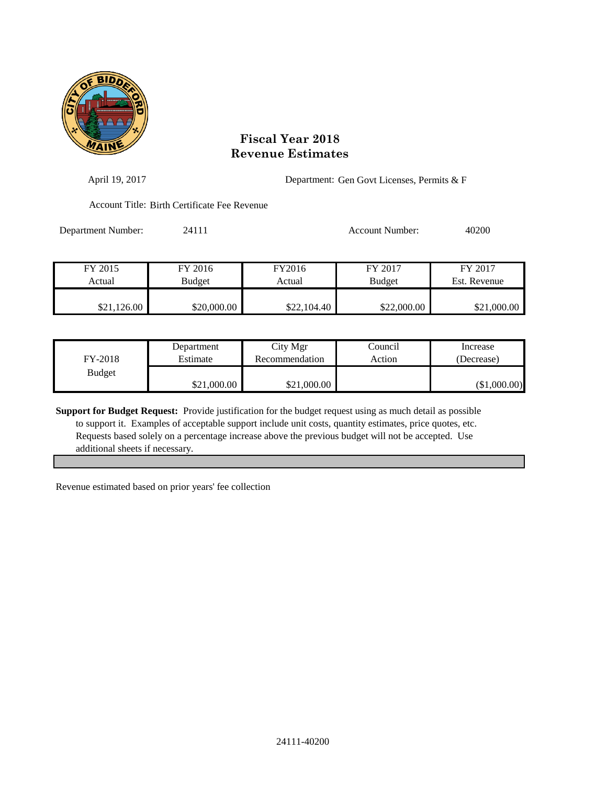

| April 19, 2017     |                                              |                  | Department: Gen Govt Licenses, Permits & F |                         |  |
|--------------------|----------------------------------------------|------------------|--------------------------------------------|-------------------------|--|
|                    | Account Title: Birth Certificate Fee Revenue |                  |                                            |                         |  |
| Department Number: | 24111                                        |                  | Account Number:                            | 40200                   |  |
| FY 2015<br>Actual  | FY 2016<br><b>Budget</b>                     | FY2016<br>Actual | FY 2017<br><b>Budget</b>                   | FY 2017<br>Est. Revenue |  |
| \$21,126.00        | \$20,000.00                                  | \$22,104.40      | \$22,000.00                                | \$21,000.00             |  |

| FY-2018       | Department  | City Mgr       | Council | Increase     |
|---------------|-------------|----------------|---------|--------------|
|               | Estimate    | Recommendation | Action  | (Decrease)   |
| <b>Budget</b> | \$21,000.00 | \$21,000.00    |         | (\$1,000.00) |

**Support for Budget Request:** Provide justification for the budget request using as much detail as possible to support it. Examples of acceptable support include unit costs, quantity estimates, price quotes, etc. Requests based solely on a percentage increase above the previous budget will not be accepted. Use additional sheets if necessary.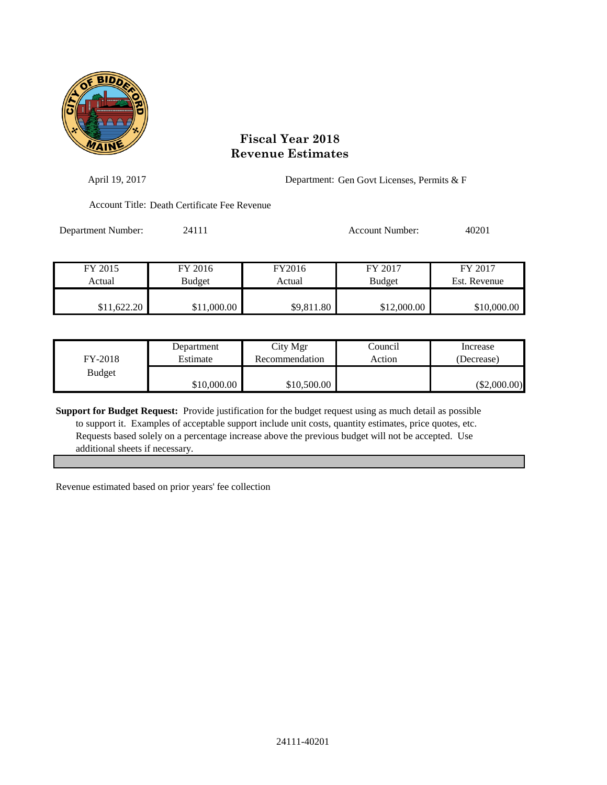

| April 19, 2017     |                                              |                  | Department: Gen Govt Licenses, Permits & F |                         |  |
|--------------------|----------------------------------------------|------------------|--------------------------------------------|-------------------------|--|
|                    | Account Title: Death Certificate Fee Revenue |                  |                                            |                         |  |
| Department Number: | 24111                                        |                  | Account Number:                            | 40201                   |  |
| FY 2015<br>Actual  | FY 2016<br>Budget                            | FY2016<br>Actual | FY 2017<br><b>Budget</b>                   | FY 2017<br>Est. Revenue |  |
| \$11,622.20        | \$11,000.00                                  | \$9,811.80       | \$12,000.00                                | \$10,000.00             |  |

| FY-2018       | Department  | City Mgr       | Council | Increase       |
|---------------|-------------|----------------|---------|----------------|
|               | Estimate    | Recommendation | Action  | (Decrease)     |
| <b>Budget</b> | \$10,000.00 | \$10,500.00    |         | $(\$2,000.00)$ |

**Support for Budget Request:** Provide justification for the budget request using as much detail as possible to support it. Examples of acceptable support include unit costs, quantity estimates, price quotes, etc. Requests based solely on a percentage increase above the previous budget will not be accepted. Use additional sheets if necessary.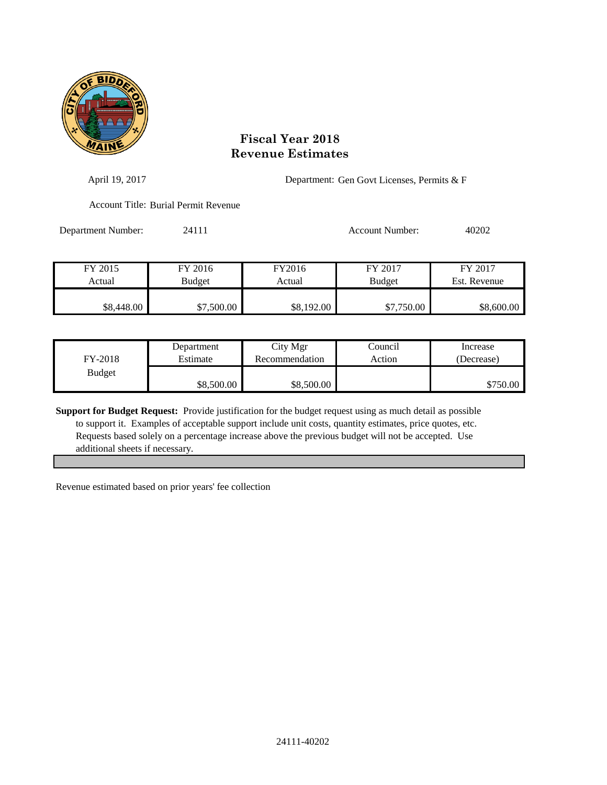

| April 19, 2017     |                                      | Department: Gen Govt Licenses, Permits & F |                        |              |
|--------------------|--------------------------------------|--------------------------------------------|------------------------|--------------|
|                    | Account Title: Burial Permit Revenue |                                            |                        |              |
| Department Number: | 24111                                |                                            | <b>Account Number:</b> | 40202        |
| FY 2015            | FY 2016                              | FY2016                                     | FY 2017                | FY 2017      |
| Actual             | <b>Budget</b>                        | Actual                                     | <b>Budget</b>          | Est. Revenue |
| \$8,448.00         | \$7,500.00                           | \$8,192.00                                 | \$7,750.00             | \$8,600.00   |

| FY-2018       | Department | City Mgr       | Council | Increase   |
|---------------|------------|----------------|---------|------------|
|               | Estimate   | Recommendation | Action  | (Decrease) |
| <b>Budget</b> | \$8,500.00 | \$8,500.00     |         | \$750.00 l |

**Support for Budget Request:** Provide justification for the budget request using as much detail as possible to support it. Examples of acceptable support include unit costs, quantity estimates, price quotes, etc. Requests based solely on a percentage increase above the previous budget will not be accepted. Use additional sheets if necessary.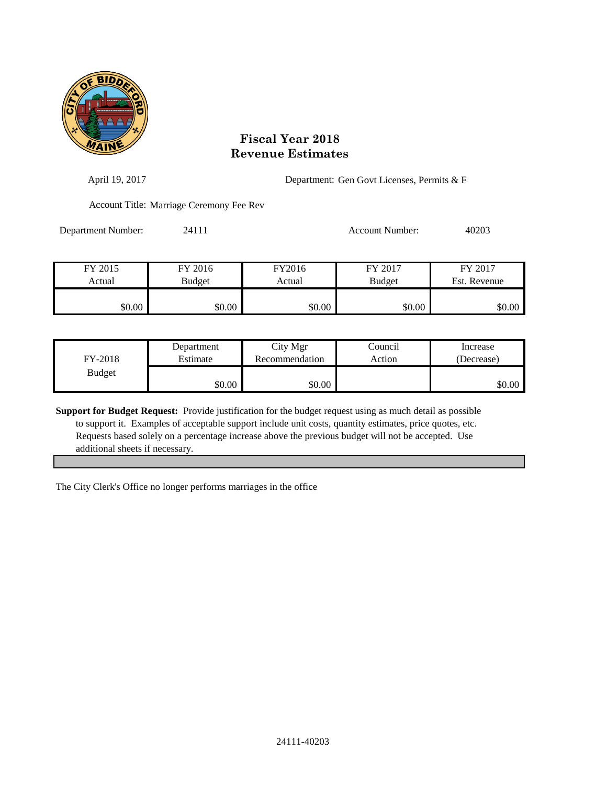

| April 19, 2017     |                                          |        | Department: Gen Govt Licenses, Permits & F |              |  |
|--------------------|------------------------------------------|--------|--------------------------------------------|--------------|--|
|                    | Account Title: Marriage Ceremony Fee Rev |        |                                            |              |  |
| Department Number: | 24111                                    |        | Account Number:                            | 40203        |  |
| FY 2015            | FY 2016                                  | FY2016 | FY 2017                                    | FY 2017      |  |
| Actual             | <b>Budget</b>                            | Actual | <b>Budget</b>                              | Est. Revenue |  |
| \$0.00             | \$0.00                                   | \$0.00 | \$0.00                                     | \$0.00       |  |

| FY-2018       | Department | City Mgr       | Council | Increase   |
|---------------|------------|----------------|---------|------------|
|               | Estimate   | Recommendation | Action  | (Decrease) |
| <b>Budget</b> | \$0.00     | \$0.00         |         | \$0.00     |

**Support for Budget Request:** Provide justification for the budget request using as much detail as possible to support it. Examples of acceptable support include unit costs, quantity estimates, price quotes, etc. Requests based solely on a percentage increase above the previous budget will not be accepted. Use additional sheets if necessary.

The City Clerk's Office no longer performs marriages in the office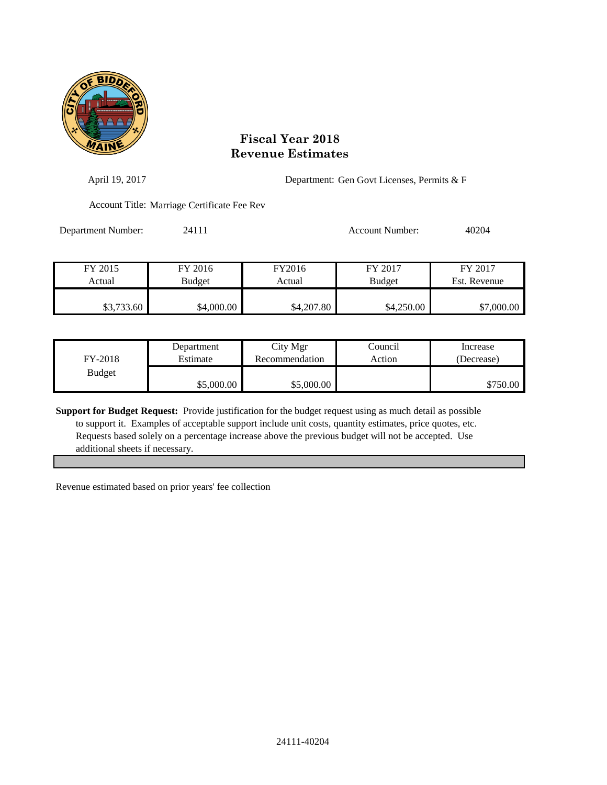

| April 19, 2017     |                                             |            | Department: Gen Govt Licenses, Permits & F |              |  |
|--------------------|---------------------------------------------|------------|--------------------------------------------|--------------|--|
|                    | Account Title: Marriage Certificate Fee Rev |            |                                            |              |  |
| Department Number: | 24111                                       |            | <b>Account Number:</b>                     | 40204        |  |
| FY 2015            | FY 2016                                     | FY2016     | FY 2017                                    | FY 2017      |  |
| Actual             | Budget                                      | Actual     | <b>Budget</b>                              | Est. Revenue |  |
| \$3,733.60         | \$4,000.00                                  | \$4,207.80 | \$4,250.00                                 | \$7,000.00   |  |

| FY-2018       | Department | City Mgr       | Council | Increase   |
|---------------|------------|----------------|---------|------------|
|               | Estimate   | Recommendation | Action  | (Decrease) |
| <b>Budget</b> | \$5,000.00 | \$5,000.00     |         | \$750.00   |

**Support for Budget Request:** Provide justification for the budget request using as much detail as possible to support it. Examples of acceptable support include unit costs, quantity estimates, price quotes, etc. Requests based solely on a percentage increase above the previous budget will not be accepted. Use additional sheets if necessary.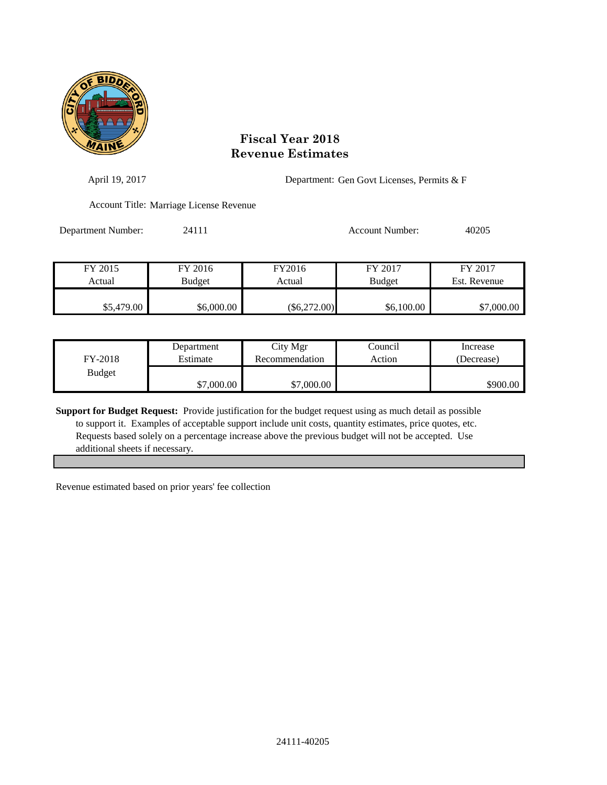

| April 19, 2017     |                                         |                  | Department: Gen Govt Licenses, Permits & F |                         |
|--------------------|-----------------------------------------|------------------|--------------------------------------------|-------------------------|
|                    | Account Title: Marriage License Revenue |                  |                                            |                         |
| Department Number: | 24111                                   |                  | <b>Account Number:</b>                     | 40205                   |
| FY 2015<br>Actual  | FY 2016<br>Budget                       | FY2016<br>Actual | FY 2017<br><b>Budget</b>                   | FY 2017<br>Est. Revenue |
|                    |                                         |                  |                                            |                         |
| \$5,479.00         | \$6,000.00                              | $(\$6,272.00)$   | \$6,100.00                                 | \$7,000.00              |

| FY-2018       | Department | City Mgr       | Council | Increase   |
|---------------|------------|----------------|---------|------------|
|               | Estimate   | Recommendation | Action  | (Decrease) |
| <b>Budget</b> | \$7,000.00 | \$7,000.00     |         | \$900.00   |

**Support for Budget Request:** Provide justification for the budget request using as much detail as possible to support it. Examples of acceptable support include unit costs, quantity estimates, price quotes, etc. Requests based solely on a percentage increase above the previous budget will not be accepted. Use additional sheets if necessary.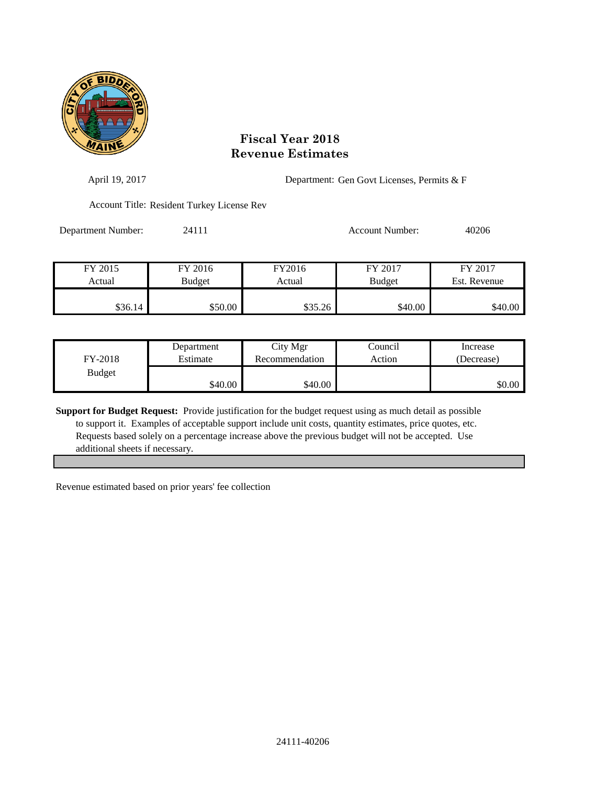

| April 19, 2017     |                                            |         | Department: Gen Govt Licenses, Permits & F |              |  |
|--------------------|--------------------------------------------|---------|--------------------------------------------|--------------|--|
|                    | Account Title: Resident Turkey License Rev |         |                                            |              |  |
| Department Number: | 24111                                      |         | Account Number:                            | 40206        |  |
| FY 2015            | FY 2016                                    | FY2016  | FY 2017                                    | FY 2017      |  |
| Actual             | <b>Budget</b>                              | Actual  | <b>Budget</b>                              | Est. Revenue |  |
| \$36.14            | \$50.00                                    | \$35.26 | \$40.00                                    | \$40.00      |  |

| FY-2018       | Department | City Mgr       | Council | Increase   |
|---------------|------------|----------------|---------|------------|
|               | Estimate   | Recommendation | Action  | (Decrease) |
| <b>Budget</b> | \$40.00    | \$40.00        |         | \$0.00     |

**Support for Budget Request:** Provide justification for the budget request using as much detail as possible to support it. Examples of acceptable support include unit costs, quantity estimates, price quotes, etc. Requests based solely on a percentage increase above the previous budget will not be accepted. Use additional sheets if necessary.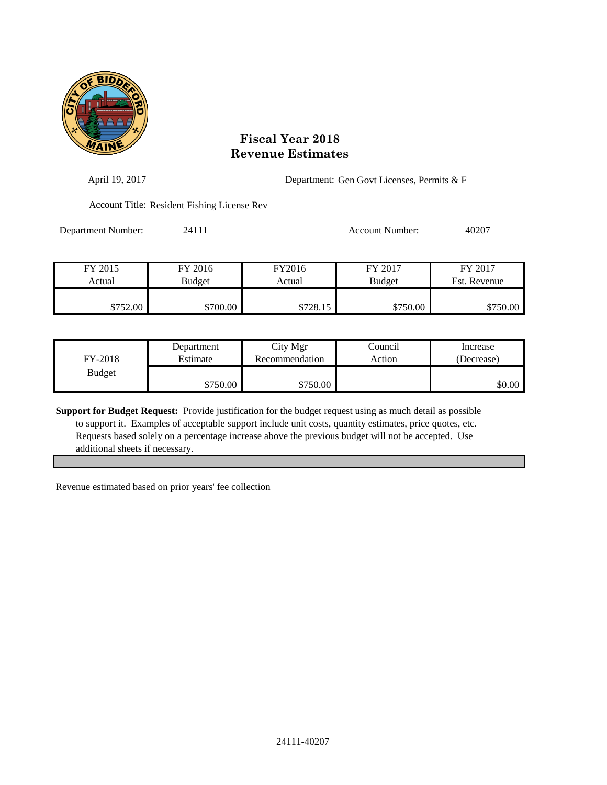

| April 19, 2017     |                                             |          | Department: Gen Govt Licenses, Permits & F |              |  |
|--------------------|---------------------------------------------|----------|--------------------------------------------|--------------|--|
|                    | Account Title: Resident Fishing License Rev |          |                                            |              |  |
| Department Number: | 24111                                       |          | Account Number:                            | 40207        |  |
| FY 2015            | FY 2016                                     | FY2016   | FY 2017                                    | FY 2017      |  |
| Actual             | Budget                                      | Actual   | <b>Budget</b>                              | Est. Revenue |  |
| \$752.00           | \$700.00                                    | \$728.15 | \$750.00                                   | \$750.00     |  |

| FY-2018       | Department | City Mgr       | Council | Increase   |
|---------------|------------|----------------|---------|------------|
|               | Estimate   | Recommendation | Action  | (Decrease) |
| <b>Budget</b> | \$750.00   | \$750.00       |         | \$0.00     |

**Support for Budget Request:** Provide justification for the budget request using as much detail as possible to support it. Examples of acceptable support include unit costs, quantity estimates, price quotes, etc. Requests based solely on a percentage increase above the previous budget will not be accepted. Use additional sheets if necessary.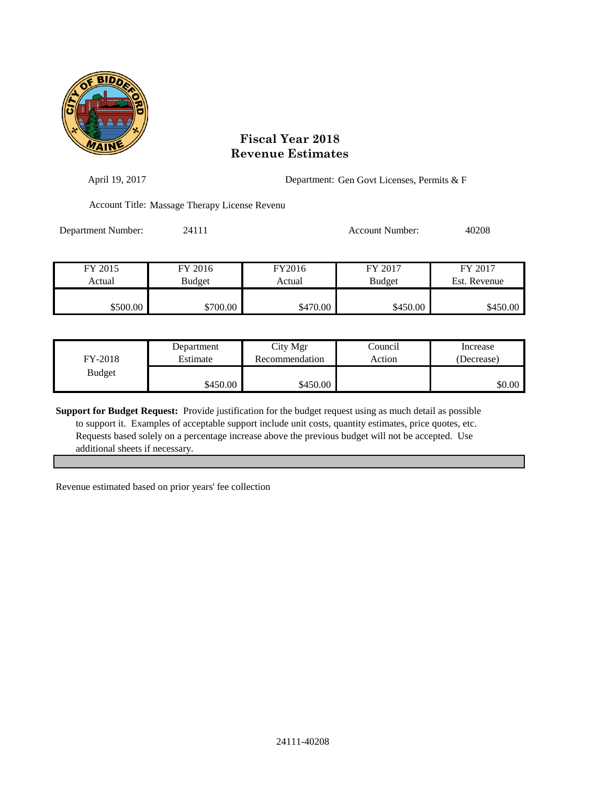

| April 19, 2017     | Department: Gen Govt Licenses, Permits & F    |                  |                          |                         |
|--------------------|-----------------------------------------------|------------------|--------------------------|-------------------------|
|                    | Account Title: Massage Therapy License Revenu |                  |                          |                         |
| Department Number: | 24111                                         |                  | <b>Account Number:</b>   | 40208                   |
| FY 2015<br>Actual  | FY 2016<br><b>Budget</b>                      | FY2016<br>Actual | FY 2017<br><b>Budget</b> | FY 2017<br>Est. Revenue |
| \$500.00           | \$700.00                                      | \$470.00         | \$450.00                 | \$450.00                |

| FY-2018       | Department | City Mgr       | Council | Increase   |
|---------------|------------|----------------|---------|------------|
|               | Estimate   | Recommendation | Action  | (Decrease) |
| <b>Budget</b> | \$450.00   | \$450.00       |         | \$0.00     |

**Support for Budget Request:** Provide justification for the budget request using as much detail as possible to support it. Examples of acceptable support include unit costs, quantity estimates, price quotes, etc. Requests based solely on a percentage increase above the previous budget will not be accepted. Use additional sheets if necessary.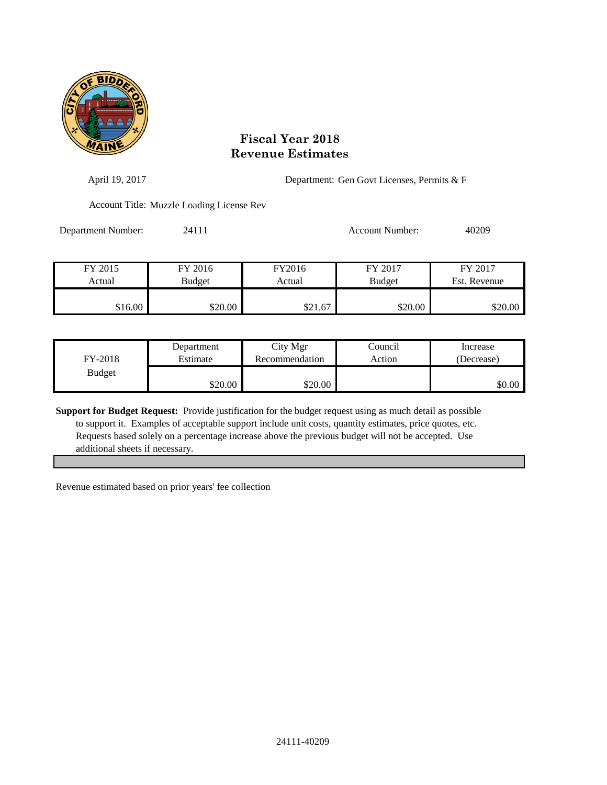

| April 19, 2017     |                                           |         | Department: Gen Govt Licenses, Permits & F |              |  |
|--------------------|-------------------------------------------|---------|--------------------------------------------|--------------|--|
|                    | Account Title: Muzzle Loading License Rev |         |                                            |              |  |
| Department Number: | 24111                                     |         | Account Number:                            | 40209        |  |
|                    |                                           |         |                                            |              |  |
| FY 2015            | FY 2016                                   | FY2016  | FY 2017                                    | FY 2017      |  |
| Actual             | <b>Budget</b>                             | Actual  | <b>Budget</b>                              | Est. Revenue |  |
| \$16.00            | \$20.00                                   | \$21.67 | \$20.00                                    | \$20.00      |  |

| FY-2018       | Department | City Mgr       | Council | Increase   |
|---------------|------------|----------------|---------|------------|
|               | Estimate   | Recommendation | Action  | (Decrease) |
| <b>Budget</b> | \$20.00    | \$20.00        |         | \$0.00     |

**Support for Budget Request:** Provide justification for the budget request using as much detail as possible to support it. Examples of acceptable support include unit costs, quantity estimates, price quotes, etc. Requests based solely on a percentage increase above the previous budget will not be accepted. Use additional sheets if necessary.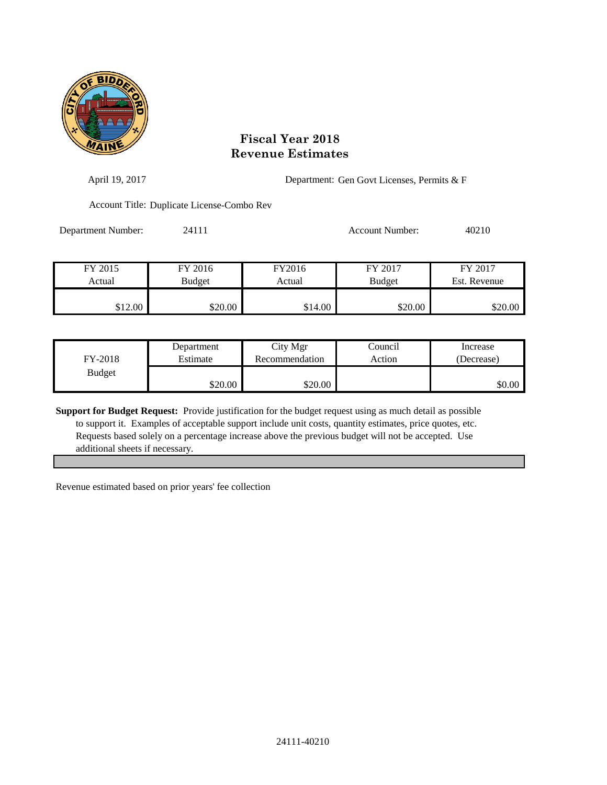

| April 19, 2017     |                                            |                  | Department: Gen Govt Licenses, Permits & F |                         |  |
|--------------------|--------------------------------------------|------------------|--------------------------------------------|-------------------------|--|
|                    | Account Title: Duplicate License-Combo Rev |                  |                                            |                         |  |
| Department Number: | 24111                                      |                  | <b>Account Number:</b>                     | 40210                   |  |
| FY 2015<br>Actual  | FY 2016<br><b>Budget</b>                   | FY2016<br>Actual | FY 2017<br><b>Budget</b>                   | FY 2017<br>Est. Revenue |  |
| \$12.00            | \$20.00                                    | \$14.00          | \$20.00                                    | \$20.00                 |  |

| FY-2018       | Department | City Mgr       | Council | Increase   |
|---------------|------------|----------------|---------|------------|
|               | Estimate   | Recommendation | Action  | (Decrease) |
| <b>Budget</b> | \$20.00    | \$20.00        |         | \$0.00     |

**Support for Budget Request:** Provide justification for the budget request using as much detail as possible to support it. Examples of acceptable support include unit costs, quantity estimates, price quotes, etc. Requests based solely on a percentage increase above the previous budget will not be accepted. Use additional sheets if necessary.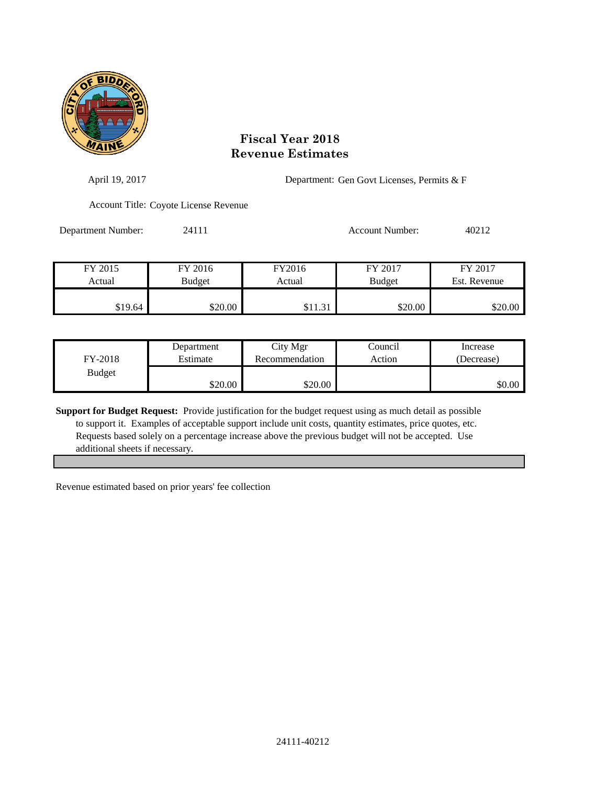

| April 19, 2017     |                                       |                  | Department: Gen Govt Licenses, Permits & F |                         |  |
|--------------------|---------------------------------------|------------------|--------------------------------------------|-------------------------|--|
|                    | Account Title: Coyote License Revenue |                  |                                            |                         |  |
| Department Number: | 24111                                 |                  | <b>Account Number:</b>                     | 40212                   |  |
| FY 2015<br>Actual  | FY 2016<br>Budget                     | FY2016<br>Actual | FY 2017<br><b>Budget</b>                   | FY 2017<br>Est. Revenue |  |
| \$19.64            | \$20.00                               | \$11.31          | \$20.00                                    | \$20.00                 |  |

| FY-2018       | Department | City Mgr       | Council | Increase   |
|---------------|------------|----------------|---------|------------|
|               | Estimate   | Recommendation | Action  | (Decrease) |
| <b>Budget</b> | \$20.00    | \$20.00        |         | \$0.00     |

**Support for Budget Request:** Provide justification for the budget request using as much detail as possible to support it. Examples of acceptable support include unit costs, quantity estimates, price quotes, etc. Requests based solely on a percentage increase above the previous budget will not be accepted. Use additional sheets if necessary.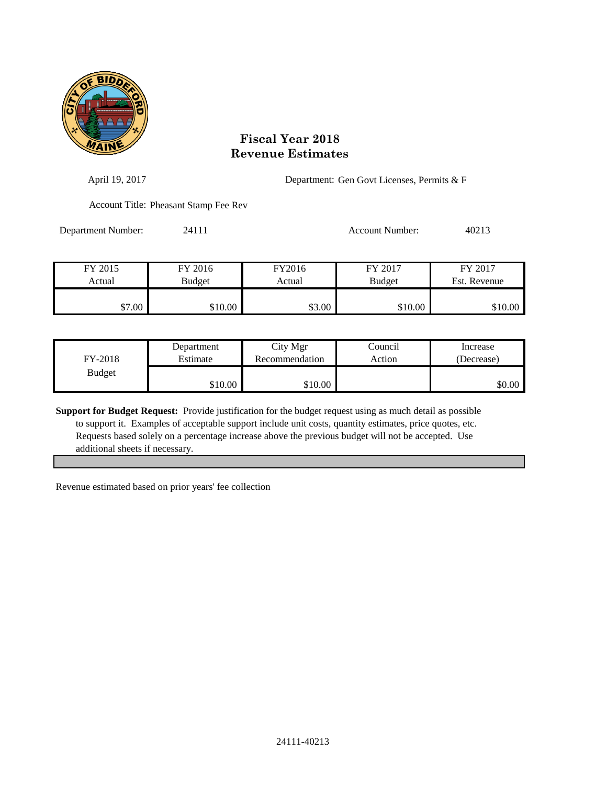

| April 19, 2017     |                                       |        | Department: Gen Govt Licenses, Permits & F |              |  |
|--------------------|---------------------------------------|--------|--------------------------------------------|--------------|--|
|                    | Account Title: Pheasant Stamp Fee Rev |        |                                            |              |  |
| Department Number: | 24111                                 |        | <b>Account Number:</b>                     | 40213        |  |
| FY 2015            | FY 2016                               | FY2016 | FY 2017                                    | FY 2017      |  |
| Actual             | <b>Budget</b>                         | Actual | <b>Budget</b>                              | Est. Revenue |  |
| \$7.00             | \$10.00                               | \$3.00 | \$10.00                                    | \$10.00      |  |

| FY-2018       | Department | City Mgr       | Council | Increase   |
|---------------|------------|----------------|---------|------------|
|               | Estimate   | Recommendation | Action  | (Decrease) |
| <b>Budget</b> | \$10.00    | \$10.00        |         | \$0.00     |

**Support for Budget Request:** Provide justification for the budget request using as much detail as possible to support it. Examples of acceptable support include unit costs, quantity estimates, price quotes, etc. Requests based solely on a percentage increase above the previous budget will not be accepted. Use additional sheets if necessary.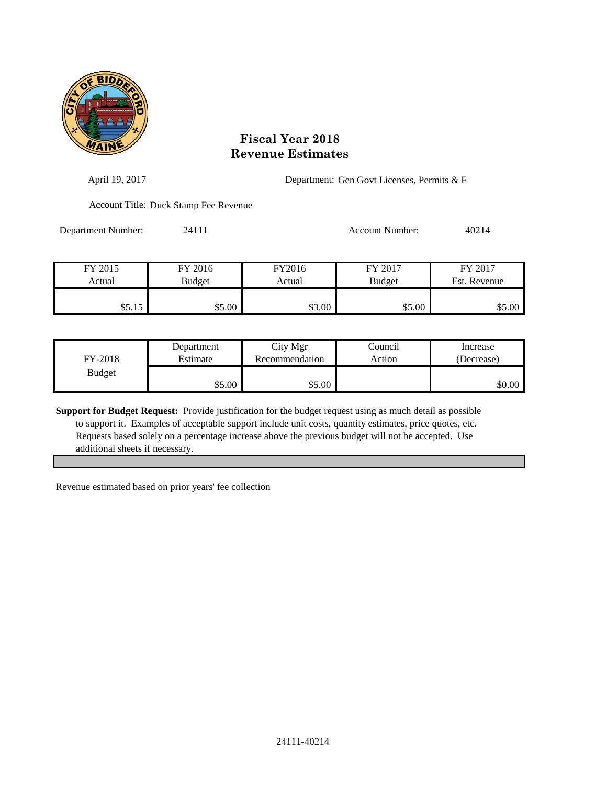

| April 19, 2017     |                                       |        | Department: Gen Govt Licenses, Permits & F |              |  |
|--------------------|---------------------------------------|--------|--------------------------------------------|--------------|--|
|                    | Account Title: Duck Stamp Fee Revenue |        |                                            |              |  |
| Department Number: | 24111                                 |        | <b>Account Number:</b>                     | 40214        |  |
| FY 2015            | FY 2016                               | FY2016 | FY 2017                                    | FY 2017      |  |
| Actual             | <b>Budget</b>                         | Actual | <b>Budget</b>                              | Est. Revenue |  |
| \$5.15             | \$5.00                                | \$3.00 | \$5.00                                     | \$5.00       |  |

| FY-2018       | Department | City Mgr       | Council | Increase   |
|---------------|------------|----------------|---------|------------|
|               | Estimate   | Recommendation | Action  | (Decrease) |
| <b>Budget</b> | \$5.00     | \$5.00         |         | \$0.00     |

**Support for Budget Request:** Provide justification for the budget request using as much detail as possible to support it. Examples of acceptable support include unit costs, quantity estimates, price quotes, etc. Requests based solely on a percentage increase above the previous budget will not be accepted. Use additional sheets if necessary.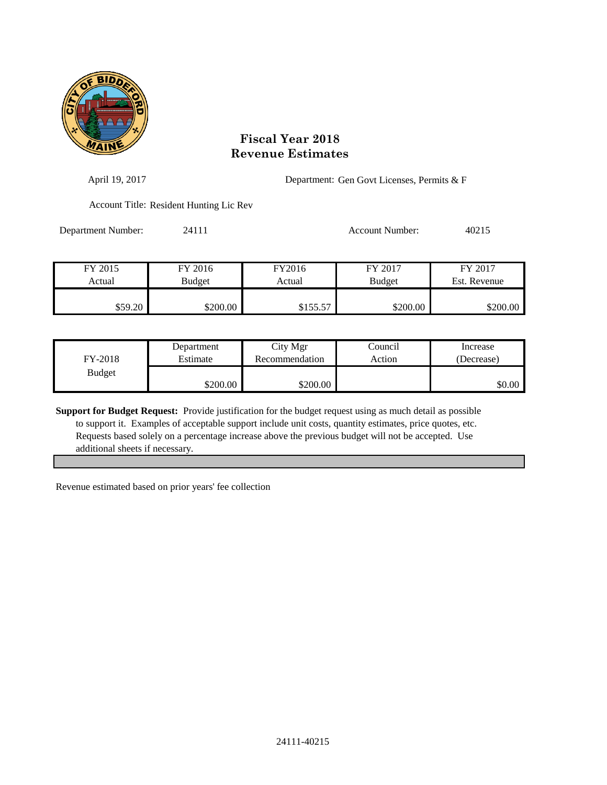

| April 19, 2017     |                                         |          | Department: Gen Govt Licenses, Permits & F |              |  |
|--------------------|-----------------------------------------|----------|--------------------------------------------|--------------|--|
|                    | Account Title: Resident Hunting Lic Rev |          |                                            |              |  |
| Department Number: | 24111                                   |          | <b>Account Number:</b>                     | 40215        |  |
| FY 2015            | FY 2016                                 | FY2016   | FY 2017                                    | FY 2017      |  |
| Actual             | <b>Budget</b>                           | Actual   | <b>Budget</b>                              | Est. Revenue |  |
| \$59.20            | \$200.00                                | \$155.57 | \$200.00                                   | \$200.00     |  |

| FY-2018       | Department | City Mgr       | Council | Increase   |
|---------------|------------|----------------|---------|------------|
|               | Estimate   | Recommendation | Action  | (Decrease) |
| <b>Budget</b> | \$200.00   | \$200.00       |         | \$0.00     |

**Support for Budget Request:** Provide justification for the budget request using as much detail as possible to support it. Examples of acceptable support include unit costs, quantity estimates, price quotes, etc. Requests based solely on a percentage increase above the previous budget will not be accepted. Use additional sheets if necessary.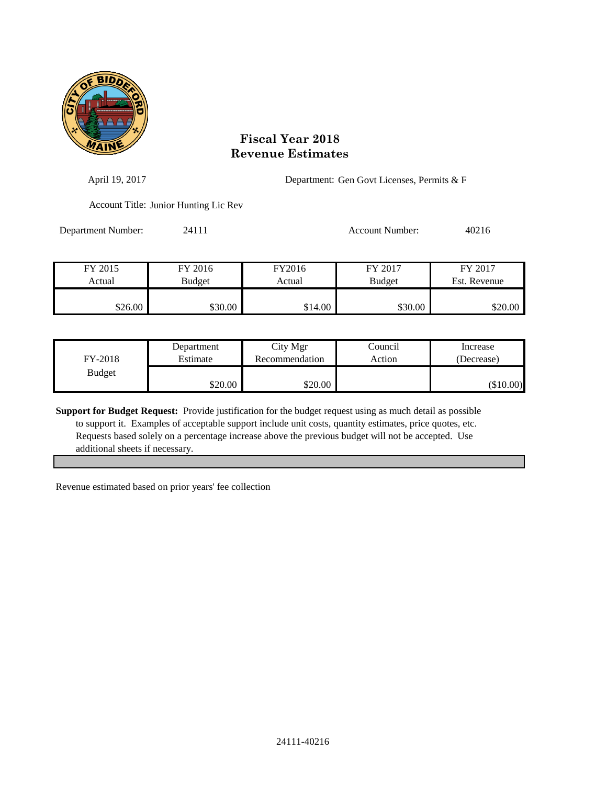

| April 19, 2017     |                                       |                  | Department: Gen Govt Licenses, Permits & F |                         |  |
|--------------------|---------------------------------------|------------------|--------------------------------------------|-------------------------|--|
|                    | Account Title: Junior Hunting Lic Rev |                  |                                            |                         |  |
| Department Number: | 24111                                 |                  | <b>Account Number:</b>                     | 40216                   |  |
| FY 2015<br>Actual  | FY 2016<br><b>Budget</b>              | FY2016<br>Actual | FY 2017<br><b>Budget</b>                   | FY 2017<br>Est. Revenue |  |
| \$26.00            | \$30.00                               | \$14.00          | \$30.00                                    | \$20.00                 |  |

| FY-2018       | Department | City Mgr       | Council | Increase    |
|---------------|------------|----------------|---------|-------------|
|               | Estimate   | Recommendation | Action  | (Decrease)  |
| <b>Budget</b> | \$20.00    | \$20.00        |         | $(\$10.00)$ |

**Support for Budget Request:** Provide justification for the budget request using as much detail as possible to support it. Examples of acceptable support include unit costs, quantity estimates, price quotes, etc. Requests based solely on a percentage increase above the previous budget will not be accepted. Use additional sheets if necessary.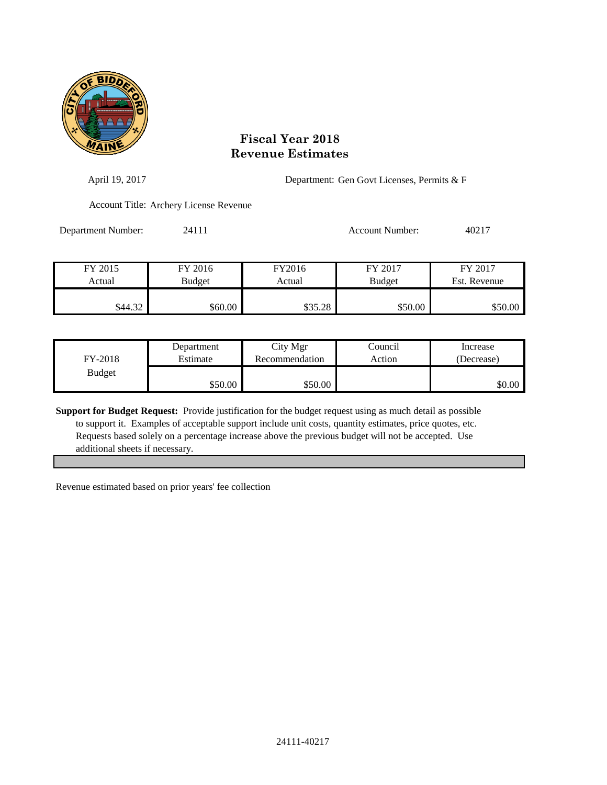

| April 19, 2017     |                                        |         | Department: Gen Govt Licenses, Permits & F |              |  |
|--------------------|----------------------------------------|---------|--------------------------------------------|--------------|--|
|                    | Account Title: Archery License Revenue |         |                                            |              |  |
| Department Number: | 24111                                  |         | <b>Account Number:</b>                     | 40217        |  |
| FY 2015            | FY 2016                                | FY2016  | FY 2017                                    | FY 2017      |  |
| Actual             | <b>Budget</b>                          | Actual  | <b>Budget</b>                              | Est. Revenue |  |
| \$44.32            | \$60.00                                | \$35.28 | \$50.00                                    | \$50.00      |  |

| FY-2018       | Department | City Mgr       | Council | Increase   |
|---------------|------------|----------------|---------|------------|
|               | Estimate   | Recommendation | Action  | (Decrease) |
| <b>Budget</b> | \$50.00    | \$50.00        |         | \$0.00     |

**Support for Budget Request:** Provide justification for the budget request using as much detail as possible to support it. Examples of acceptable support include unit costs, quantity estimates, price quotes, etc. Requests based solely on a percentage increase above the previous budget will not be accepted. Use additional sheets if necessary.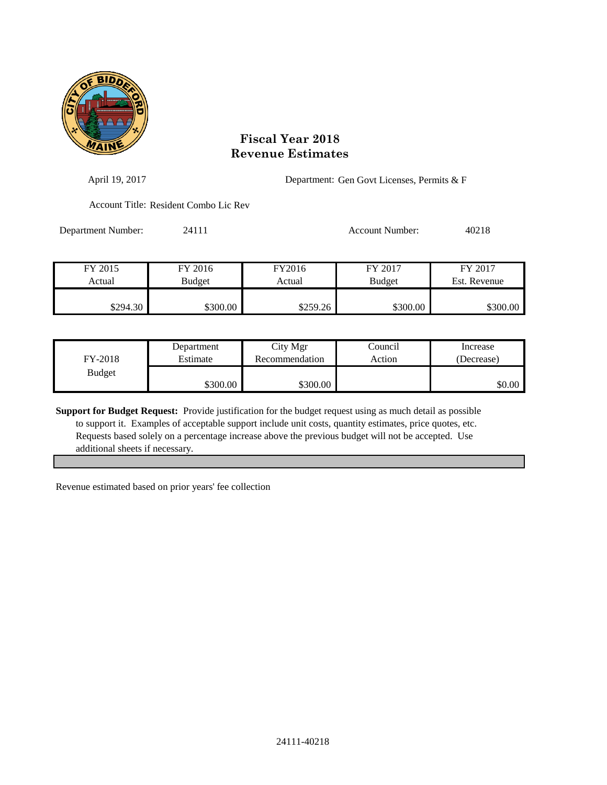

| April 19, 2017     |                                       |          | Department: Gen Govt Licenses, Permits & F |              |  |  |
|--------------------|---------------------------------------|----------|--------------------------------------------|--------------|--|--|
|                    | Account Title: Resident Combo Lic Rev |          |                                            |              |  |  |
| Department Number: | 24111                                 |          | <b>Account Number:</b>                     | 40218        |  |  |
| FY 2015            | FY 2016                               | FY2016   | FY 2017                                    | FY 2017      |  |  |
| Actual             | <b>Budget</b>                         | Actual   | <b>Budget</b>                              | Est. Revenue |  |  |
| \$294.30           | \$300.00                              | \$259.26 | \$300.00                                   | \$300.00     |  |  |

| FY-2018       | Department | City Mgr       | Council | Increase   |
|---------------|------------|----------------|---------|------------|
|               | Estimate   | Recommendation | Action  | (Decrease) |
| <b>Budget</b> | \$300.00   | \$300.00       |         | \$0.00     |

**Support for Budget Request:** Provide justification for the budget request using as much detail as possible to support it. Examples of acceptable support include unit costs, quantity estimates, price quotes, etc. Requests based solely on a percentage increase above the previous budget will not be accepted. Use additional sheets if necessary.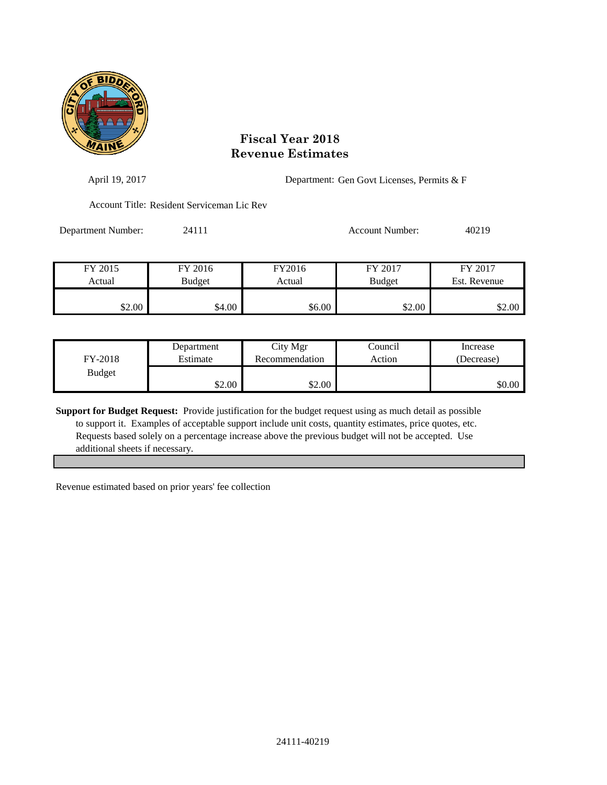

| April 19, 2017     |                                            |                  | Department: Gen Govt Licenses, Permits & F |                         |  |
|--------------------|--------------------------------------------|------------------|--------------------------------------------|-------------------------|--|
|                    | Account Title: Resident Serviceman Lic Rev |                  |                                            |                         |  |
| Department Number: | 24111                                      |                  | Account Number:                            | 40219                   |  |
| FY 2015<br>Actual  | FY 2016<br>Budget                          | FY2016<br>Actual | FY 2017<br><b>Budget</b>                   | FY 2017<br>Est. Revenue |  |
| \$2.00             | \$4.00                                     | \$6.00           | \$2.00                                     | \$2.00                  |  |

| FY-2018       | Department | City Mgr       | Council | Increase   |
|---------------|------------|----------------|---------|------------|
|               | Estimate   | Recommendation | Action  | (Decrease) |
| <b>Budget</b> | \$2.00     | \$2.00         |         | \$0.00     |

**Support for Budget Request:** Provide justification for the budget request using as much detail as possible to support it. Examples of acceptable support include unit costs, quantity estimates, price quotes, etc. Requests based solely on a percentage increase above the previous budget will not be accepted. Use additional sheets if necessary.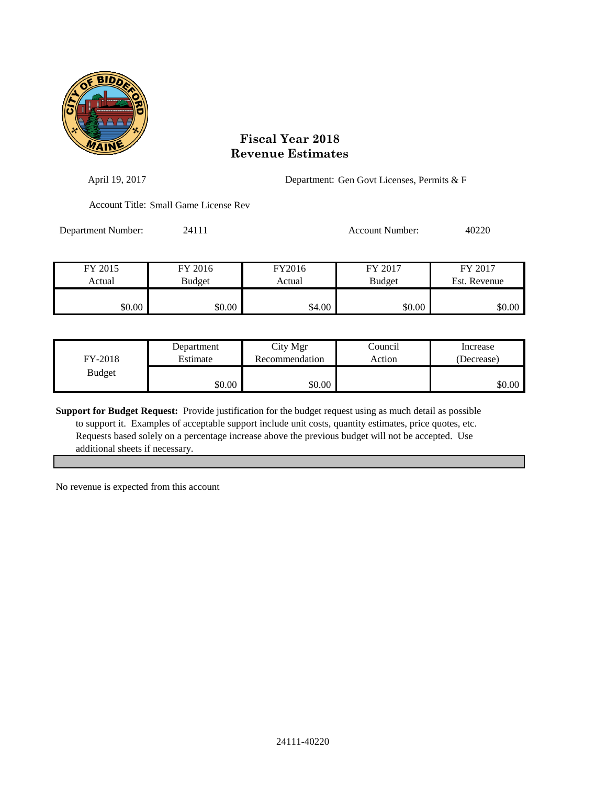

| April 19, 2017     |                                       |        | Department: Gen Govt Licenses, Permits & F |              |
|--------------------|---------------------------------------|--------|--------------------------------------------|--------------|
|                    | Account Title: Small Game License Rev |        |                                            |              |
| Department Number: | 24111                                 |        | <b>Account Number:</b>                     | 40220        |
| FY 2015            | FY 2016                               | FY2016 | FY 2017                                    | FY 2017      |
| Actual             | <b>Budget</b>                         | Actual | <b>Budget</b>                              | Est. Revenue |
| \$0.00             | \$0.00                                | \$4.00 | \$0.00                                     | \$0.00       |

| FY-2018       | Department | City Mgr       | Council | Increase   |
|---------------|------------|----------------|---------|------------|
|               | Estimate   | Recommendation | Action  | (Decrease) |
| <b>Budget</b> | \$0.00     | \$0.00         |         | \$0.00     |

**Support for Budget Request:** Provide justification for the budget request using as much detail as possible to support it. Examples of acceptable support include unit costs, quantity estimates, price quotes, etc. Requests based solely on a percentage increase above the previous budget will not be accepted. Use additional sheets if necessary.

No revenue is expected from this account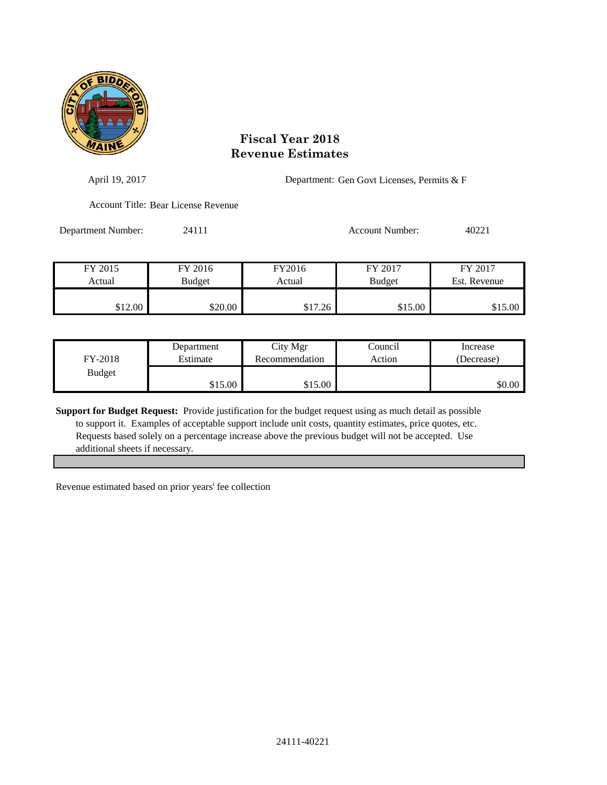

| April 19, 2017     |                                     | Department: Gen Govt Licenses, Permits & F |                          |                         |
|--------------------|-------------------------------------|--------------------------------------------|--------------------------|-------------------------|
|                    | Account Title: Bear License Revenue |                                            |                          |                         |
| Department Number: | 24111                               |                                            | <b>Account Number:</b>   | 40221                   |
| FY 2015<br>Actual  | FY 2016                             | FY2016<br>Actual                           | FY 2017<br><b>Budget</b> | FY 2017<br>Est. Revenue |
|                    | <b>Budget</b>                       |                                            |                          |                         |
| \$12.00            | \$20.00                             | \$17.26                                    | \$15.00                  | \$15.00                 |

| FY-2018       | Department | City Mgr       | Council | Increase   |
|---------------|------------|----------------|---------|------------|
|               | Estimate   | Recommendation | Action  | (Decrease) |
| <b>Budget</b> | \$15.00    | \$15.00        |         | \$0.00     |

**Support for Budget Request:** Provide justification for the budget request using as much detail as possible to support it. Examples of acceptable support include unit costs, quantity estimates, price quotes, etc. Requests based solely on a percentage increase above the previous budget will not be accepted. Use additional sheets if necessary.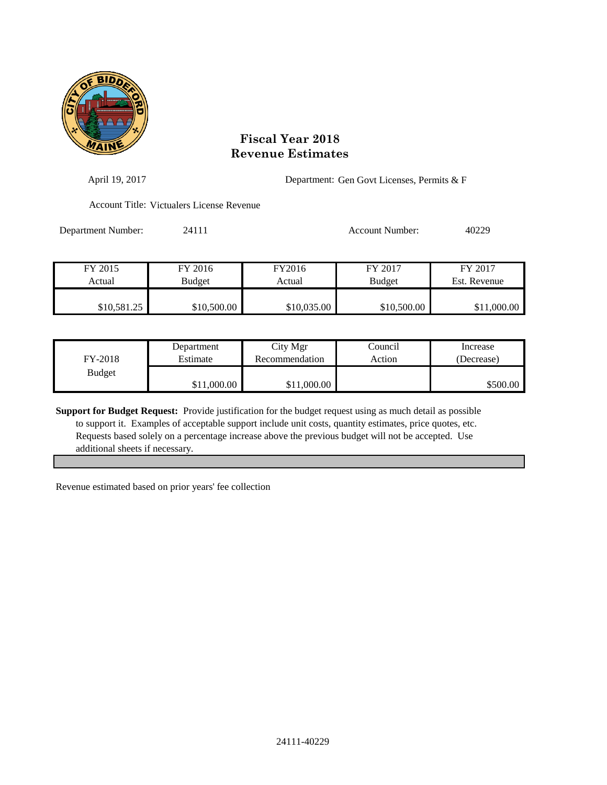

| April 19, 2017     |                                           |             | Department: Gen Govt Licenses, Permits & F |              |  |
|--------------------|-------------------------------------------|-------------|--------------------------------------------|--------------|--|
|                    | Account Title: Victualers License Revenue |             |                                            |              |  |
| Department Number: | 24111                                     |             | Account Number:                            | 40229        |  |
| FY 2015            | FY 2016                                   | FY2016      | FY 2017                                    | FY 2017      |  |
| Actual             | <b>Budget</b>                             | Actual      | <b>Budget</b>                              | Est. Revenue |  |
| \$10,581.25        | \$10,500.00                               | \$10,035.00 | \$10,500.00                                | \$11,000.00  |  |

| FY-2018       | Department  | City Mgr       | Council | Increase   |
|---------------|-------------|----------------|---------|------------|
|               | Estimate    | Recommendation | Action  | (Decrease) |
| <b>Budget</b> | \$11,000.00 | \$11,000.00    |         | \$500.00   |

**Support for Budget Request:** Provide justification for the budget request using as much detail as possible to support it. Examples of acceptable support include unit costs, quantity estimates, price quotes, etc. Requests based solely on a percentage increase above the previous budget will not be accepted. Use additional sheets if necessary.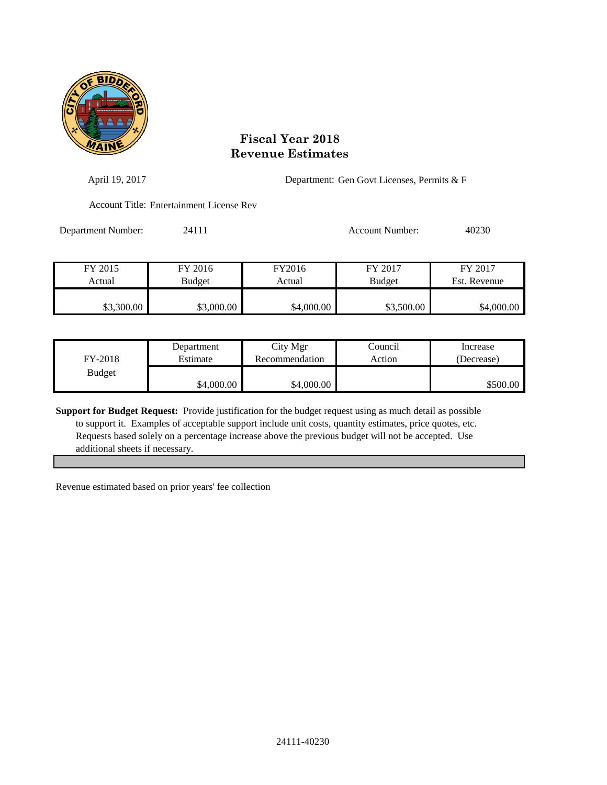

| April 19, 2017     |                                          |            | Department: Gen Govt Licenses, Permits & F |              |
|--------------------|------------------------------------------|------------|--------------------------------------------|--------------|
|                    | Account Title: Entertainment License Rev |            |                                            |              |
| Department Number: | 24111                                    |            | <b>Account Number:</b>                     | 40230        |
| FY 2015            | FY 2016                                  | FY2016     | FY 2017                                    | FY 2017      |
| Actual             | <b>Budget</b>                            | Actual     | <b>Budget</b>                              | Est. Revenue |
| \$3,300.00         | \$3,000.00                               | \$4,000.00 | \$3,500.00                                 | \$4,000.00   |

| FY-2018       | Department | City Mgr       | Council | Increase   |
|---------------|------------|----------------|---------|------------|
|               | Estimate   | Recommendation | Action  | (Decrease) |
| <b>Budget</b> | \$4,000.00 | \$4,000.00     |         | \$500.00   |

**Support for Budget Request:** Provide justification for the budget request using as much detail as possible to support it. Examples of acceptable support include unit costs, quantity estimates, price quotes, etc. Requests based solely on a percentage increase above the previous budget will not be accepted. Use additional sheets if necessary.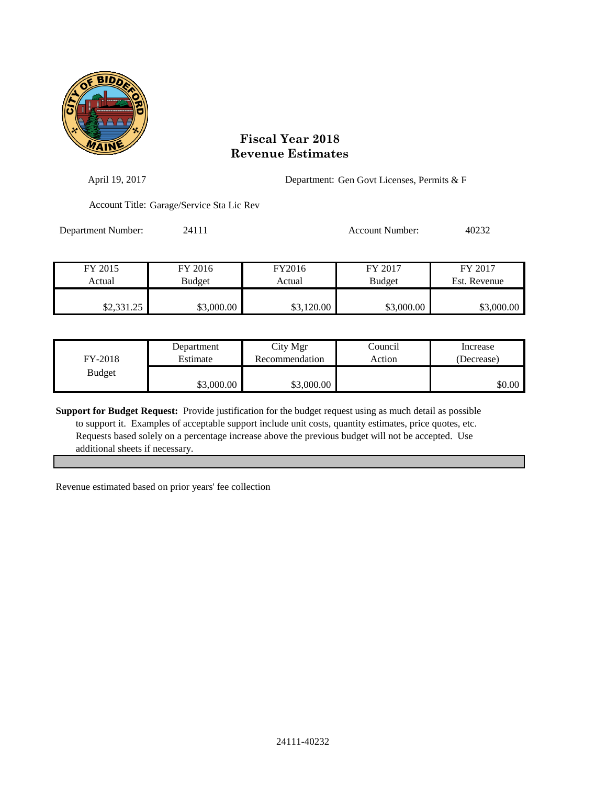

| April 19, 2017     |                                           |            | Department: Gen Govt Licenses, Permits & F |              |
|--------------------|-------------------------------------------|------------|--------------------------------------------|--------------|
|                    | Account Title: Garage/Service Sta Lic Rev |            |                                            |              |
| Department Number: | 24111                                     |            | <b>Account Number:</b>                     | 40232        |
| FY 2015            | FY 2016                                   | FY2016     | FY 2017                                    | FY 2017      |
| Actual             | <b>Budget</b>                             | Actual     | <b>Budget</b>                              | Est. Revenue |
| \$2,331.25         | \$3,000.00                                | \$3,120.00 | \$3,000.00                                 | \$3,000.00   |

| FY-2018       | Department | City Mgr       | Council | Increase   |
|---------------|------------|----------------|---------|------------|
|               | Estimate   | Recommendation | Action  | (Decrease) |
| <b>Budget</b> | \$3,000.00 | \$3,000.00     |         | \$0.00     |

**Support for Budget Request:** Provide justification for the budget request using as much detail as possible to support it. Examples of acceptable support include unit costs, quantity estimates, price quotes, etc. Requests based solely on a percentage increase above the previous budget will not be accepted. Use additional sheets if necessary.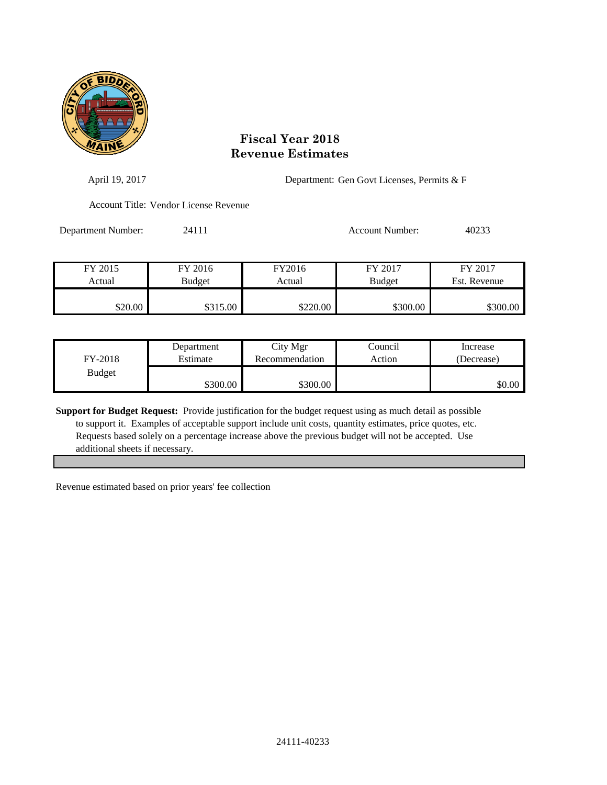

| April 19, 2017     |                                       |          | Department: Gen Govt Licenses, Permits & F |              |  |
|--------------------|---------------------------------------|----------|--------------------------------------------|--------------|--|
|                    | Account Title: Vendor License Revenue |          |                                            |              |  |
| Department Number: | 24111                                 |          | <b>Account Number:</b>                     | 40233        |  |
| FY 2015            | FY 2016                               | FY2016   | FY 2017                                    | FY 2017      |  |
| Actual             | <b>Budget</b>                         | Actual   | <b>Budget</b>                              | Est. Revenue |  |
| \$20.00            | \$315.00                              | \$220.00 | \$300.00                                   | \$300.00     |  |

| FY-2018       | Department | City Mgr       | Council | Increase   |
|---------------|------------|----------------|---------|------------|
|               | Estimate   | Recommendation | Action  | (Decrease) |
| <b>Budget</b> | \$300.00   | \$300.00       |         | \$0.00     |

**Support for Budget Request:** Provide justification for the budget request using as much detail as possible to support it. Examples of acceptable support include unit costs, quantity estimates, price quotes, etc. Requests based solely on a percentage increase above the previous budget will not be accepted. Use additional sheets if necessary.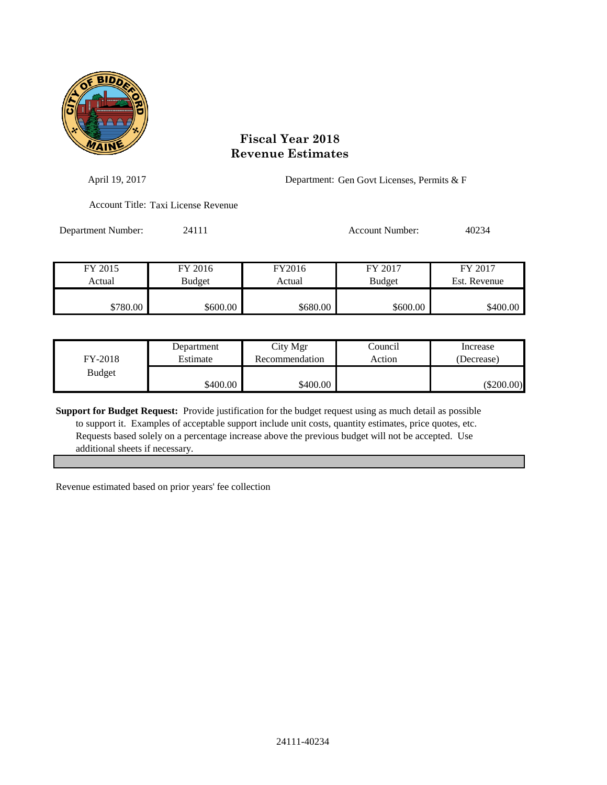

| April 19, 2017     |                                     | Department: Gen Govt Licenses, Permits & F |                 |              |
|--------------------|-------------------------------------|--------------------------------------------|-----------------|--------------|
|                    | Account Title: Taxi License Revenue |                                            |                 |              |
| Department Number: | 24111                               |                                            | Account Number: | 40234        |
| FY 2015            | FY 2016                             | FY2016                                     | FY 2017         | FY 2017      |
| Actual             | Budget                              | Actual                                     | <b>Budget</b>   | Est. Revenue |
| \$780.00           | \$600.00                            | \$680.00                                   | \$600.00        | \$400.00     |

| FY-2018       | Department | City Mgr       | Council | Increase     |
|---------------|------------|----------------|---------|--------------|
|               | Estimate   | Recommendation | Action  | (Decrease)   |
| <b>Budget</b> | \$400.00   | \$400.00       |         | $(\$200.00)$ |

**Support for Budget Request:** Provide justification for the budget request using as much detail as possible to support it. Examples of acceptable support include unit costs, quantity estimates, price quotes, etc. Requests based solely on a percentage increase above the previous budget will not be accepted. Use additional sheets if necessary.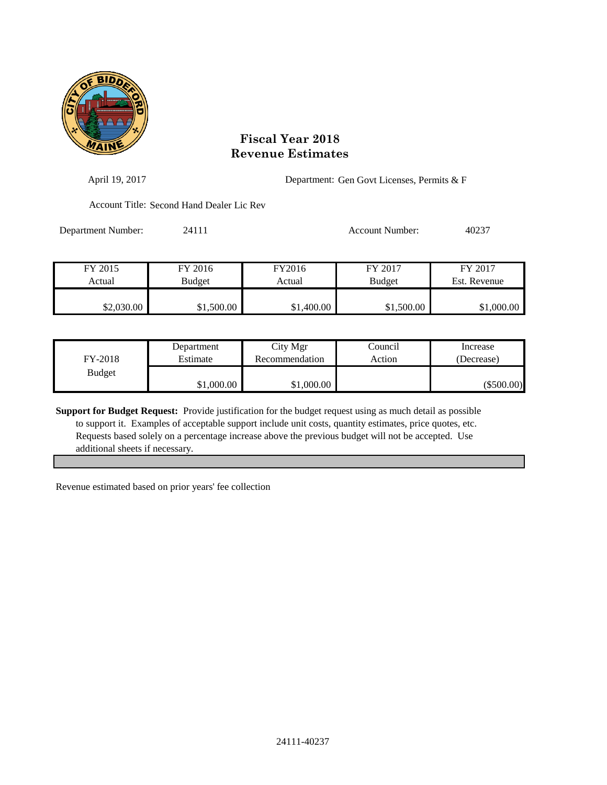

| April 19, 2017     |                                           |            | Department: Gen Govt Licenses, Permits & F |              |  |
|--------------------|-------------------------------------------|------------|--------------------------------------------|--------------|--|
|                    | Account Title: Second Hand Dealer Lic Rev |            |                                            |              |  |
| Department Number: | 24111                                     |            | Account Number:                            | 40237        |  |
| FY 2015            | FY 2016                                   | FY2016     | FY 2017                                    | FY 2017      |  |
| Actual             | Budget                                    | Actual     | <b>Budget</b>                              | Est. Revenue |  |
| \$2,030.00         | \$1,500.00                                | \$1,400.00 | \$1,500.00                                 | \$1,000.00   |  |

| FY-2018       | Department | City Mgr       | Council | Increase     |
|---------------|------------|----------------|---------|--------------|
|               | Estimate   | Recommendation | Action  | (Decrease)   |
| <b>Budget</b> | \$1,000.00 | \$1,000.00     |         | $(\$500.00)$ |

**Support for Budget Request:** Provide justification for the budget request using as much detail as possible to support it. Examples of acceptable support include unit costs, quantity estimates, price quotes, etc. Requests based solely on a percentage increase above the previous budget will not be accepted. Use additional sheets if necessary.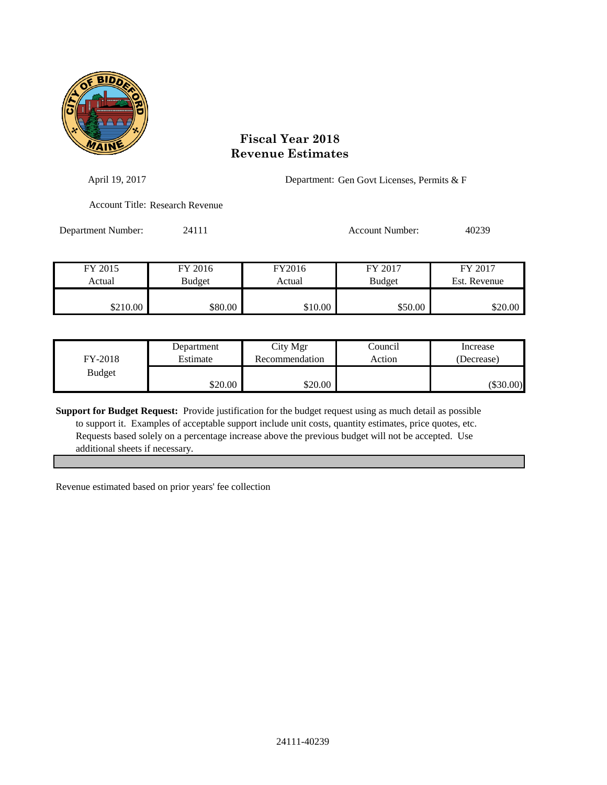

| April 19, 2017     |                                 | Department: Gen Govt Licenses, Permits & F |                          |                         |
|--------------------|---------------------------------|--------------------------------------------|--------------------------|-------------------------|
|                    | Account Title: Research Revenue |                                            |                          |                         |
| Department Number: | 24111                           |                                            | Account Number:          | 40239                   |
| FY 2015<br>Actual  | FY 2016<br>Budget               | FY2016<br>Actual                           | FY 2017<br><b>Budget</b> | FY 2017<br>Est. Revenue |
|                    |                                 |                                            |                          |                         |

| FY-2018       | Department | City Mgr       | Council | Increase    |
|---------------|------------|----------------|---------|-------------|
|               | Estimate   | Recommendation | Action  | (Decrease)  |
| <b>Budget</b> | \$20.00    | \$20.00        |         | $(\$30.00)$ |

\$210.00 \$80.00 \$80.00 \$10.00 \$50.00 \$50.00 \$20.00

**Support for Budget Request:** Provide justification for the budget request using as much detail as possible to support it. Examples of acceptable support include unit costs, quantity estimates, price quotes, etc. Requests based solely on a percentage increase above the previous budget will not be accepted. Use additional sheets if necessary.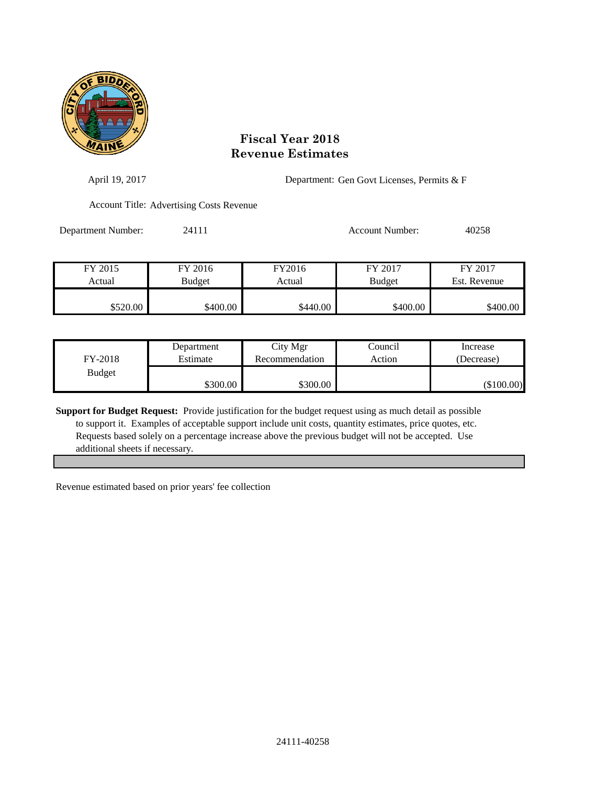

| April 19, 2017     |                                                 |          | Department: Gen Govt Licenses, Permits & F |              |  |
|--------------------|-------------------------------------------------|----------|--------------------------------------------|--------------|--|
|                    | <b>Account Title: Advertising Costs Revenue</b> |          |                                            |              |  |
| Department Number: | 24111                                           |          | Account Number:                            | 40258        |  |
| FY 2015            | FY 2016                                         | FY2016   | FY 2017                                    | FY 2017      |  |
| Actual             | Budget                                          | Actual   | <b>Budget</b>                              | Est. Revenue |  |
| \$520.00           | \$400.00                                        | \$440.00 | \$400.00                                   | \$400.00     |  |

| FY-2018       | Department | City Mgr       | Council | Increase     |
|---------------|------------|----------------|---------|--------------|
|               | Estimate   | Recommendation | Action  | (Decrease)   |
| <b>Budget</b> | \$300.00   | \$300.00       |         | $(\$100.00)$ |

**Support for Budget Request:** Provide justification for the budget request using as much detail as possible to support it. Examples of acceptable support include unit costs, quantity estimates, price quotes, etc. Requests based solely on a percentage increase above the previous budget will not be accepted. Use additional sheets if necessary.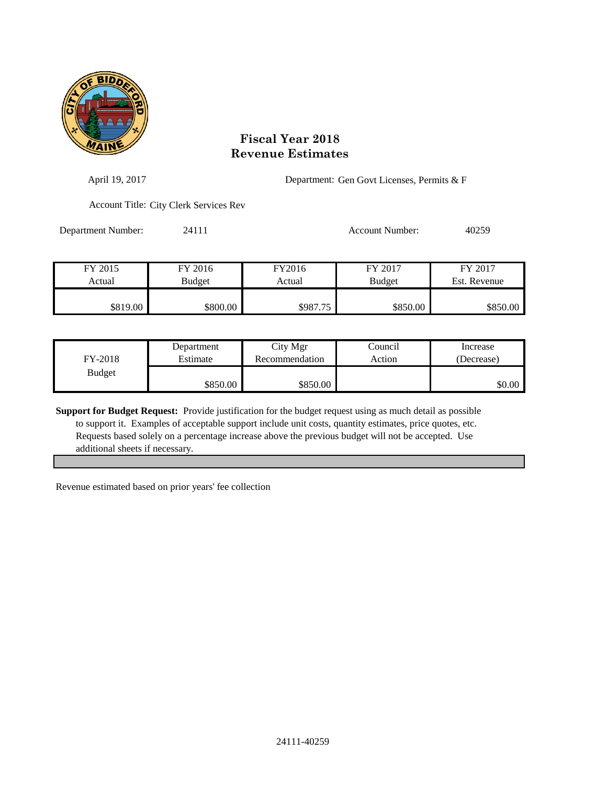

| April 19, 2017     |                                        |                  | Department: Gen Govt Licenses, Permits & F |                         |  |
|--------------------|----------------------------------------|------------------|--------------------------------------------|-------------------------|--|
|                    | Account Title: City Clerk Services Rev |                  |                                            |                         |  |
| Department Number: | 24111                                  |                  | Account Number:                            | 40259                   |  |
| FY 2015<br>Actual  | FY 2016<br>Budget                      | FY2016<br>Actual | FY 2017<br><b>Budget</b>                   | FY 2017<br>Est. Revenue |  |
|                    |                                        |                  |                                            | \$850.00                |  |
| \$819.00           | \$800.00                               | \$987.75         | \$850.00                                   |                         |  |

| FY-2018       | Department | City Mgr       | Council | Increase   |
|---------------|------------|----------------|---------|------------|
|               | Estimate   | Recommendation | Action  | (Decrease) |
| <b>Budget</b> | \$850.00   | \$850.00       |         | \$0.00     |

**Support for Budget Request:** Provide justification for the budget request using as much detail as possible to support it. Examples of acceptable support include unit costs, quantity estimates, price quotes, etc. Requests based solely on a percentage increase above the previous budget will not be accepted. Use additional sheets if necessary.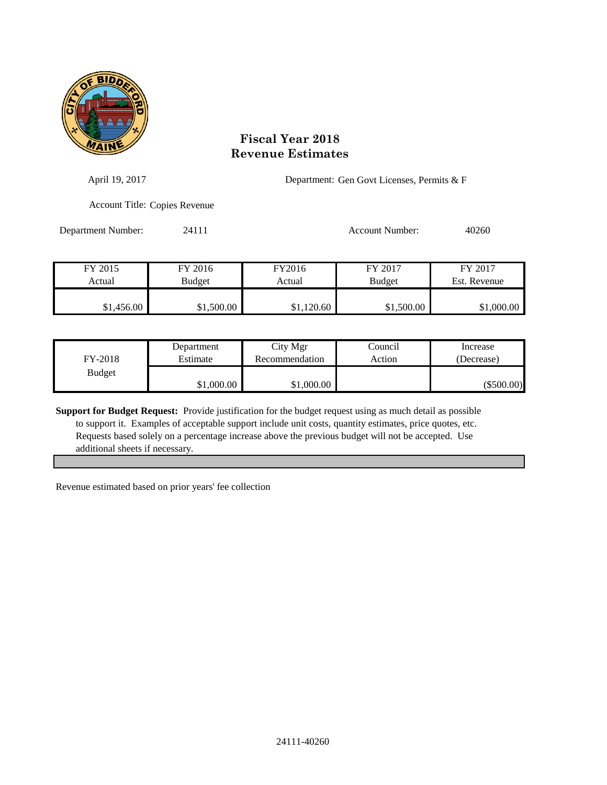

| April 19, 2017     |                                      | Department: Gen Govt Licenses, Permits & F |                 |              |
|--------------------|--------------------------------------|--------------------------------------------|-----------------|--------------|
|                    | <b>Account Title: Copies Revenue</b> |                                            |                 |              |
| Department Number: | 24111                                |                                            | Account Number: | 40260        |
| FY 2015            | FY 2016                              | FY2016                                     | FY 2017         | FY 2017      |
| Actual             | <b>Budget</b>                        | Actual                                     | <b>Budget</b>   | Est. Revenue |

| FY-2018       | Department | City Mgr       | Council | Increase     |
|---------------|------------|----------------|---------|--------------|
|               | Estimate   | Recommendation | Action  | (Decrease)   |
| <b>Budget</b> | \$1,000.00 | \$1,000.00     |         | $(\$500.00)$ |

\$1,456.00 \$1,500.00 \$1,120.60 \$1,500.00 \$1,000.00

**Support for Budget Request:** Provide justification for the budget request using as much detail as possible to support it. Examples of acceptable support include unit costs, quantity estimates, price quotes, etc. Requests based solely on a percentage increase above the previous budget will not be accepted. Use additional sheets if necessary.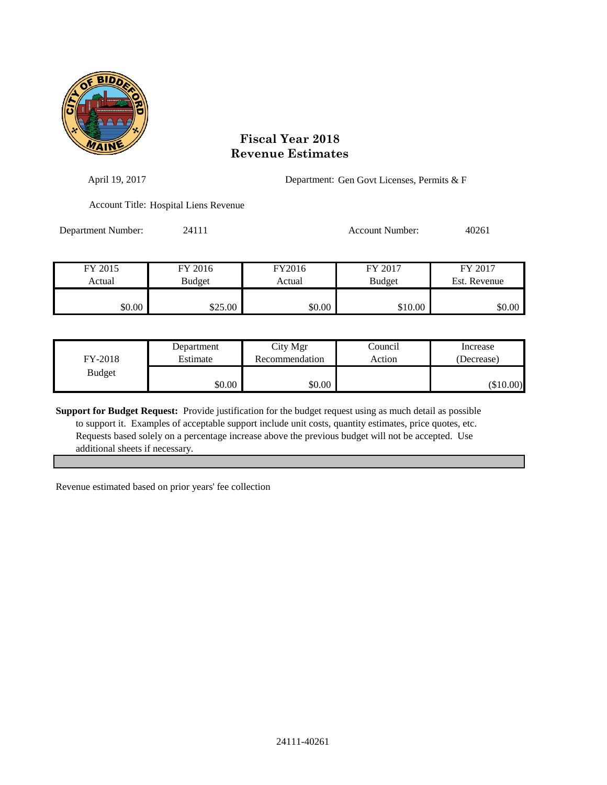

| April 19, 2017     |                                       |                  | Department: Gen Govt Licenses, Permits & F |                         |  |
|--------------------|---------------------------------------|------------------|--------------------------------------------|-------------------------|--|
|                    | Account Title: Hospital Liens Revenue |                  |                                            |                         |  |
| Department Number: | 24111                                 |                  | <b>Account Number:</b>                     | 40261                   |  |
| FY 2015<br>Actual  | FY 2016<br>Budget                     | FY2016<br>Actual | FY 2017<br><b>Budget</b>                   | FY 2017<br>Est. Revenue |  |
| \$0.00             | \$25.00                               | \$0.00           | \$10.00                                    | \$0.00                  |  |

| FY-2018       | Department | City Mgr       | Council | Increase    |
|---------------|------------|----------------|---------|-------------|
|               | Estimate   | Recommendation | Action  | (Decrease)  |
| <b>Budget</b> | \$0.00     | \$0.00         |         | $(\$10.00)$ |

**Support for Budget Request:** Provide justification for the budget request using as much detail as possible to support it. Examples of acceptable support include unit costs, quantity estimates, price quotes, etc. Requests based solely on a percentage increase above the previous budget will not be accepted. Use additional sheets if necessary.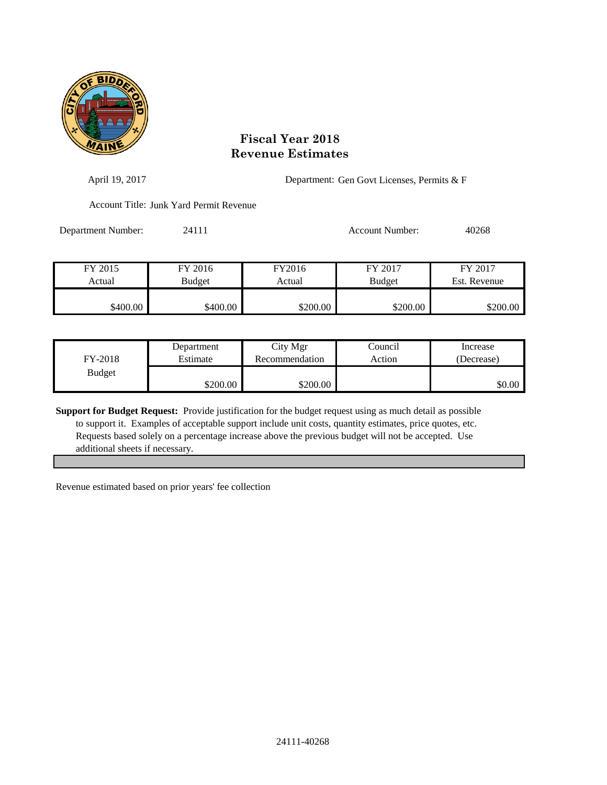

| April 19, 2017     |                                         |          | Department: Gen Govt Licenses, Permits & F |              |  |
|--------------------|-----------------------------------------|----------|--------------------------------------------|--------------|--|
|                    | Account Title: Junk Yard Permit Revenue |          |                                            |              |  |
| Department Number: | 24111                                   |          | Account Number:                            | 40268        |  |
| FY 2015            | FY 2016                                 | FY2016   | FY 2017                                    | FY 2017      |  |
| Actual             | Budget                                  | Actual   | <b>Budget</b>                              | Est. Revenue |  |
| \$400.00           | \$400.00                                | \$200.00 | \$200.00                                   | \$200.00     |  |

| FY-2018       | Department | City Mgr       | Council | Increase   |
|---------------|------------|----------------|---------|------------|
|               | Estimate   | Recommendation | Action  | (Decrease) |
| <b>Budget</b> | \$200.00   | \$200.00       |         | \$0.00     |

**Support for Budget Request:** Provide justification for the budget request using as much detail as possible to support it. Examples of acceptable support include unit costs, quantity estimates, price quotes, etc. Requests based solely on a percentage increase above the previous budget will not be accepted. Use additional sheets if necessary.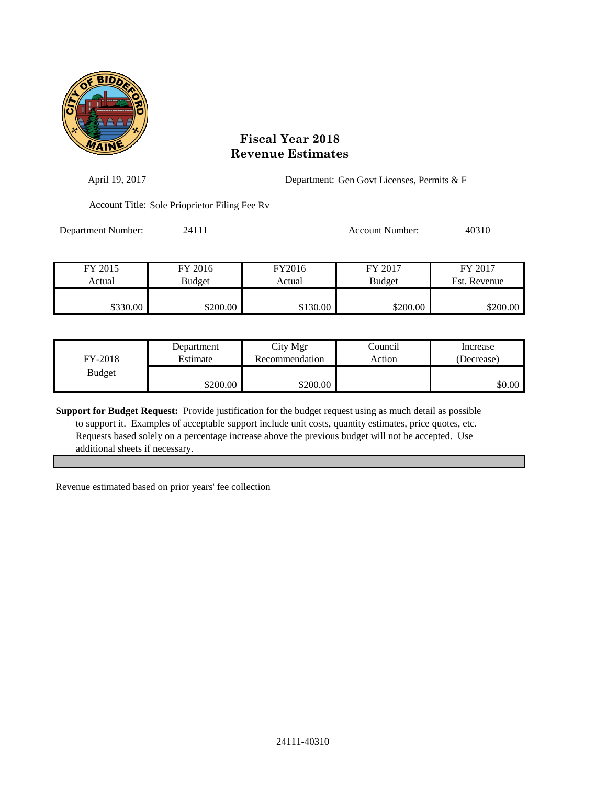

| April 19, 2017     |                                               |                  | Department: Gen Govt Licenses, Permits & F |                         |  |
|--------------------|-----------------------------------------------|------------------|--------------------------------------------|-------------------------|--|
|                    | Account Title: Sole Prioprietor Filing Fee Ry |                  |                                            |                         |  |
| Department Number: | 24111                                         |                  | Account Number:                            | 40310                   |  |
| FY 2015<br>Actual  | FY 2016<br><b>Budget</b>                      | FY2016<br>Actual | FY 2017<br><b>Budget</b>                   | FY 2017<br>Est. Revenue |  |
| \$330.00           | \$200.00                                      | \$130.00         | \$200.00                                   | \$200.00                |  |

| FY-2018       | Department | City Mgr       | Council | Increase   |
|---------------|------------|----------------|---------|------------|
|               | Estimate   | Recommendation | Action  | (Decrease) |
| <b>Budget</b> | \$200.00   | \$200.00       |         | \$0.00     |

**Support for Budget Request:** Provide justification for the budget request using as much detail as possible to support it. Examples of acceptable support include unit costs, quantity estimates, price quotes, etc. Requests based solely on a percentage increase above the previous budget will not be accepted. Use additional sheets if necessary.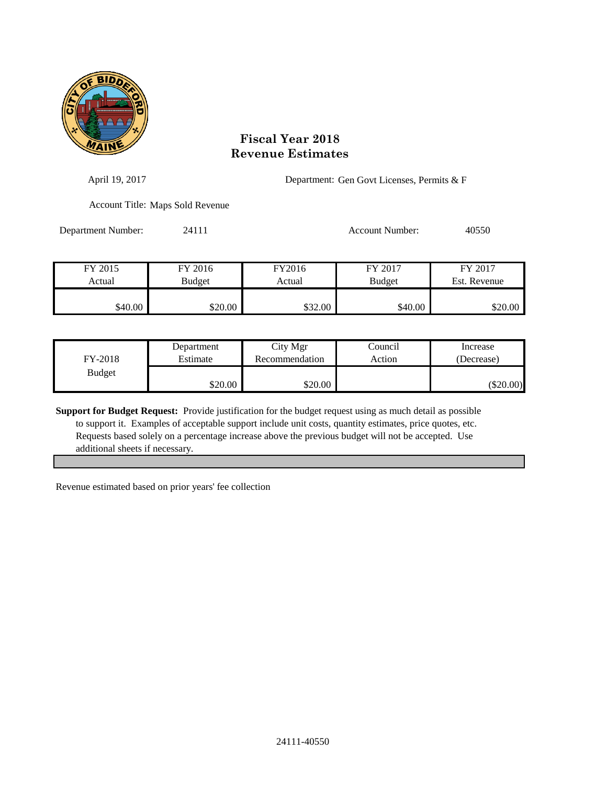

| April 19, 2017     |                                  | Department: Gen Govt Licenses, Permits & F |                          |                         |
|--------------------|----------------------------------|--------------------------------------------|--------------------------|-------------------------|
|                    | Account Title: Maps Sold Revenue |                                            |                          |                         |
| Department Number: | 24111                            |                                            | <b>Account Number:</b>   | 40550                   |
| FY 2015<br>Actual  | FY 2016<br>Budget                | FY2016<br>Actual                           | FY 2017<br><b>Budget</b> | FY 2017<br>Est. Revenue |
|                    |                                  |                                            |                          |                         |
| \$40.00            | \$20.00                          | \$32.00                                    | \$40.00                  | \$20.00                 |

| FY-2018       | Department | City Mgr       | Council | Increase    |
|---------------|------------|----------------|---------|-------------|
|               | Estimate   | Recommendation | Action  | (Decrease)  |
| <b>Budget</b> | \$20.00    | \$20.00        |         | $(\$20.00)$ |

**Support for Budget Request:** Provide justification for the budget request using as much detail as possible to support it. Examples of acceptable support include unit costs, quantity estimates, price quotes, etc. Requests based solely on a percentage increase above the previous budget will not be accepted. Use additional sheets if necessary.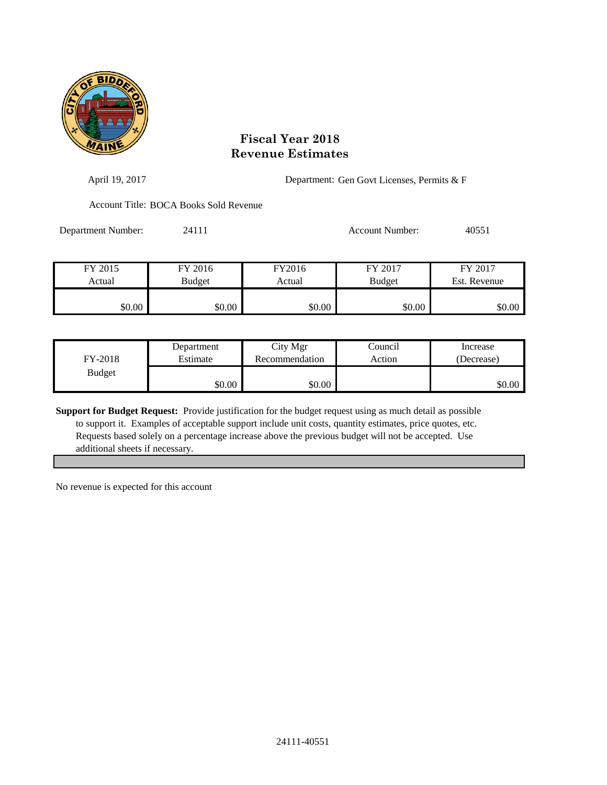

| April 19, 2017     |                                        |                  | Department: Gen Govt Licenses, Permits & F |                         |  |
|--------------------|----------------------------------------|------------------|--------------------------------------------|-------------------------|--|
|                    | Account Title: BOCA Books Sold Revenue |                  |                                            |                         |  |
| Department Number: | 24111                                  |                  | Account Number:                            | 40551                   |  |
| FY 2015<br>Actual  | FY 2016<br>Budget                      | FY2016<br>Actual | FY 2017<br><b>Budget</b>                   | FY 2017<br>Est. Revenue |  |
| \$0.00             | \$0.00                                 | \$0.00           | \$0.00                                     | \$0.00                  |  |

| FY-2018       | Department | City Mgr       | Council | Increase   |
|---------------|------------|----------------|---------|------------|
|               | Estimate   | Recommendation | Action  | (Decrease) |
| <b>Budget</b> | \$0.00     | \$0.00         |         | \$0.00     |

**Support for Budget Request:** Provide justification for the budget request using as much detail as possible to support it. Examples of acceptable support include unit costs, quantity estimates, price quotes, etc. Requests based solely on a percentage increase above the previous budget will not be accepted. Use additional sheets if necessary.

No revenue is expected for this account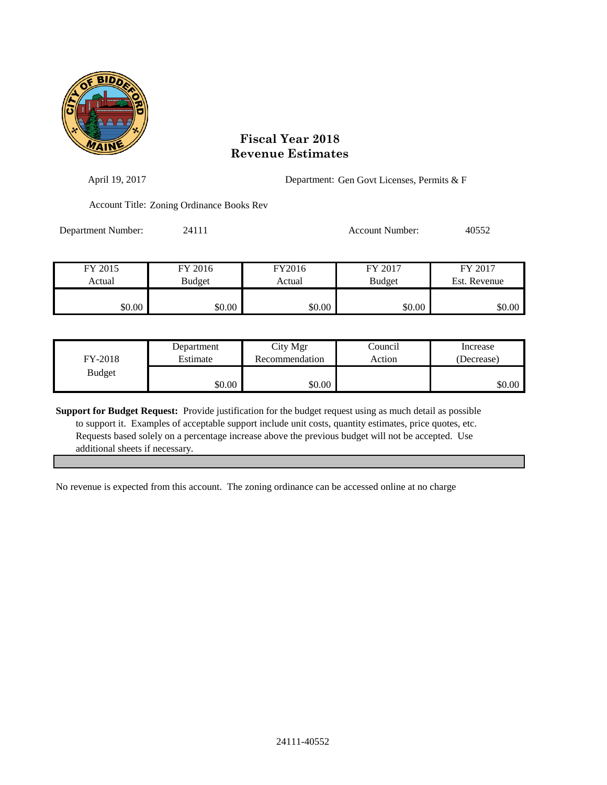

| April 19, 2017     |                                           |        |                        | Department: Gen Govt Licenses, Permits & F |  |  |
|--------------------|-------------------------------------------|--------|------------------------|--------------------------------------------|--|--|
|                    | Account Title: Zoning Ordinance Books Rev |        |                        |                                            |  |  |
| Department Number: | 24111                                     |        | <b>Account Number:</b> | 40552                                      |  |  |
| FY 2015            | FY 2016                                   | FY2016 | FY 2017                | FY 2017                                    |  |  |
| Actual             | <b>Budget</b>                             | Actual | <b>Budget</b>          | Est. Revenue                               |  |  |
| \$0.00             | \$0.00                                    | \$0.00 | \$0.00                 | \$0.00                                     |  |  |

| FY-2018       | Department | City Mgr       | Council | Increase   |
|---------------|------------|----------------|---------|------------|
|               | Estimate   | Recommendation | Action  | (Decrease) |
| <b>Budget</b> | \$0.00     | \$0.00         |         | \$0.00     |

**Support for Budget Request:** Provide justification for the budget request using as much detail as possible to support it. Examples of acceptable support include unit costs, quantity estimates, price quotes, etc. Requests based solely on a percentage increase above the previous budget will not be accepted. Use additional sheets if necessary.

No revenue is expected from this account. The zoning ordinance can be accessed online at no charge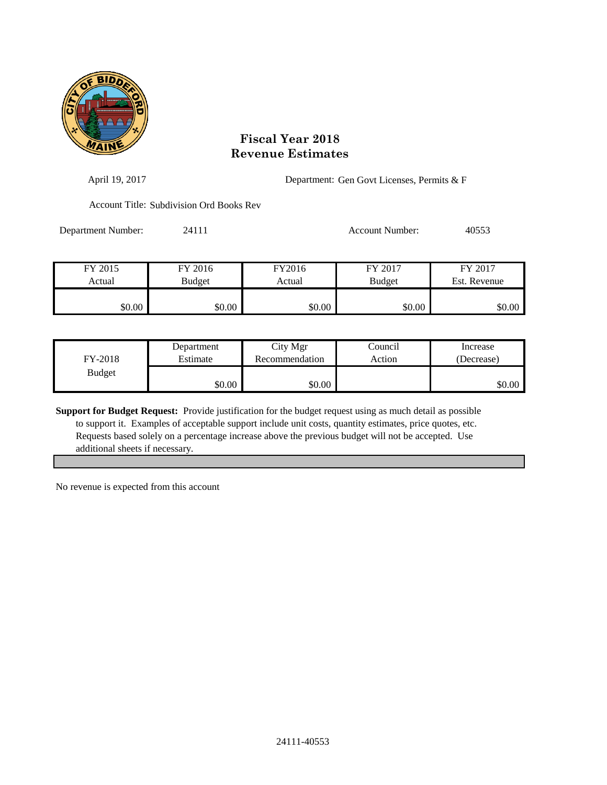

| April 19, 2017     |                                          |        |                 | Department: Gen Govt Licenses, Permits & F |  |  |
|--------------------|------------------------------------------|--------|-----------------|--------------------------------------------|--|--|
|                    | Account Title: Subdivision Ord Books Rev |        |                 |                                            |  |  |
| Department Number: | 24111                                    |        | Account Number: | 40553                                      |  |  |
| FY 2015            | FY 2016                                  | FY2016 | FY 2017         | FY 2017                                    |  |  |
| Actual             | Budget                                   | Actual | <b>Budget</b>   | Est. Revenue                               |  |  |
| \$0.00             | \$0.00                                   | \$0.00 | \$0.00          | \$0.00                                     |  |  |

| FY-2018       | Department | City Mgr       | Council | Increase   |
|---------------|------------|----------------|---------|------------|
|               | Estimate   | Recommendation | Action  | (Decrease) |
| <b>Budget</b> | \$0.00     | \$0.00         |         | \$0.00     |

**Support for Budget Request:** Provide justification for the budget request using as much detail as possible to support it. Examples of acceptable support include unit costs, quantity estimates, price quotes, etc. Requests based solely on a percentage increase above the previous budget will not be accepted. Use additional sheets if necessary.

No revenue is expected from this account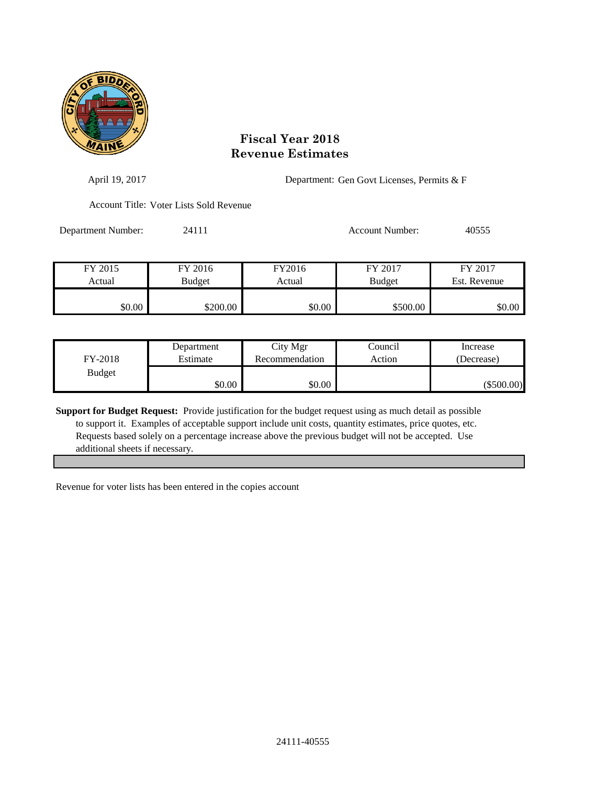

| April 19, 2017     |                                         |        | Department: Gen Govt Licenses, Permits & F |              |  |
|--------------------|-----------------------------------------|--------|--------------------------------------------|--------------|--|
|                    | Account Title: Voter Lists Sold Revenue |        |                                            |              |  |
| Department Number: | 24111                                   |        | <b>Account Number:</b>                     | 40555        |  |
| FY 2015            | FY 2016                                 | FY2016 | FY 2017                                    | FY 2017      |  |
| Actual             | <b>Budget</b>                           | Actual | <b>Budget</b>                              | Est. Revenue |  |
| \$0.00             | \$200.00                                | \$0.00 | \$500.00                                   | \$0.00       |  |

| FY-2018       | Department | City Mgr       | Council | Increase     |
|---------------|------------|----------------|---------|--------------|
|               | Estimate   | Recommendation | Action  | (Decrease)   |
| <b>Budget</b> | \$0.00     | \$0.00         |         | $(\$500.00)$ |

**Support for Budget Request:** Provide justification for the budget request using as much detail as possible to support it. Examples of acceptable support include unit costs, quantity estimates, price quotes, etc. Requests based solely on a percentage increase above the previous budget will not be accepted. Use additional sheets if necessary.

Revenue for voter lists has been entered in the copies account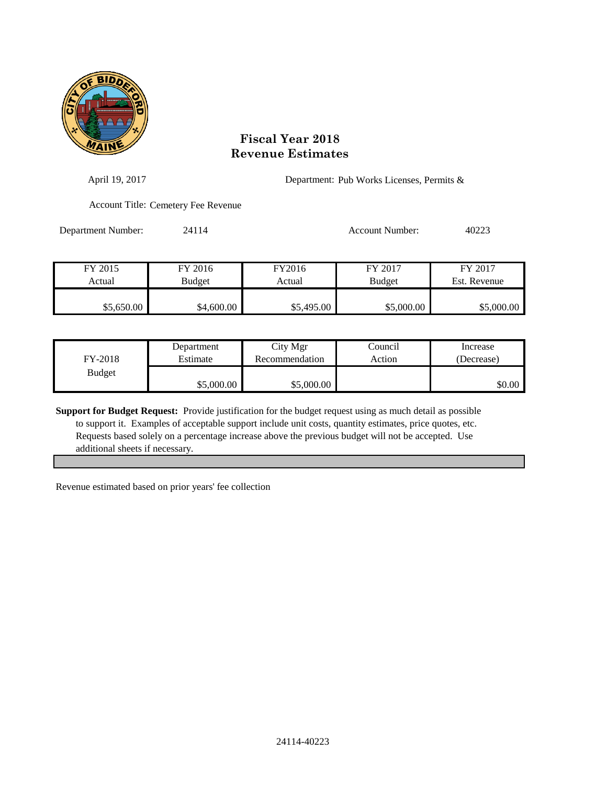

| April 19, 2017     |                                     |            | Department: Pub Works Licenses, Permits & |              |
|--------------------|-------------------------------------|------------|-------------------------------------------|--------------|
|                    | Account Title: Cemetery Fee Revenue |            |                                           |              |
| Department Number: | 24114                               |            | <b>Account Number:</b>                    | 40223        |
| FY 2015            | FY 2016                             | FY2016     | FY 2017                                   | FY 2017      |
| Actual             | <b>Budget</b>                       | Actual     | <b>Budget</b>                             | Est. Revenue |
| \$5,650.00         | \$4,600.00                          | \$5,495.00 | \$5,000.00                                | \$5,000.00   |

| FY-2018       | Department | City Mgr       | Council | Increase   |
|---------------|------------|----------------|---------|------------|
|               | Estimate   | Recommendation | Action  | (Decrease) |
| <b>Budget</b> | \$5,000.00 | \$5,000.00     |         | \$0.00     |

**Support for Budget Request:** Provide justification for the budget request using as much detail as possible to support it. Examples of acceptable support include unit costs, quantity estimates, price quotes, etc. Requests based solely on a percentage increase above the previous budget will not be accepted. Use additional sheets if necessary.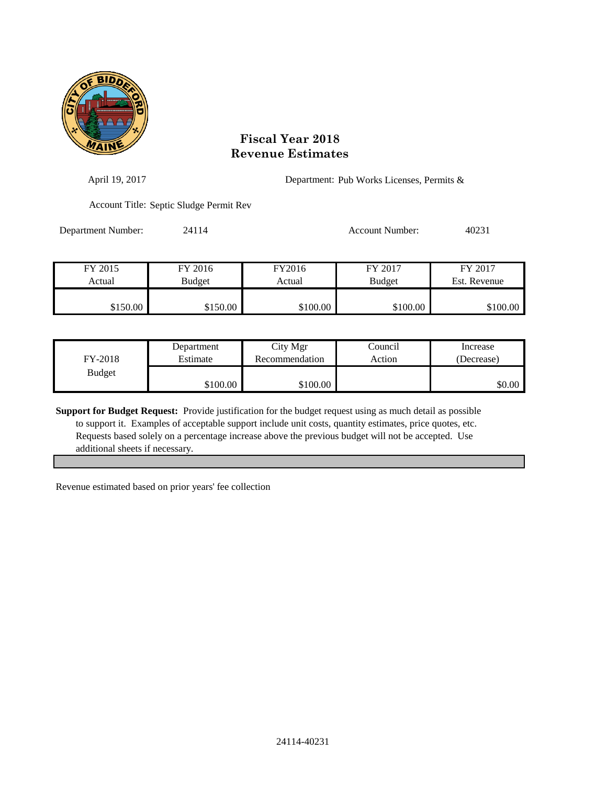

| April 19, 2017     |                                         |          | Department: Pub Works Licenses, Permits & |              |  |
|--------------------|-----------------------------------------|----------|-------------------------------------------|--------------|--|
|                    | Account Title: Septic Sludge Permit Rev |          |                                           |              |  |
| Department Number: | 24114                                   |          | <b>Account Number:</b>                    | 40231        |  |
| FY 2015            | FY 2016                                 | FY2016   | FY 2017                                   | FY 2017      |  |
| Actual             | <b>Budget</b>                           | Actual   | <b>Budget</b>                             | Est. Revenue |  |
| \$150.00           | \$150.00                                | \$100.00 | \$100.00                                  | \$100.00     |  |

| FY-2018       | Department | City Mgr       | Council | Increase   |
|---------------|------------|----------------|---------|------------|
|               | Estimate   | Recommendation | Action  | (Decrease) |
| <b>Budget</b> | \$100.00   | \$100.00       |         | \$0.00     |

**Support for Budget Request:** Provide justification for the budget request using as much detail as possible to support it. Examples of acceptable support include unit costs, quantity estimates, price quotes, etc. Requests based solely on a percentage increase above the previous budget will not be accepted. Use additional sheets if necessary.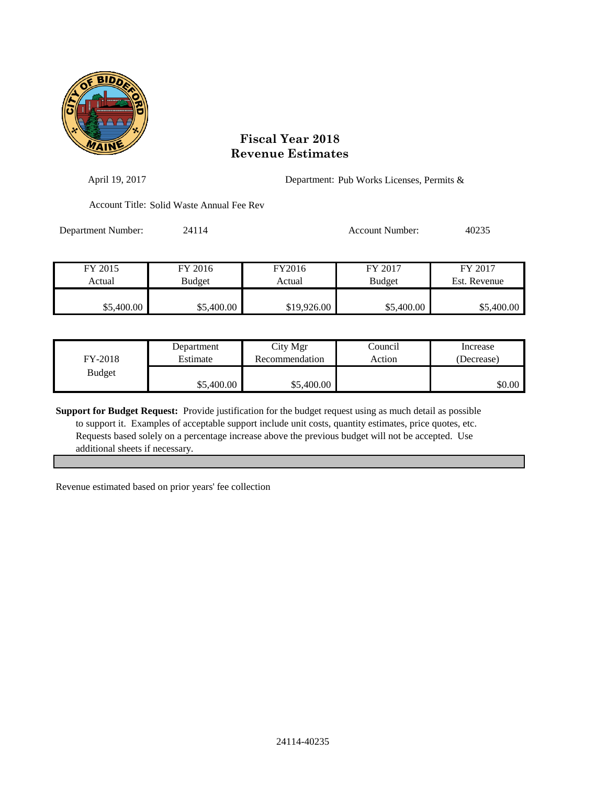

| April 19, 2017     |                                           |             |                 | Department: Pub Works Licenses, Permits & |  |  |
|--------------------|-------------------------------------------|-------------|-----------------|-------------------------------------------|--|--|
|                    | Account Title: Solid Waste Annual Fee Rev |             |                 |                                           |  |  |
| Department Number: | 24114                                     |             | Account Number: | 40235                                     |  |  |
| FY 2015            | FY 2016                                   | FY2016      | FY 2017         | FY 2017                                   |  |  |
| Actual             | Budget                                    | Actual      | <b>Budget</b>   | Est. Revenue                              |  |  |
| \$5,400.00         | \$5,400.00                                | \$19,926.00 | \$5,400.00      | \$5,400.00                                |  |  |

| FY-2018       | Department | City Mgr       | Council | Increase   |
|---------------|------------|----------------|---------|------------|
|               | Estimate   | Recommendation | Action  | (Decrease) |
| <b>Budget</b> | \$5,400.00 | \$5,400.00     |         | \$0.00     |

**Support for Budget Request:** Provide justification for the budget request using as much detail as possible to support it. Examples of acceptable support include unit costs, quantity estimates, price quotes, etc. Requests based solely on a percentage increase above the previous budget will not be accepted. Use additional sheets if necessary.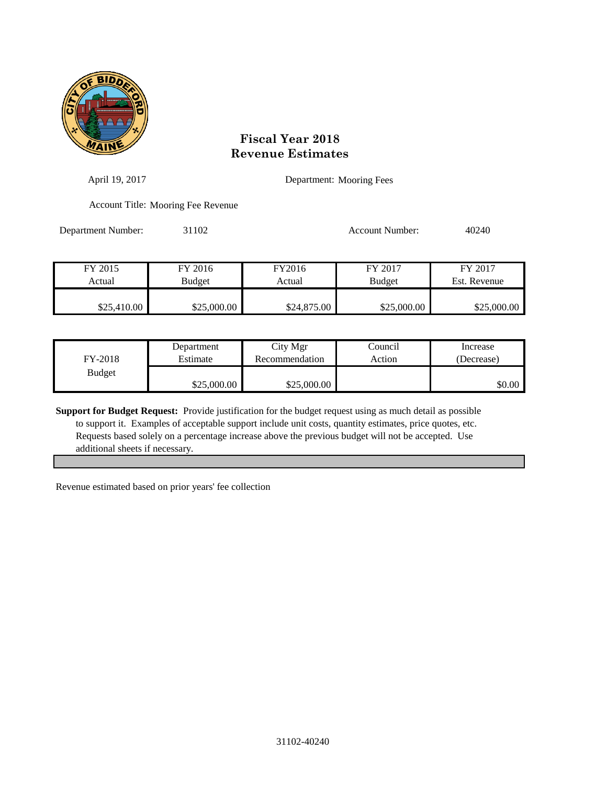

| April 19, 2017     |                                    |             | Department: Mooring Fees |              |
|--------------------|------------------------------------|-------------|--------------------------|--------------|
|                    | Account Title: Mooring Fee Revenue |             |                          |              |
| Department Number: | 31102                              |             | Account Number:          | 40240        |
|                    |                                    |             |                          |              |
| FY 2015            | FY 2016                            | FY2016      | FY 2017                  | FY 2017      |
| Actual             | Budget                             | Actual      | <b>Budget</b>            | Est. Revenue |
|                    |                                    |             |                          |              |
| \$25,410.00        | \$25,000.00                        | \$24,875.00 | \$25,000.00              | \$25,000.00  |

| FY-2018       | Department  | City Mgr       | Council | Increase   |
|---------------|-------------|----------------|---------|------------|
|               | Estimate    | Recommendation | Action  | (Decrease) |
| <b>Budget</b> | \$25,000.00 | \$25,000.00    |         | \$0.00     |

**Support for Budget Request:** Provide justification for the budget request using as much detail as possible to support it. Examples of acceptable support include unit costs, quantity estimates, price quotes, etc. Requests based solely on a percentage increase above the previous budget will not be accepted. Use additional sheets if necessary.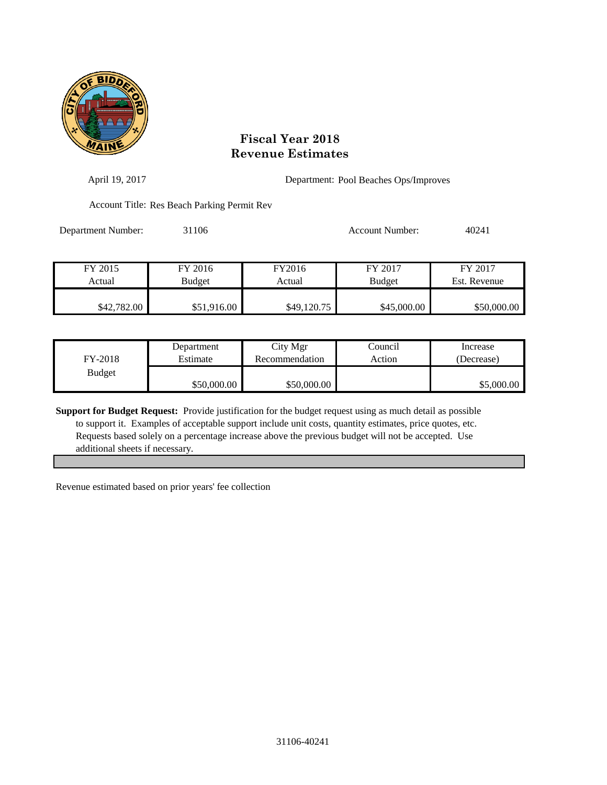

| April 19, 2017     | Department: Pool Beaches Ops/Improves       |                  |                          |                         |
|--------------------|---------------------------------------------|------------------|--------------------------|-------------------------|
|                    | Account Title: Res Beach Parking Permit Rev |                  |                          |                         |
| Department Number: | 31106                                       |                  | Account Number:          | 40241                   |
| FY 2015<br>Actual  | FY 2016<br>Budget                           | FY2016<br>Actual | FY 2017<br><b>Budget</b> | FY 2017<br>Est. Revenue |
| \$42,782.00        | \$51,916.00                                 | \$49,120.75      | \$45,000.00              | \$50,000.00             |

| FY-2018       | Department  | City Mgr       | Council | Increase   |
|---------------|-------------|----------------|---------|------------|
|               | Estimate    | Recommendation | Action  | (Decrease) |
| <b>Budget</b> | \$50,000.00 | \$50,000.00    |         | \$5,000.00 |

**Support for Budget Request:** Provide justification for the budget request using as much detail as possible to support it. Examples of acceptable support include unit costs, quantity estimates, price quotes, etc. Requests based solely on a percentage increase above the previous budget will not be accepted. Use additional sheets if necessary.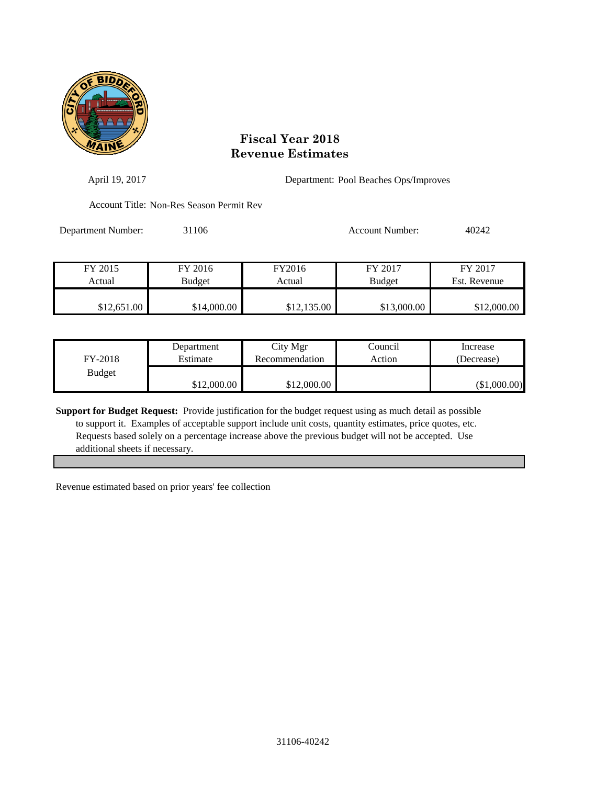

| April 19, 2017     | Department: Pool Beaches Ops/Improves    |                  |                          |                         |
|--------------------|------------------------------------------|------------------|--------------------------|-------------------------|
|                    | Account Title: Non-Res Season Permit Rev |                  |                          |                         |
| Department Number: | 31106                                    |                  | Account Number:          | 40242                   |
| FY 2015<br>Actual  | FY 2016<br>Budget                        | FY2016<br>Actual | FY 2017<br><b>Budget</b> | FY 2017<br>Est. Revenue |
| \$12,651.00        | \$14,000.00                              | \$12,135.00      | \$13,000.00              | \$12,000.00             |

| FY-2018       | Department  | City Mgr       | Council | Increase     |
|---------------|-------------|----------------|---------|--------------|
|               | Estimate    | Recommendation | Action  | (Decrease)   |
| <b>Budget</b> | \$12,000.00 | \$12,000.00    |         | (\$1,000.00) |

**Support for Budget Request:** Provide justification for the budget request using as much detail as possible to support it. Examples of acceptable support include unit costs, quantity estimates, price quotes, etc. Requests based solely on a percentage increase above the previous budget will not be accepted. Use additional sheets if necessary.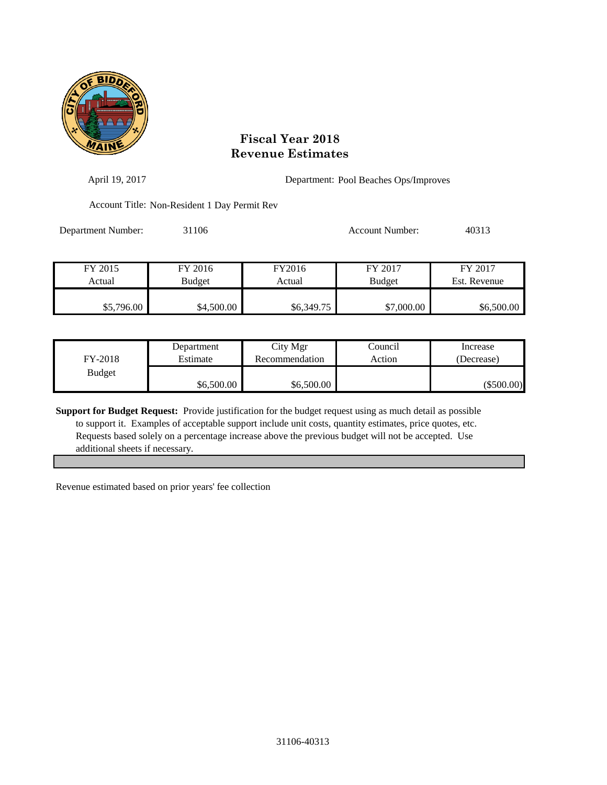

| April 19, 2017     |                                              |            | Department: Pool Beaches Ops/Improves |              |  |
|--------------------|----------------------------------------------|------------|---------------------------------------|--------------|--|
|                    | Account Title: Non-Resident 1 Day Permit Rev |            |                                       |              |  |
| Department Number: | 31106                                        |            | Account Number:                       | 40313        |  |
| FY 2015            | FY 2016                                      | FY2016     | FY 2017                               | FY 2017      |  |
| Actual             | Budget                                       | Actual     | <b>Budget</b>                         | Est. Revenue |  |
| \$5,796.00         | \$4,500.00                                   | \$6,349.75 | \$7,000.00                            | \$6,500.00   |  |

| FY-2018       | Department | City Mgr       | Council | Increase     |
|---------------|------------|----------------|---------|--------------|
|               | Estimate   | Recommendation | Action  | (Decrease)   |
| <b>Budget</b> | \$6,500.00 | \$6,500.00     |         | $(\$500.00)$ |

**Support for Budget Request:** Provide justification for the budget request using as much detail as possible to support it. Examples of acceptable support include unit costs, quantity estimates, price quotes, etc. Requests based solely on a percentage increase above the previous budget will not be accepted. Use additional sheets if necessary.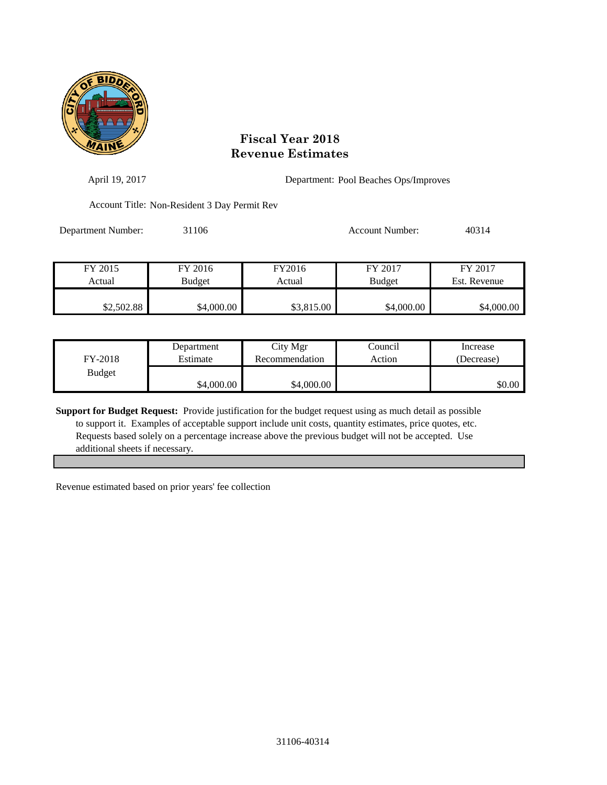

| April 19, 2017     |                                              |                  | Department: Pool Beaches Ops/Improves |                         |  |
|--------------------|----------------------------------------------|------------------|---------------------------------------|-------------------------|--|
|                    | Account Title: Non-Resident 3 Day Permit Rev |                  |                                       |                         |  |
| Department Number: | 31106                                        |                  | Account Number:                       | 40314                   |  |
| FY 2015<br>Actual  | FY 2016<br><b>Budget</b>                     | FY2016<br>Actual | FY 2017<br><b>Budget</b>              | FY 2017<br>Est. Revenue |  |
| \$2,502.88         | \$4,000.00                                   | \$3,815.00       | \$4,000.00                            | \$4,000.00              |  |

| FY-2018       | Department | City Mgr       | Council | Increase   |
|---------------|------------|----------------|---------|------------|
|               | Estimate   | Recommendation | Action  | (Decrease) |
| <b>Budget</b> | \$4,000.00 | \$4,000.00     |         | \$0.00     |

**Support for Budget Request:** Provide justification for the budget request using as much detail as possible to support it. Examples of acceptable support include unit costs, quantity estimates, price quotes, etc. Requests based solely on a percentage increase above the previous budget will not be accepted. Use additional sheets if necessary.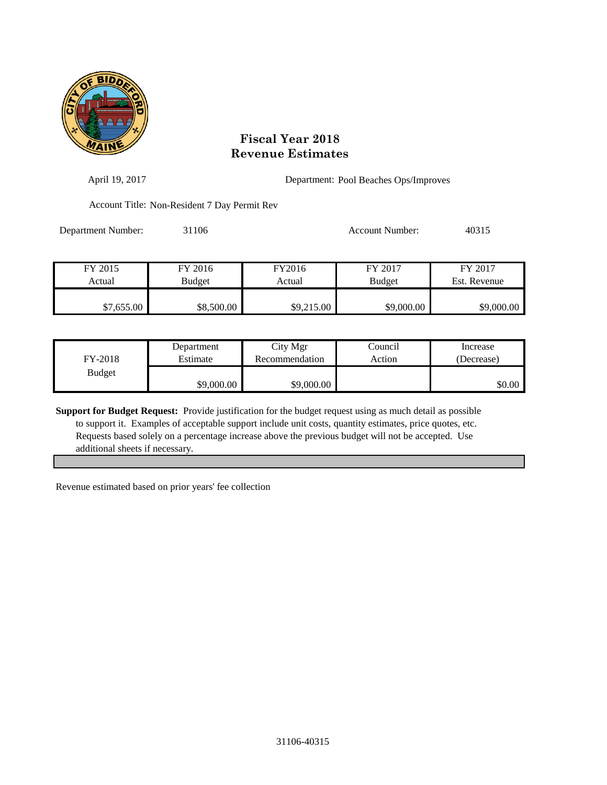

| April 19, 2017     |                                              |                  | Department: Pool Beaches Ops/Improves |                         |  |
|--------------------|----------------------------------------------|------------------|---------------------------------------|-------------------------|--|
|                    | Account Title: Non-Resident 7 Day Permit Rev |                  |                                       |                         |  |
| Department Number: | 31106                                        |                  | Account Number:                       | 40315                   |  |
| FY 2015<br>Actual  | FY 2016<br>Budget                            | FY2016<br>Actual | FY 2017<br><b>Budget</b>              | FY 2017<br>Est. Revenue |  |
| \$7,655.00         | \$8,500.00                                   | \$9,215.00       | \$9,000.00                            | \$9,000.00              |  |

| FY-2018       | Department | City Mgr       | Council | Increase   |
|---------------|------------|----------------|---------|------------|
|               | Estimate   | Recommendation | Action  | (Decrease) |
| <b>Budget</b> | \$9,000.00 | \$9,000.00     |         | \$0.00     |

**Support for Budget Request:** Provide justification for the budget request using as much detail as possible to support it. Examples of acceptable support include unit costs, quantity estimates, price quotes, etc. Requests based solely on a percentage increase above the previous budget will not be accepted. Use additional sheets if necessary.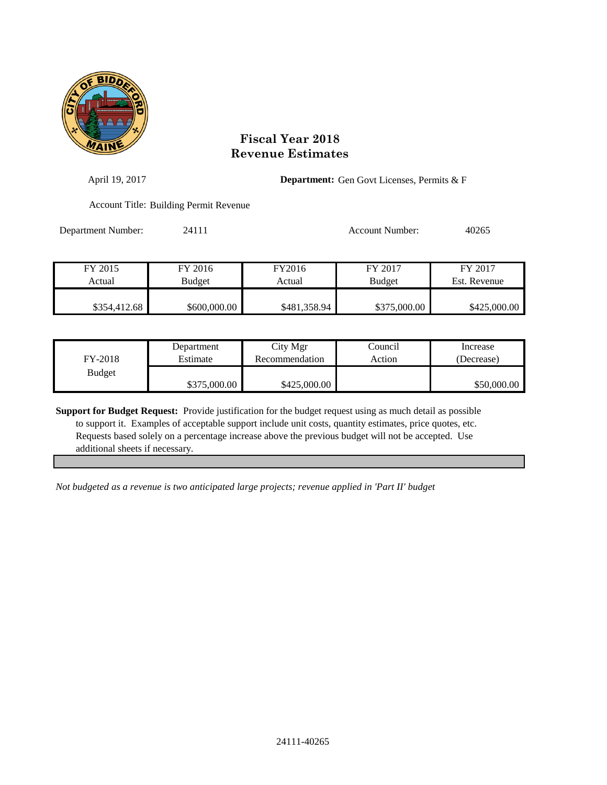

| April 19, 2017     |                                               | <b>Department:</b> Gen Govt Licenses, Permits & F |                 |              |
|--------------------|-----------------------------------------------|---------------------------------------------------|-----------------|--------------|
|                    | <b>Account Title: Building Permit Revenue</b> |                                                   |                 |              |
| Department Number: | 24111                                         |                                                   | Account Number: | 40265        |
| FY 2015            | FY 2016                                       | FY2016                                            | FY 2017         | FY 2017      |
| Actual             | Budget                                        | Actual                                            | <b>Budget</b>   | Est. Revenue |
| \$354,412.68       | \$600,000.00                                  | \$481,358.94                                      | \$375,000.00    | \$425,000.00 |

| FY-2018       | Department   | City Mgr       | Council | Increase    |
|---------------|--------------|----------------|---------|-------------|
|               | Estimate     | Recommendation | Action  | (Decrease)  |
| <b>Budget</b> | \$375,000.00 | \$425,000.00   |         | \$50,000.00 |

**Support for Budget Request:** Provide justification for the budget request using as much detail as possible to support it. Examples of acceptable support include unit costs, quantity estimates, price quotes, etc. Requests based solely on a percentage increase above the previous budget will not be accepted. Use additional sheets if necessary.

*Not budgeted as a revenue is two anticipated large projects; revenue applied in 'Part II' budget*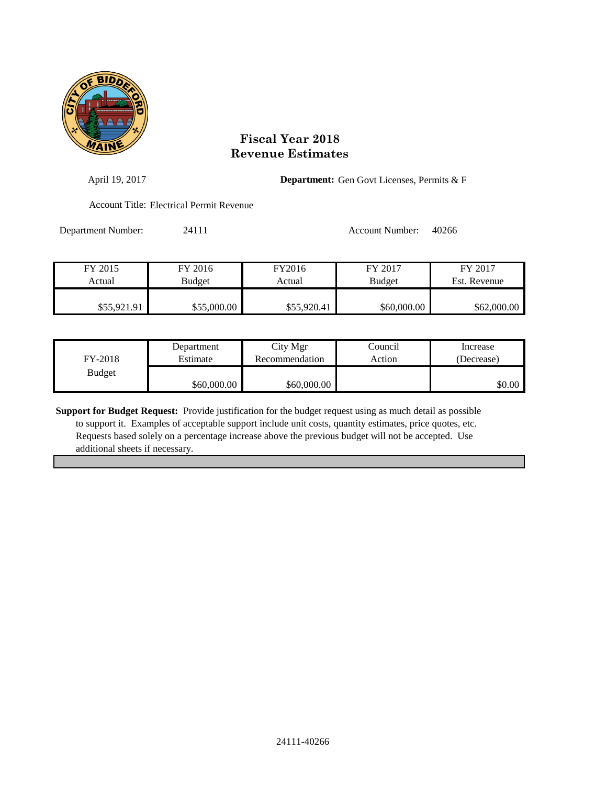

| April 19, 2017     |                                          |                  | <b>Department:</b> Gen Govt Licenses, Permits & F |                         |  |
|--------------------|------------------------------------------|------------------|---------------------------------------------------|-------------------------|--|
|                    | Account Title: Electrical Permit Revenue |                  |                                                   |                         |  |
| Department Number: | 24111                                    |                  | Account Number:                                   | 40266                   |  |
| FY 2015<br>Actual  | FY 2016<br><b>Budget</b>                 | FY2016<br>Actual | FY 2017<br><b>Budget</b>                          | FY 2017<br>Est. Revenue |  |
|                    |                                          |                  |                                                   |                         |  |

| FY-2018       | Department  | City Mgr       | Council | Increase   |
|---------------|-------------|----------------|---------|------------|
|               | Estimate    | Recommendation | Action  | (Decrease) |
| <b>Budget</b> | \$60,000.00 | \$60,000.00    |         | \$0.00     |

\$55,921.91 \$55,000.00 \$55,920.41 \$60,000.00 \$62,000.00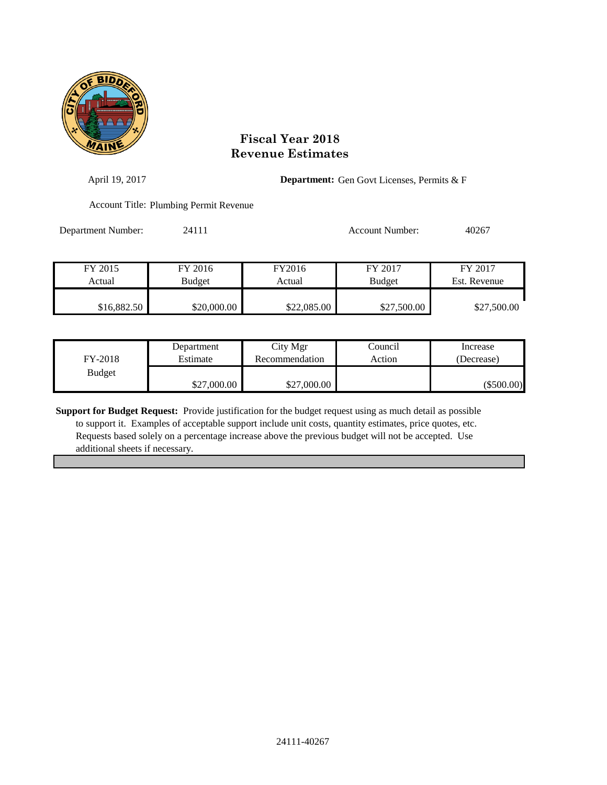

| April 19, 2017     |                                        |                  | <b>Department:</b> Gen Govt Licenses, Permits & F |                         |
|--------------------|----------------------------------------|------------------|---------------------------------------------------|-------------------------|
|                    | Account Title: Plumbing Permit Revenue |                  |                                                   |                         |
| Department Number: | 24111                                  |                  | <b>Account Number:</b>                            | 40267                   |
| FY 2015<br>Actual  | FY 2016<br><b>Budget</b>               | FY2016<br>Actual | FY 2017<br><b>Budget</b>                          | FY 2017<br>Est. Revenue |
| \$16,882.50        | \$20,000.00                            | \$22,085.00      | \$27,500.00                                       | \$27,500.00             |

| FY-2018       | Department  | City Mgr       | Council | Increase     |
|---------------|-------------|----------------|---------|--------------|
|               | Estimate    | Recommendation | Action  | (Decrease)   |
| <b>Budget</b> | \$27,000.00 | \$27,000.00    |         | $(\$500.00)$ |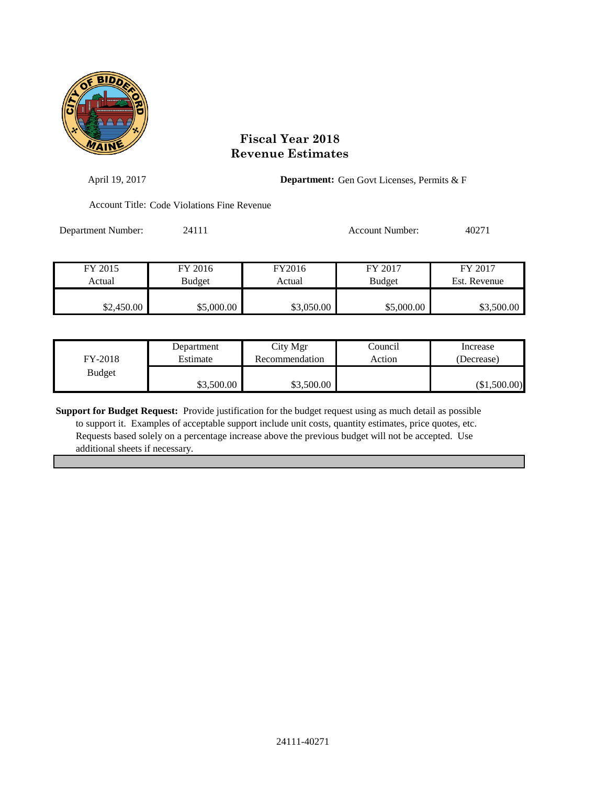

| April 19, 2017     |                                             |            | <b>Department:</b> Gen Govt Licenses, Permits & F |              |  |
|--------------------|---------------------------------------------|------------|---------------------------------------------------|--------------|--|
|                    | Account Title: Code Violations Fine Revenue |            |                                                   |              |  |
| Department Number: | 24111                                       |            | Account Number:                                   | 40271        |  |
|                    |                                             |            |                                                   |              |  |
| FY 2015            | FY 2016                                     | FY2016     | FY 2017                                           | FY 2017      |  |
| Actual             | <b>Budget</b>                               | Actual     | <b>Budget</b>                                     | Est. Revenue |  |
|                    |                                             |            |                                                   |              |  |
| \$2,450.00         | \$5,000.00                                  | \$3,050.00 | \$5,000.00                                        | \$3,500.00   |  |
|                    |                                             |            |                                                   |              |  |

| FY-2018       | Department | City Mgr       | Council | Increase     |
|---------------|------------|----------------|---------|--------------|
|               | Estimate   | Recommendation | Action  | (Decrease)   |
| <b>Budget</b> | \$3,500.00 | \$3,500.00     |         | (\$1,500.00) |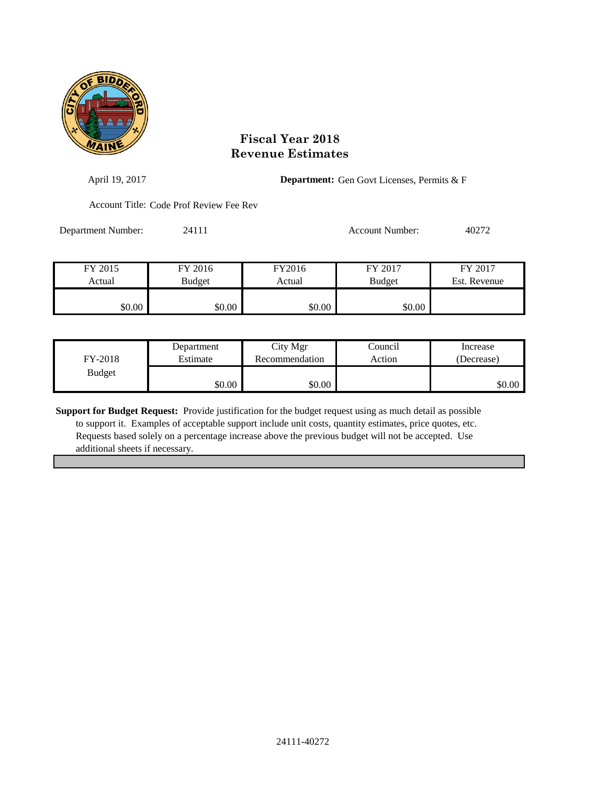

| April 19, 2017     |                                         | <b>Department:</b> Gen Govt Licenses, Permits & F |                        |              |
|--------------------|-----------------------------------------|---------------------------------------------------|------------------------|--------------|
|                    | Account Title: Code Prof Review Fee Rev |                                                   |                        |              |
| Department Number: | 24111                                   |                                                   | <b>Account Number:</b> | 40272        |
|                    |                                         |                                                   |                        |              |
| FY 2015            | FY 2016                                 | FY2016                                            | FY 2017                | FY 2017      |
| Actual             | <b>Budget</b>                           | Actual                                            | <b>Budget</b>          | Est. Revenue |
| \$0.00             | \$0.00                                  | \$0.00                                            | \$0.00                 |              |

| FY-2018       | Department | City Mgr       | Council | Increase   |
|---------------|------------|----------------|---------|------------|
|               | Estimate   | Recommendation | Action  | (Decrease) |
| <b>Budget</b> | \$0.00     | \$0.00         |         | \$0.00     |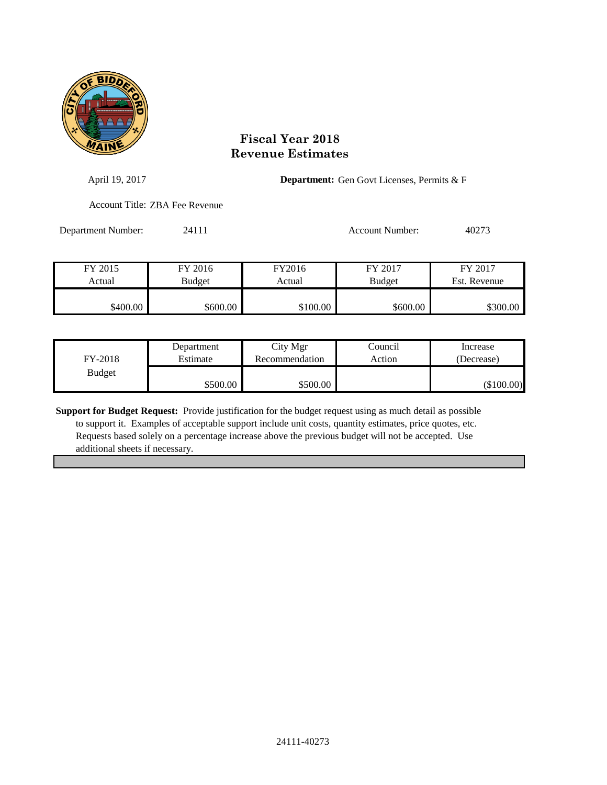

| April 19, 2017     |                                | <b>Department:</b> Gen Govt Licenses, Permits & F |                 |              |
|--------------------|--------------------------------|---------------------------------------------------|-----------------|--------------|
|                    | Account Title: ZBA Fee Revenue |                                                   |                 |              |
| Department Number: | 24111                          |                                                   | Account Number: | 40273        |
| FY 2015            | FY 2016                        | FY2016                                            | FY 2017         | FY 2017      |
| Actual             | <b>Budget</b>                  | Actual                                            | <b>Budget</b>   | Est. Revenue |

| FY-2018       | Department | City Mgr       | Council | Increase     |
|---------------|------------|----------------|---------|--------------|
|               | Estimate   | Recommendation | Action  | (Decrease)   |
| <b>Budget</b> | \$500.00   | \$500.00       |         | $(\$100.00)$ |

\$400.00 \$600.00 \$600.00 \$100.00 \$600.00 \$600.00 \$300.00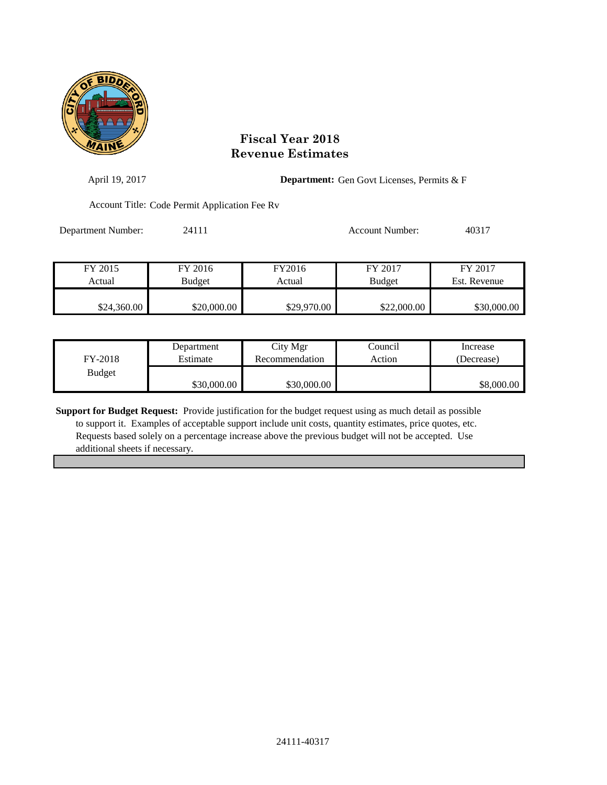

| April 19, 2017     | <b>Department:</b> Gen Govt Licenses, Permits & F |                  |                          |                         |
|--------------------|---------------------------------------------------|------------------|--------------------------|-------------------------|
|                    | Account Title: Code Permit Application Fee Rv     |                  |                          |                         |
| Department Number: | 24111                                             |                  | <b>Account Number:</b>   | 40317                   |
| FY 2015<br>Actual  | FY 2016<br>Budget                                 | FY2016<br>Actual | FY 2017<br><b>Budget</b> | FY 2017<br>Est. Revenue |
| \$24,360.00        | \$20,000.00                                       | \$29,970.00      | \$22,000.00              | \$30,000.00             |

|               | Department  | City Mgr       | Council | Increase   |
|---------------|-------------|----------------|---------|------------|
| FY-2018       | Estimate    | Recommendation | Action  | (Decrease) |
| <b>Budget</b> |             |                |         |            |
|               | \$30,000.00 | \$30,000.00    |         | \$8,000.00 |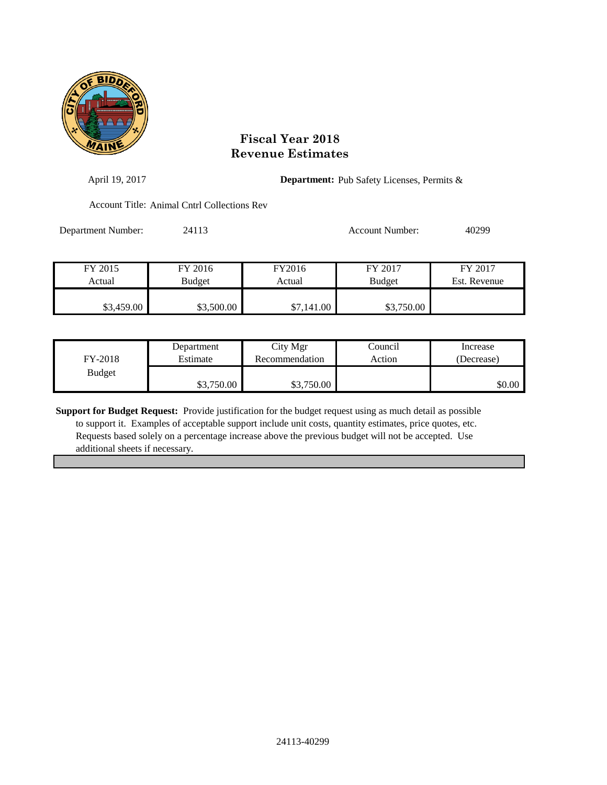

| April 19, 2017     |                                             |                  | <b>Department:</b> Pub Safety Licenses, Permits & |              |  |
|--------------------|---------------------------------------------|------------------|---------------------------------------------------|--------------|--|
|                    | Account Title: Animal Cntrl Collections Rev |                  |                                                   |              |  |
| Department Number: | 24113                                       |                  | Account Number:                                   | 40299        |  |
| FY 2015            | FY 2016                                     | FY2016<br>Actual | FY 2017                                           | FY 2017      |  |
| Actual             | Budget                                      |                  | <b>Budget</b>                                     | Est. Revenue |  |
| \$3,459.00         | \$3,500.00                                  | \$7,141.00       | \$3,750.00                                        |              |  |

| FY-2018       | Department | City Mgr       | Council | Increase   |
|---------------|------------|----------------|---------|------------|
|               | Estimate   | Recommendation | Action  | (Decrease) |
| <b>Budget</b> | \$3,750.00 | \$3,750.00     |         | \$0.00     |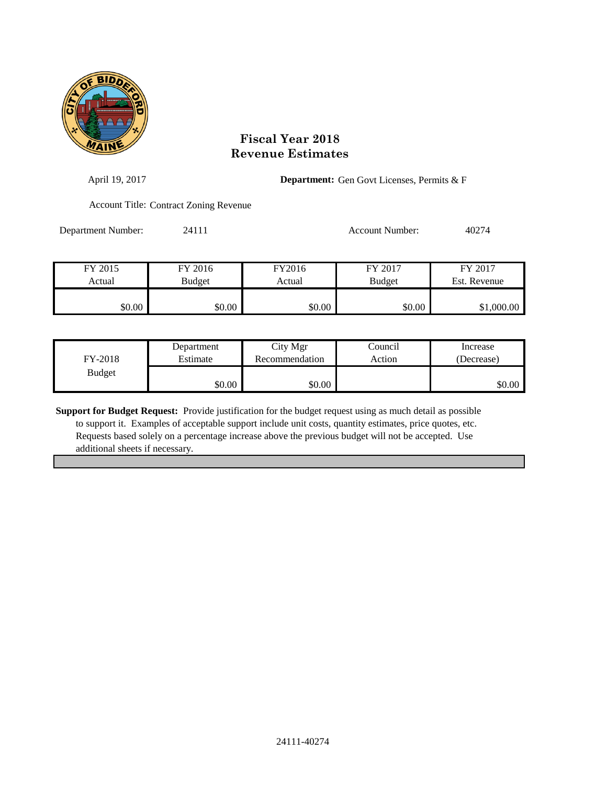

| April 19, 2017     |                                               |        | <b>Department:</b> Gen Govt Licenses, Permits & F |              |  |
|--------------------|-----------------------------------------------|--------|---------------------------------------------------|--------------|--|
|                    | <b>Account Title: Contract Zoning Revenue</b> |        |                                                   |              |  |
| Department Number: | 24111                                         |        | <b>Account Number:</b>                            | 40274        |  |
| FY 2015            | FY 2016                                       | FY2016 | FY 2017                                           | FY 2017      |  |
| Actual             | <b>Budget</b>                                 | Actual | <b>Budget</b>                                     | Est. Revenue |  |
| \$0.00             | \$0.00                                        | \$0.00 | \$0.00                                            | \$1,000.00   |  |

| FY-2018       | Department | City Mgr       | Council | Increase   |
|---------------|------------|----------------|---------|------------|
|               | Estimate   | Recommendation | Action  | (Decrease) |
| <b>Budget</b> | \$0.00     | \$0.00         |         | \$0.00     |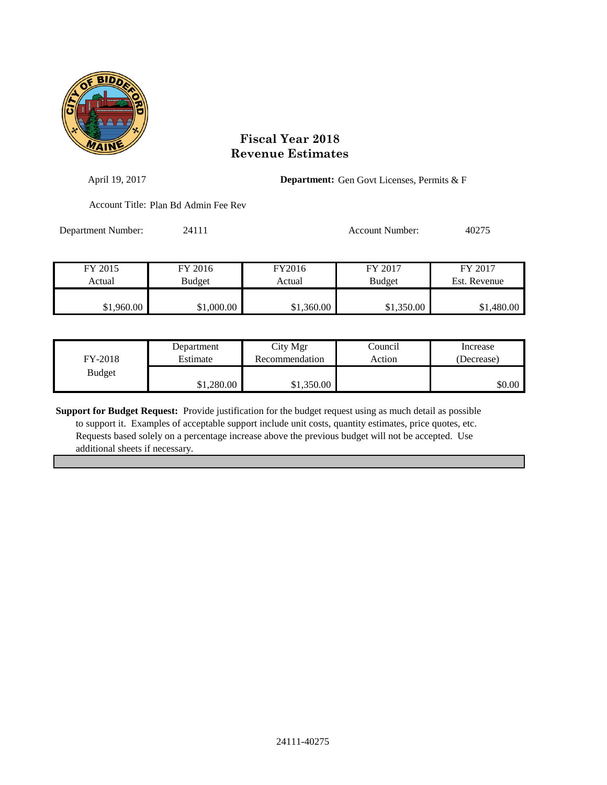

| April 19, 2017     |                                      |            | <b>Department:</b> Gen Govt Licenses, Permits & F |              |  |
|--------------------|--------------------------------------|------------|---------------------------------------------------|--------------|--|
|                    | Account Title: Plan Bd Admin Fee Rev |            |                                                   |              |  |
| Department Number: | 24111                                |            | <b>Account Number:</b>                            | 40275        |  |
| FY 2015            | FY 2016                              | FY2016     | FY 2017                                           | FY 2017      |  |
| Actual             | <b>Budget</b>                        | Actual     | <b>Budget</b>                                     | Est. Revenue |  |
| \$1,960.00         | \$1,000.00                           | \$1,360.00 | \$1,350.00                                        | \$1,480.00   |  |

| FY-2018       | Department | City Mgr       | Council | Increase   |
|---------------|------------|----------------|---------|------------|
|               | Estimate   | Recommendation | Action  | (Decrease) |
| <b>Budget</b> | \$1,280.00 | \$1,350.00     |         | \$0.00     |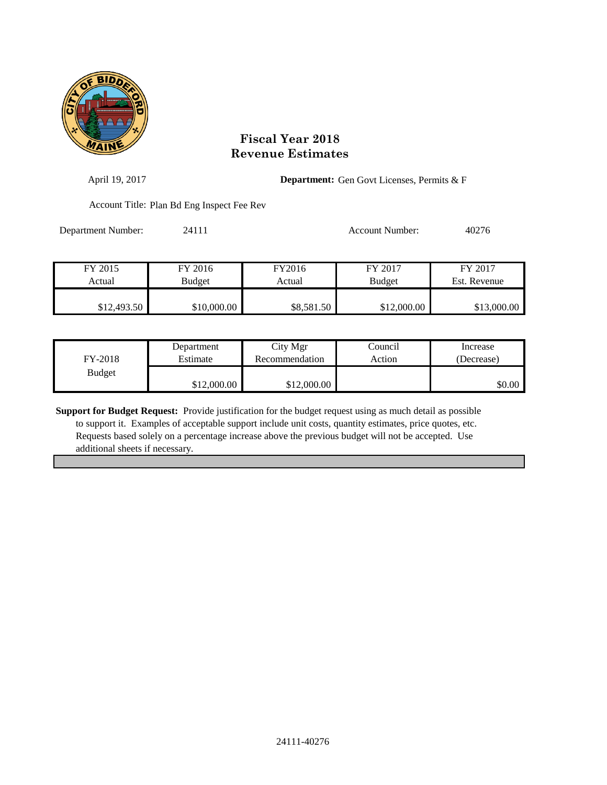

| April 19, 2017     |                                            |            | <b>Department:</b> Gen Govt Licenses, Permits & F |                         |  |
|--------------------|--------------------------------------------|------------|---------------------------------------------------|-------------------------|--|
|                    | Account Title: Plan Bd Eng Inspect Fee Rev |            |                                                   |                         |  |
| Department Number: | 24111                                      |            | <b>Account Number:</b>                            | 40276                   |  |
| FY 2015            | FY 2016                                    | FY2016     | FY 2017                                           | FY 2017<br>Est. Revenue |  |
| Actual             | Budget                                     | Actual     | <b>Budget</b>                                     |                         |  |
| \$12,493.50        | \$10,000.00                                | \$8,581.50 | \$12,000.00                                       | \$13,000.00             |  |

| FY-2018       | Department  | City Mgr       | Council | Increase   |
|---------------|-------------|----------------|---------|------------|
|               | Estimate    | Recommendation | Action  | (Decrease) |
| <b>Budget</b> | \$12,000.00 | \$12,000.00    |         | \$0.00     |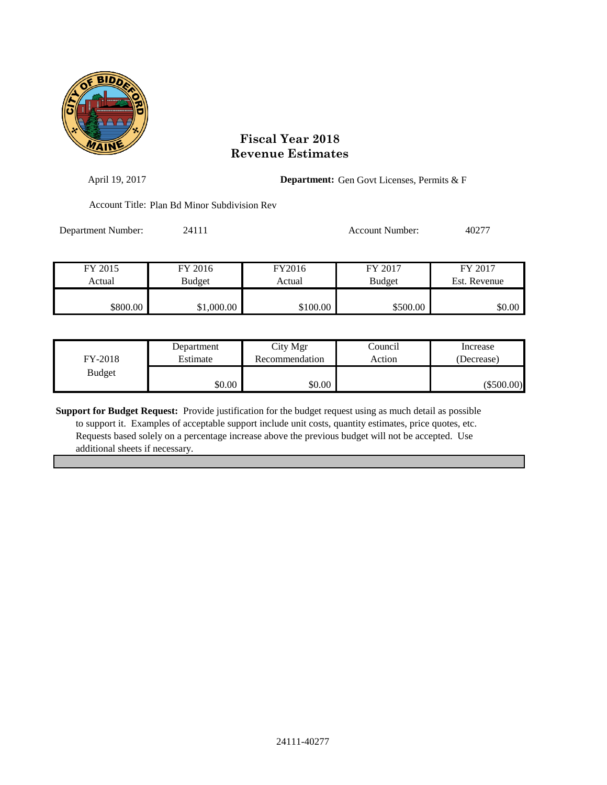

| April 19, 2017     |                                              |                  | <b>Department:</b> Gen Govt Licenses, Permits & F |                         |
|--------------------|----------------------------------------------|------------------|---------------------------------------------------|-------------------------|
|                    | Account Title: Plan Bd Minor Subdivision Rev |                  |                                                   |                         |
| Department Number: | 24111                                        |                  | <b>Account Number:</b>                            | 40277                   |
| FY 2015<br>Actual  | FY 2016<br>Budget                            | FY2016<br>Actual | FY 2017<br><b>Budget</b>                          | FY 2017<br>Est. Revenue |
| \$800.00           | \$1,000.00                                   | \$100.00         | \$500.00                                          | \$0.00                  |

| FY-2018       | Department | City Mgr       | Council | Increase     |
|---------------|------------|----------------|---------|--------------|
|               | Estimate   | Recommendation | Action  | (Decrease)   |
| <b>Budget</b> | \$0.00     | \$0.00         |         | $(\$500.00)$ |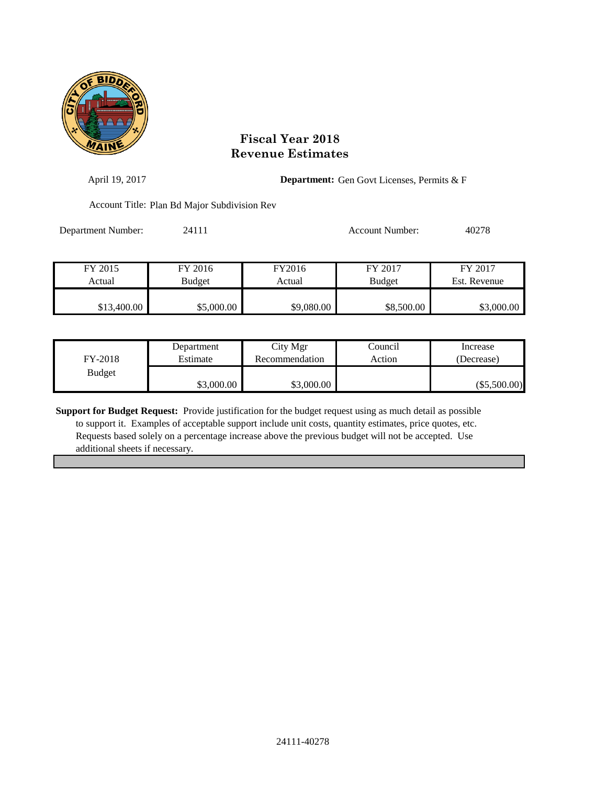

| April 19, 2017     |                                              |                  | <b>Department:</b> Gen Govt Licenses, Permits & F |                         |  |
|--------------------|----------------------------------------------|------------------|---------------------------------------------------|-------------------------|--|
|                    | Account Title: Plan Bd Major Subdivision Rev |                  |                                                   |                         |  |
| Department Number: | 24111                                        |                  | <b>Account Number:</b>                            | 40278                   |  |
| FY 2015<br>Actual  | FY 2016<br><b>Budget</b>                     | FY2016<br>Actual | FY 2017<br><b>Budget</b>                          | FY 2017<br>Est. Revenue |  |
| \$13,400.00        | \$5,000.00                                   | \$9,080.00       | \$8,500.00                                        | \$3,000.00              |  |

| FY-2018       | Department | City Mgr       | Council | Increase       |
|---------------|------------|----------------|---------|----------------|
|               | Estimate   | Recommendation | Action  | (Decrease)     |
| <b>Budget</b> | \$3,000.00 | \$3,000.00     |         | $(\$5,500.00)$ |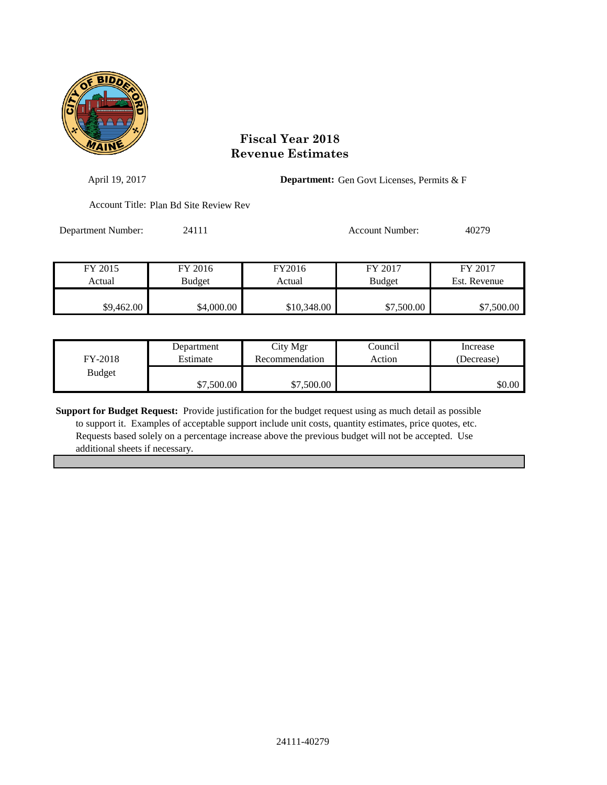

| April 19, 2017     |                                        |             | <b>Department:</b> Gen Govt Licenses, Permits & F |              |  |
|--------------------|----------------------------------------|-------------|---------------------------------------------------|--------------|--|
|                    | Account Title: Plan Bd Site Review Rev |             |                                                   |              |  |
| Department Number: | 24111                                  |             | Account Number:                                   | 40279        |  |
| FY 2015            | FY 2016                                | FY2016      | FY 2017                                           | FY 2017      |  |
| Actual             | Budget                                 | Actual      | <b>Budget</b>                                     | Est. Revenue |  |
|                    |                                        |             |                                                   |              |  |
| \$9,462.00         | \$4,000.00                             | \$10,348.00 | \$7,500.00                                        | \$7,500.00   |  |

| FY-2018       | Department | City Mgr       | Council | Increase   |
|---------------|------------|----------------|---------|------------|
|               | Estimate   | Recommendation | Action  | (Decrease) |
| <b>Budget</b> | \$7,500.00 | \$7,500.00     |         | \$0.00     |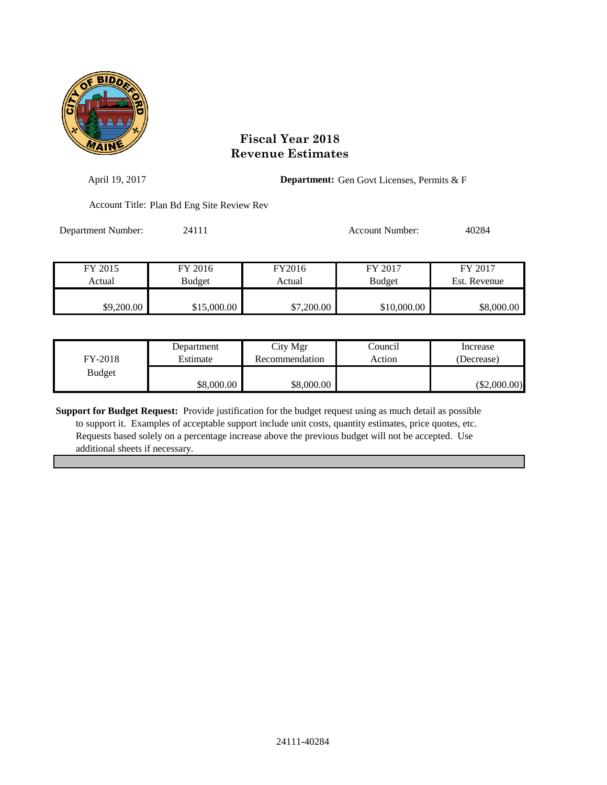

| April 19, 2017     |                                            |                  | <b>Department:</b> Gen Govt Licenses, Permits & F |                         |  |
|--------------------|--------------------------------------------|------------------|---------------------------------------------------|-------------------------|--|
|                    | Account Title: Plan Bd Eng Site Review Rev |                  |                                                   |                         |  |
| Department Number: | 24111                                      |                  | <b>Account Number:</b>                            | 40284                   |  |
| FY 2015<br>Actual  | FY 2016<br><b>Budget</b>                   | FY2016<br>Actual | FY 2017<br><b>Budget</b>                          | FY 2017<br>Est. Revenue |  |
| \$9,200.00         | \$15,000.00                                | \$7,200.00       | \$10,000.00                                       | \$8,000.00              |  |

| FY-2018       | Department | City Mgr       | Council | Increase       |
|---------------|------------|----------------|---------|----------------|
|               | Estimate   | Recommendation | Action  | (Decrease)     |
| <b>Budget</b> | \$8,000.00 | \$8,000.00     |         | $(\$2,000.00)$ |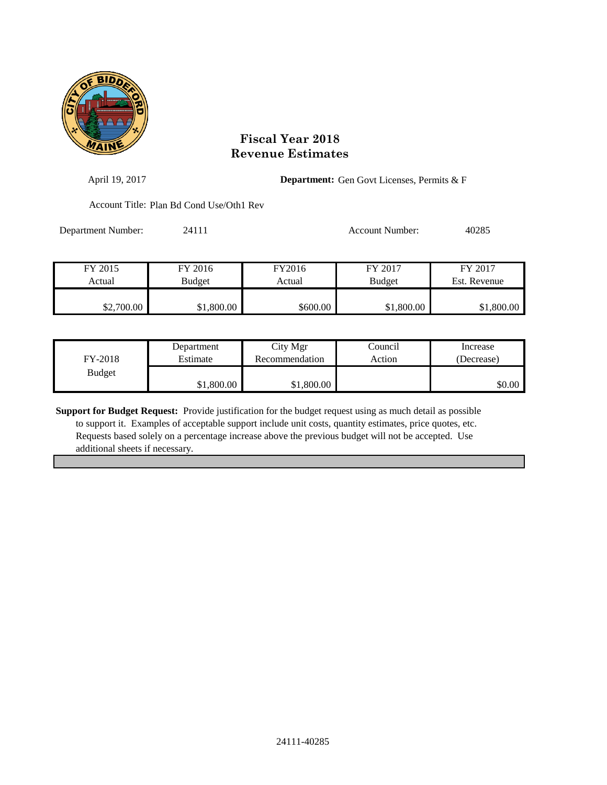

| April 19, 2017     |                                          |                  | <b>Department:</b> Gen Govt Licenses, Permits & F |                         |  |
|--------------------|------------------------------------------|------------------|---------------------------------------------------|-------------------------|--|
|                    | Account Title: Plan Bd Cond Use/Oth1 Rev |                  |                                                   |                         |  |
| Department Number: | 24111                                    |                  | Account Number:                                   | 40285                   |  |
| FY 2015<br>Actual  | FY 2016<br><b>Budget</b>                 | FY2016<br>Actual | FY 2017<br><b>Budget</b>                          | FY 2017<br>Est. Revenue |  |
| \$2,700.00         | \$1,800.00                               | \$600.00         | \$1,800.00                                        | \$1,800.00              |  |
|                    |                                          |                  |                                                   |                         |  |

| FY-2018       | Department | City Mgr       | Council | Increase   |
|---------------|------------|----------------|---------|------------|
|               | Estimate   | Recommendation | Action  | (Decrease) |
| <b>Budget</b> | \$1,800.00 | \$1,800.00     |         | \$0.00     |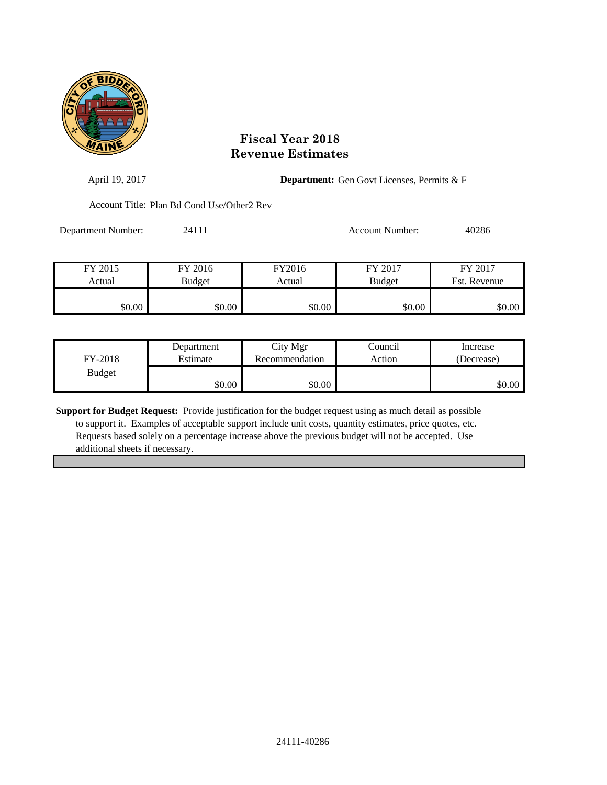

| April 19, 2017     |                                            |                  | <b>Department:</b> Gen Govt Licenses, Permits & F |                         |
|--------------------|--------------------------------------------|------------------|---------------------------------------------------|-------------------------|
|                    | Account Title: Plan Bd Cond Use/Other2 Rev |                  |                                                   |                         |
| Department Number: | 24111                                      |                  | Account Number:                                   | 40286                   |
| FY 2015<br>Actual  | FY 2016<br>Budget                          | FY2016<br>Actual | FY 2017<br><b>Budget</b>                          | FY 2017<br>Est. Revenue |
| \$0.00             | \$0.00                                     | \$0.00           | \$0.00                                            | \$0.00                  |

| FY-2018       | Department | City Mgr       | Council | Increase   |
|---------------|------------|----------------|---------|------------|
|               | Estimate   | Recommendation | Action  | (Decrease) |
| <b>Budget</b> | \$0.00     | \$0.00         |         | \$0.00     |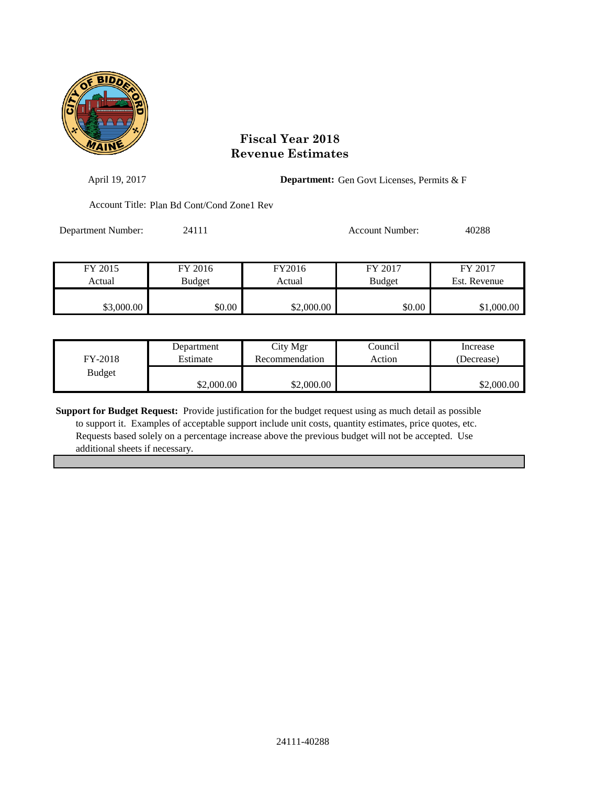

| April 19, 2017     |                                             |                  | <b>Department:</b> Gen Govt Licenses, Permits & F |                         |
|--------------------|---------------------------------------------|------------------|---------------------------------------------------|-------------------------|
|                    | Account Title: Plan Bd Cont/Cond Zone l Rev |                  |                                                   |                         |
| Department Number: | 24111                                       |                  | Account Number:                                   | 40288                   |
| FY 2015<br>Actual  | FY 2016<br><b>Budget</b>                    | FY2016<br>Actual | FY 2017<br><b>Budget</b>                          | FY 2017<br>Est. Revenue |
| \$3,000.00         | \$0.00                                      | \$2,000.00       | \$0.00                                            | \$1,000.00              |

| FY-2018       | Department | City Mgr       | Council | Increase   |
|---------------|------------|----------------|---------|------------|
|               | Estimate   | Recommendation | Action  | (Decrease) |
| <b>Budget</b> | \$2,000.00 | \$2,000.00     |         | \$2,000.00 |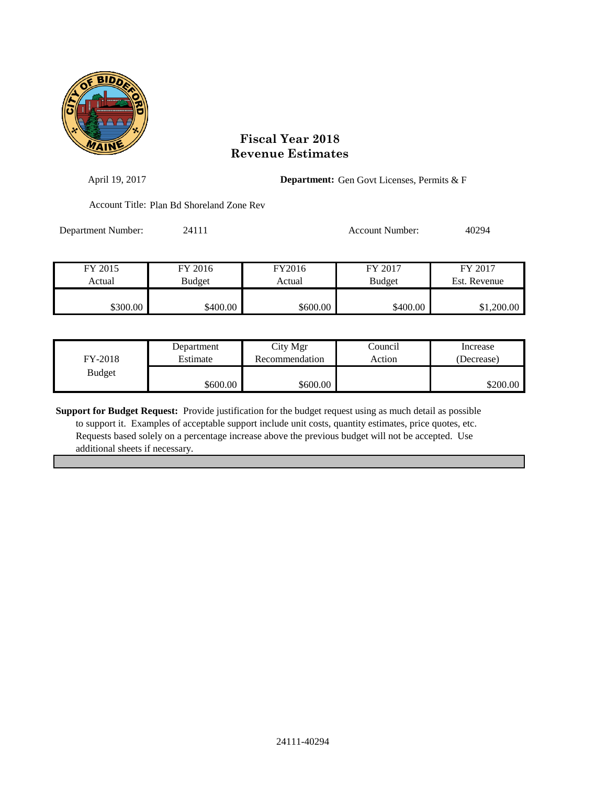

| April 19, 2017     |                                           |                  | <b>Department:</b> Gen Govt Licenses, Permits & F |                         |  |
|--------------------|-------------------------------------------|------------------|---------------------------------------------------|-------------------------|--|
|                    | Account Title: Plan Bd Shoreland Zone Rev |                  |                                                   |                         |  |
| Department Number: | 24111                                     |                  | Account Number:                                   | 40294                   |  |
| FY 2015<br>Actual  | FY 2016<br><b>Budget</b>                  | FY2016<br>Actual | FY 2017<br><b>Budget</b>                          | FY 2017<br>Est. Revenue |  |
| \$300.00           | \$400.00                                  | \$600.00         | \$400.00                                          | \$1,200.00              |  |

| FY-2018       | Department | City Mgr       | Council | Increase   |
|---------------|------------|----------------|---------|------------|
|               | Estimate   | Recommendation | Action  | (Decrease) |
| <b>Budget</b> | \$600.00]  | \$600.00       |         | \$200.00   |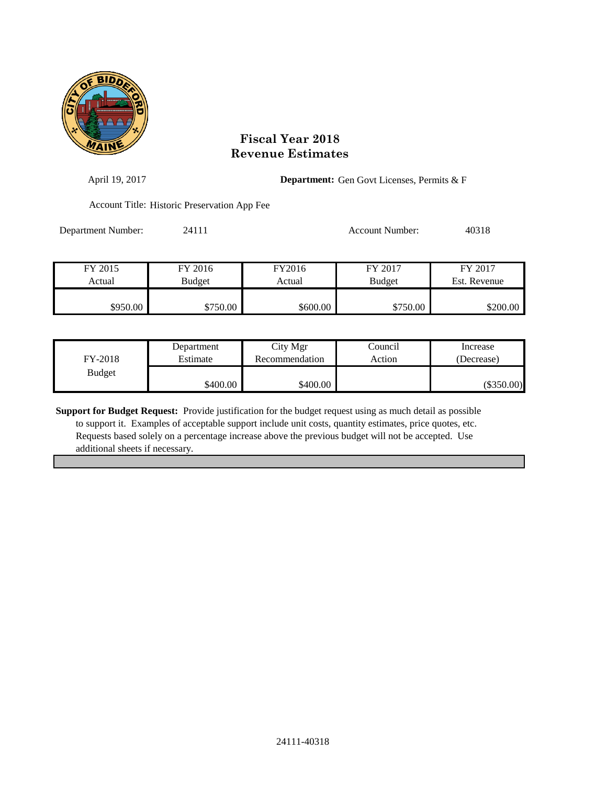

| April 19, 2017     |                                              |          | <b>Department:</b> Gen Govt Licenses, Permits & F |              |  |
|--------------------|----------------------------------------------|----------|---------------------------------------------------|--------------|--|
|                    | Account Title: Historic Preservation App Fee |          |                                                   |              |  |
| Department Number: | 24111                                        |          | Account Number:                                   | 40318        |  |
|                    |                                              |          |                                                   |              |  |
| FY 2015            | FY 2016                                      | FY2016   | FY 2017                                           | FY 2017      |  |
| Actual             | <b>Budget</b>                                | Actual   | <b>Budget</b>                                     | Est. Revenue |  |
|                    |                                              |          |                                                   |              |  |
| \$950.00           | \$750.00                                     | \$600.00 | \$750.00                                          | \$200.00     |  |

| FY-2018       | Department | City Mgr       | Council | Increase     |
|---------------|------------|----------------|---------|--------------|
|               | Estimate   | Recommendation | Action  | (Decrease)   |
| <b>Budget</b> | \$400.00   | \$400.00       |         | $(\$350.00)$ |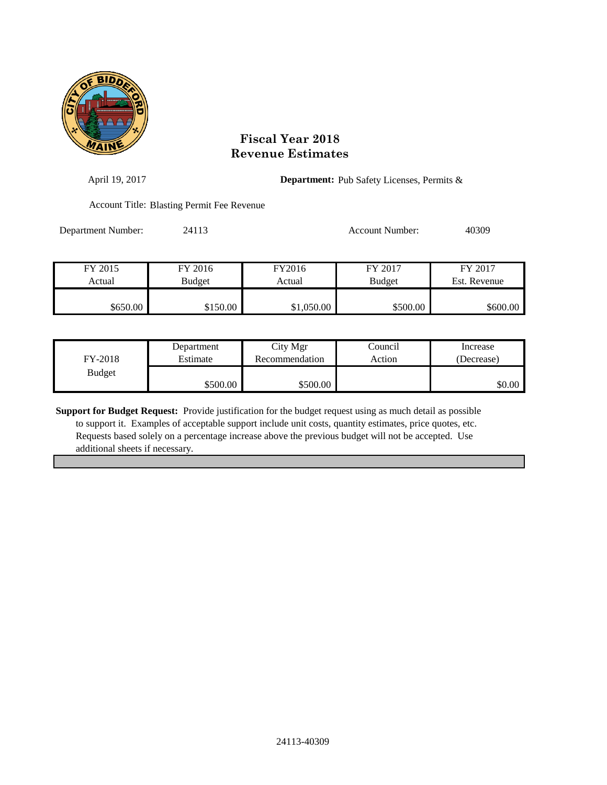

| April 19, 2017     |                                            |                  | <b>Department:</b> Pub Safety Licenses, Permits & |                         |  |
|--------------------|--------------------------------------------|------------------|---------------------------------------------------|-------------------------|--|
|                    | Account Title: Blasting Permit Fee Revenue |                  |                                                   |                         |  |
| Department Number: | 24113                                      |                  | Account Number:                                   | 40309                   |  |
| FY 2015<br>Actual  | FY 2016<br><b>Budget</b>                   | FY2016<br>Actual | FY 2017<br><b>Budget</b>                          | FY 2017<br>Est. Revenue |  |
|                    |                                            |                  |                                                   |                         |  |
| \$650.00           | \$150.00                                   | \$1,050.00       | \$500.00                                          | \$600.00                |  |

| FY-2018       | Department | City Mgr       | Council | Increase   |
|---------------|------------|----------------|---------|------------|
|               | Estimate   | Recommendation | Action  | (Decrease) |
| <b>Budget</b> | \$500.00   | \$500.00       |         | \$0.00     |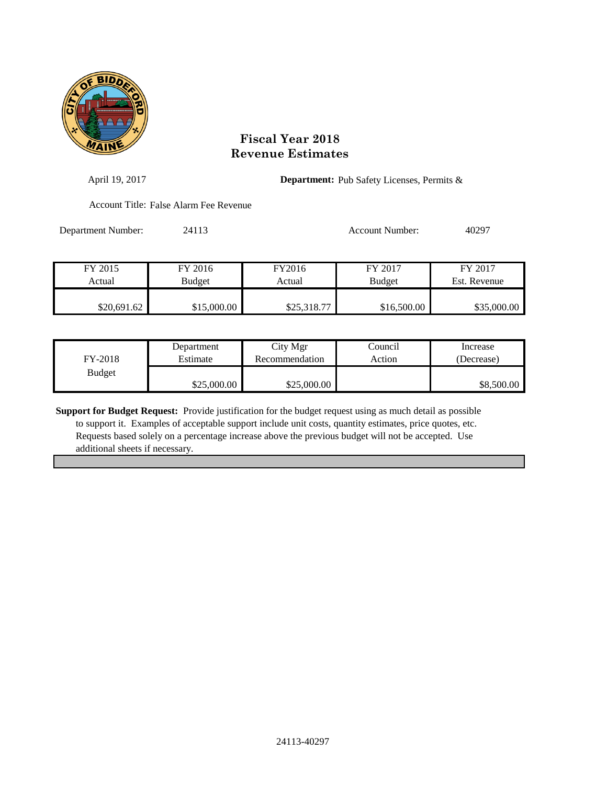

| April 19, 2017     |                                        |             | <b>Department:</b> Pub Safety Licenses, Permits & |              |  |
|--------------------|----------------------------------------|-------------|---------------------------------------------------|--------------|--|
|                    | Account Title: False Alarm Fee Revenue |             |                                                   |              |  |
| Department Number: | 24113                                  |             | Account Number:                                   | 40297        |  |
| FY 2015            | FY 2016                                | FY2016      | FY 2017                                           | FY 2017      |  |
| Actual             | Budget                                 | Actual      | <b>Budget</b>                                     | Est. Revenue |  |
| \$20,691.62        | \$15,000.00                            | \$25,318.77 | \$16,500.00                                       | \$35,000.00  |  |

| FY-2018       | Department  | City Mgr       | Council | Increase   |
|---------------|-------------|----------------|---------|------------|
|               | Estimate    | Recommendation | Action  | (Decrease) |
| <b>Budget</b> | \$25,000.00 | \$25,000.00    |         | \$8,500.00 |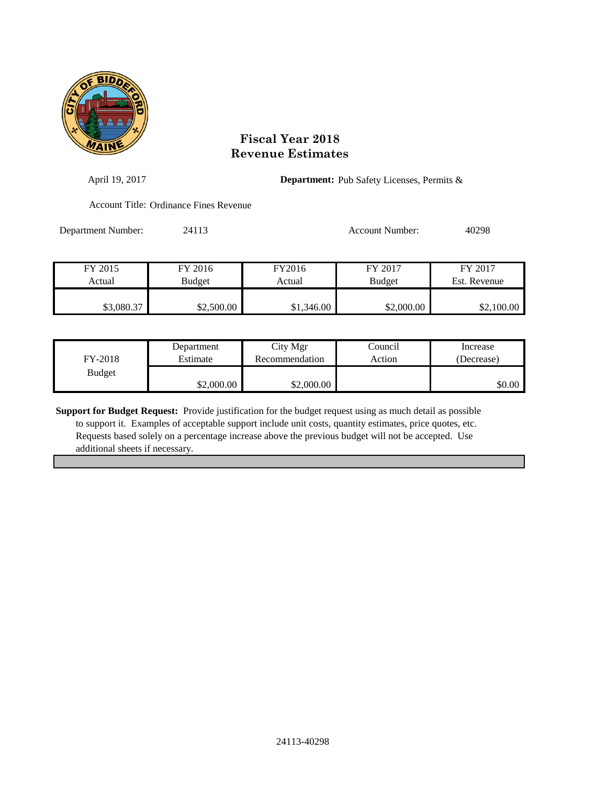

| April 19, 2017     |                                        |            | <b>Department:</b> Pub Safety Licenses, Permits & |              |  |
|--------------------|----------------------------------------|------------|---------------------------------------------------|--------------|--|
|                    | Account Title: Ordinance Fines Revenue |            |                                                   |              |  |
| Department Number: | 24113                                  |            | Account Number:                                   | 40298        |  |
| FY 2015            | FY 2016                                | FY2016     | FY 2017                                           | FY 2017      |  |
| Actual             | Budget                                 | Actual     | <b>Budget</b>                                     | Est. Revenue |  |
| \$3,080.37         | \$2,500.00                             | \$1,346.00 | \$2,000.00                                        | \$2,100.00   |  |

| FY-2018       | Department | City Mgr       | Council | Increase   |
|---------------|------------|----------------|---------|------------|
|               | Estimate   | Recommendation | Action  | (Decrease) |
| <b>Budget</b> | \$2,000.00 | \$2,000.00     |         | \$0.00     |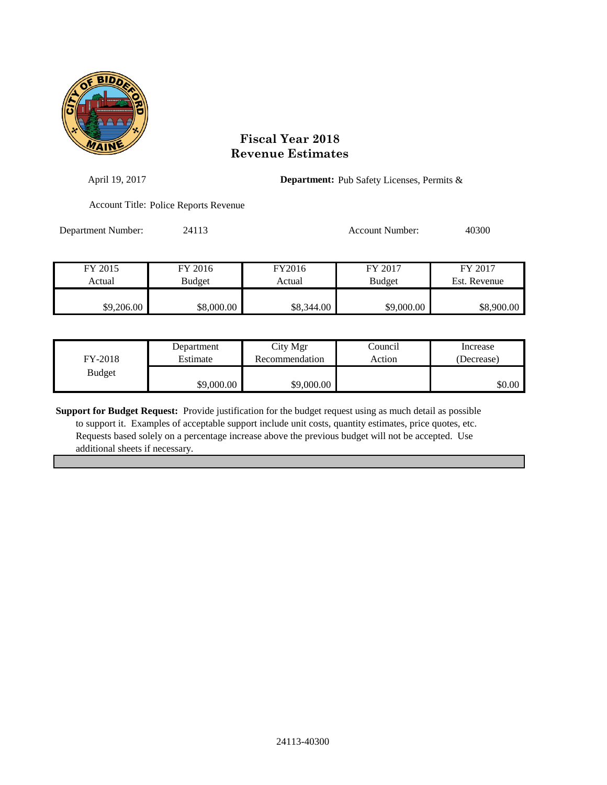

| April 19, 2017     |                                       |            |                        | <b>Department:</b> Pub Safety Licenses, Permits & |  |
|--------------------|---------------------------------------|------------|------------------------|---------------------------------------------------|--|
|                    | Account Title: Police Reports Revenue |            |                        |                                                   |  |
| Department Number: | 24113                                 |            | <b>Account Number:</b> | 40300                                             |  |
| FY 2015            | FY 2016                               | FY2016     | FY 2017                | FY 2017                                           |  |
| Actual             | Budget                                | Actual     | <b>Budget</b>          | Est. Revenue                                      |  |
|                    |                                       |            |                        |                                                   |  |
| \$9,206.00         | \$8,000.00                            | \$8,344.00 | \$9,000.00             | \$8,900.00                                        |  |

| FY-2018       | Department | City Mgr       | Council | Increase   |
|---------------|------------|----------------|---------|------------|
|               | Estimate   | Recommendation | Action  | (Decrease) |
| <b>Budget</b> | \$9,000.00 | \$9,000.00     |         | \$0.00     |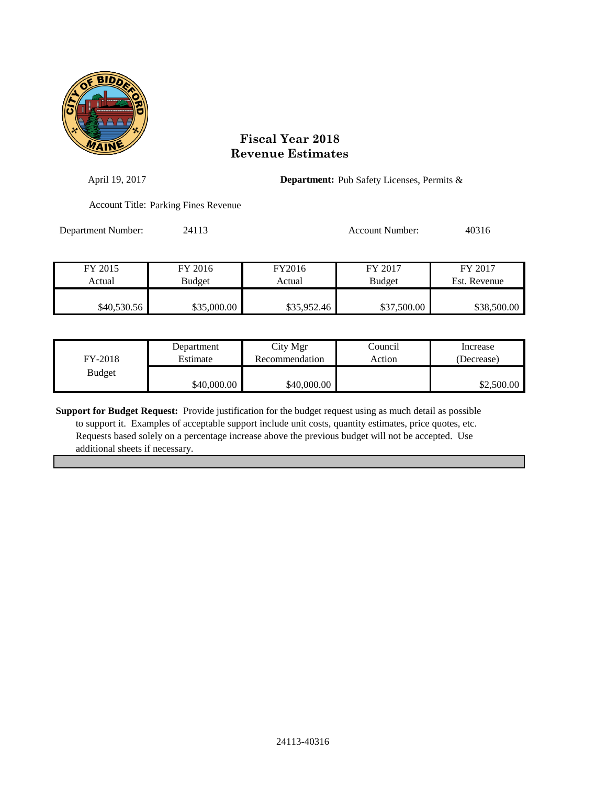

| April 19, 2017     | <b>Department:</b> Pub Safety Licenses, Permits & |                  |                          |                         |  |
|--------------------|---------------------------------------------------|------------------|--------------------------|-------------------------|--|
|                    | <b>Account Title: Parking Fines Revenue</b>       |                  |                          |                         |  |
| Department Number: | 24113                                             |                  | Account Number:          | 40316                   |  |
| FY 2015<br>Actual  | FY 2016<br>Budget                                 | FY2016<br>Actual | FY 2017<br><b>Budget</b> | FY 2017<br>Est. Revenue |  |
| \$40,530.56        | \$35,000.00                                       | \$35,952.46      | \$37,500.00              | \$38,500.00             |  |

| FY-2018       | Department  | City Mgr       | Council | Increase   |
|---------------|-------------|----------------|---------|------------|
|               | Estimate    | Recommendation | Action  | (Decrease) |
| <b>Budget</b> | \$40,000.00 | \$40,000.00    |         | \$2,500.00 |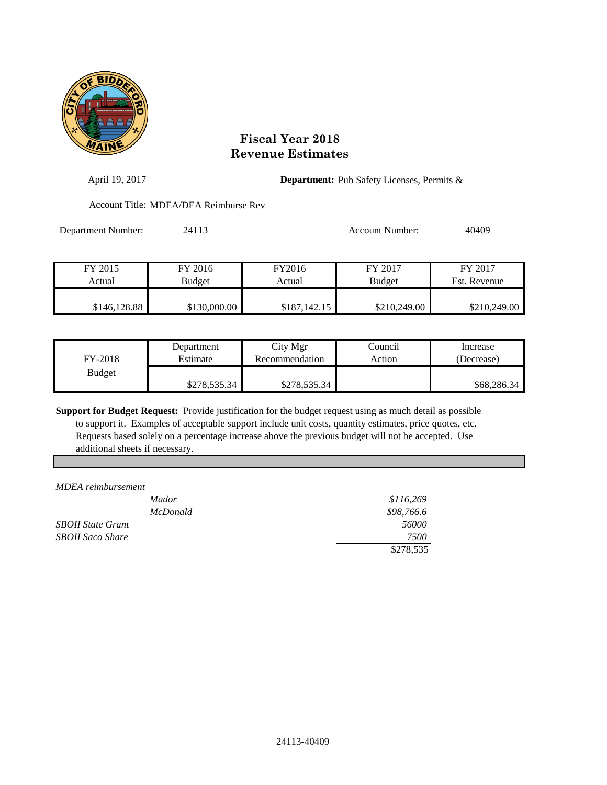

| April 19, 2017     |                                       |                  | <b>Department:</b> Pub Safety Licenses, Permits & |                         |  |  |
|--------------------|---------------------------------------|------------------|---------------------------------------------------|-------------------------|--|--|
|                    | Account Title: MDEA/DEA Reimburse Rev |                  |                                                   |                         |  |  |
| Department Number: | 24113                                 |                  | Account Number:                                   | 40409                   |  |  |
| FY 2015<br>Actual  | FY 2016<br><b>Budget</b>              | FY2016<br>Actual | FY 2017<br><b>Budget</b>                          | FY 2017<br>Est. Revenue |  |  |
| \$146,128.88       | \$130,000.00                          | \$187,142.15     | \$210,249.00                                      | \$210,249.00            |  |  |

| FY-2018       | Department   | City Mgr       | Council | Increase    |
|---------------|--------------|----------------|---------|-------------|
|               | Estimate     | Recommendation | Action  | (Decrease)  |
| <b>Budget</b> | \$278,535.34 | \$278,535.34   |         | \$68,286.34 |

**Support for Budget Request:** Provide justification for the budget request using as much detail as possible to support it. Examples of acceptable support include unit costs, quantity estimates, price quotes, etc. Requests based solely on a percentage increase above the previous budget will not be accepted. Use additional sheets if necessary.

*MDEA reimbursement*

| <i>Mador</i>             | \$116,269  |
|--------------------------|------------|
| <i>McDonald</i>          | \$98,766.6 |
| <b>SBOII State Grant</b> | 56000      |
| <b>SBOII Saco Share</b>  | 7500       |
|                          | \$278,535  |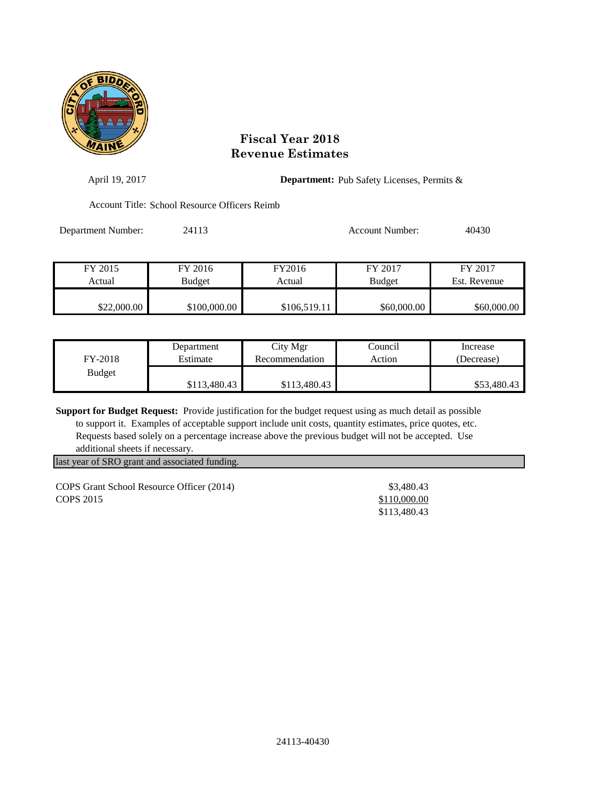

| April 19, 2017     | <b>Department:</b> Pub Safety Licenses, Permits & |              |                 |              |  |
|--------------------|---------------------------------------------------|--------------|-----------------|--------------|--|
|                    | Account Title: School Resource Officers Reimb     |              |                 |              |  |
| Department Number: | 24113                                             |              | Account Number: | 40430        |  |
| FY 2015            | FY 2016                                           | FY2016       | FY 2017         | FY 2017      |  |
| Actual             | <b>Budget</b>                                     | Actual       | <b>Budget</b>   | Est. Revenue |  |
| \$22,000.00        | \$100,000.00                                      | \$106,519.11 | \$60,000.00     | \$60,000.00  |  |

| FY-2018       | Department   | City Mgr       | Council | Increase    |
|---------------|--------------|----------------|---------|-------------|
|               | Estimate     | Recommendation | Action  | (Decrease)  |
| <b>Budget</b> | \$113,480.43 | \$113,480.43   |         | \$53,480.43 |

**Support for Budget Request:** Provide justification for the budget request using as much detail as possible to support it. Examples of acceptable support include unit costs, quantity estimates, price quotes, etc. Requests based solely on a percentage increase above the previous budget will not be accepted. Use additional sheets if necessary.

last year of SRO grant and associated funding.

COPS Grant School Resource Officer (2014) \$3,480.43 **COPS** 2015 \$110,000.00

\$113,480.43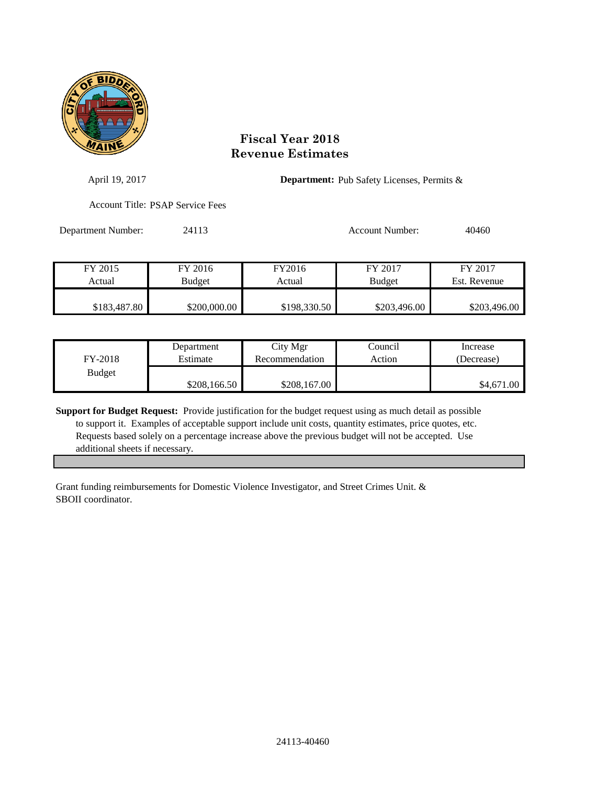

| April 19, 2017     |                                         | <b>Department:</b> Pub Safety Licenses, Permits & |                          |                         |  |
|--------------------|-----------------------------------------|---------------------------------------------------|--------------------------|-------------------------|--|
|                    | <b>Account Title: PSAP Service Fees</b> |                                                   |                          |                         |  |
| Department Number: | 24113                                   |                                                   | Account Number:          | 40460                   |  |
| FY 2015<br>Actual  | FY 2016<br><b>Budget</b>                | FY2016<br>Actual                                  | FY 2017<br><b>Budget</b> | FY 2017<br>Est. Revenue |  |
|                    |                                         |                                                   |                          |                         |  |

| FY-2018       | Department   | City Mgr       | Council | Increase   |
|---------------|--------------|----------------|---------|------------|
|               | Estimate     | Recommendation | Action  | (Decrease) |
| <b>Budget</b> | \$208,166.50 | \$208,167.00   |         | \$4,671.00 |

\$183,487.80 \$200,000.00 \$198,330.50 \$203,496.00 \$203,496.00

**Support for Budget Request:** Provide justification for the budget request using as much detail as possible to support it. Examples of acceptable support include unit costs, quantity estimates, price quotes, etc. Requests based solely on a percentage increase above the previous budget will not be accepted. Use additional sheets if necessary.

Grant funding reimbursements for Domestic Violence Investigator, and Street Crimes Unit. & SBOII coordinator.